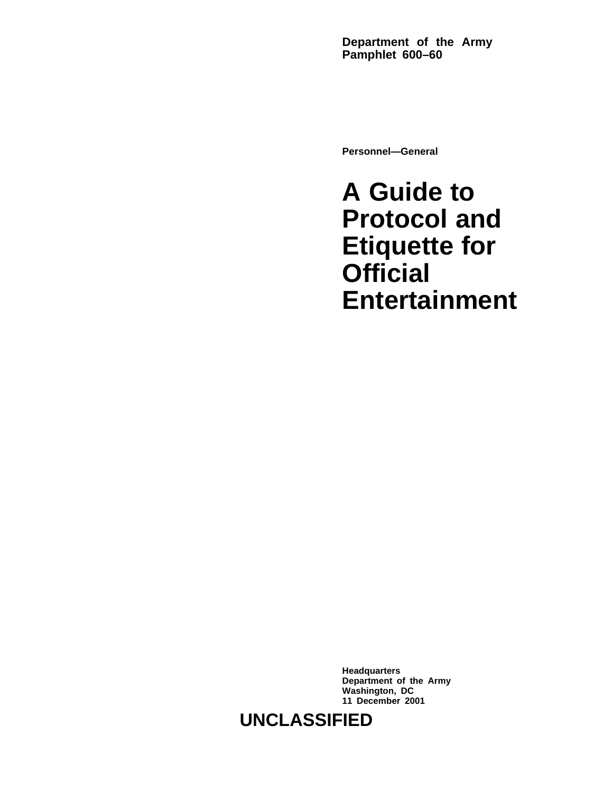**Department of the Army Pamphlet 600–60**

**Personnel—General**

**A Guide to Protocol and Etiquette for Official Entertainment**

**Headquarters Department of the Army Washington, DC 11 December 2001**

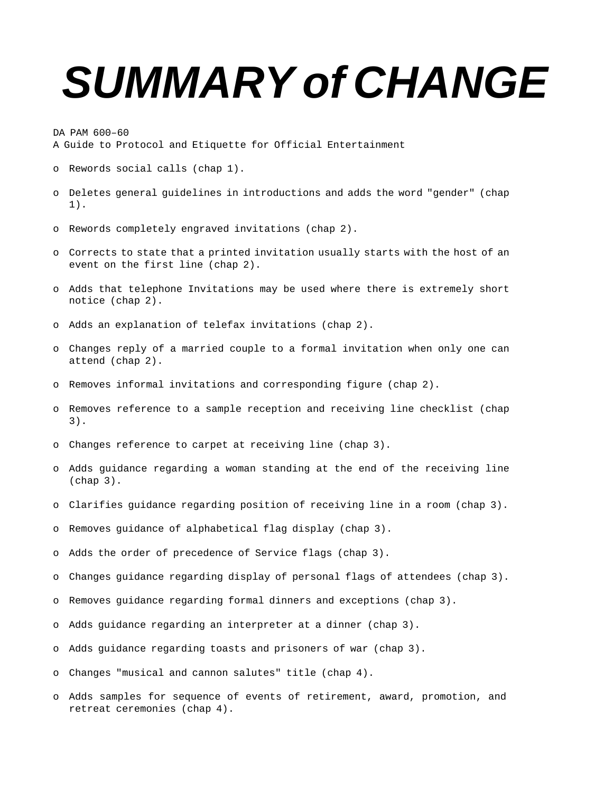# **SUMMARY of CHANGE**

DA PAM 600–60

A Guide to Protocol and Etiquette for Official Entertainment

- o Rewords social calls (chap 1).
- o Deletes general guidelines in introductions and adds the word "gender" (chap 1).
- o Rewords completely engraved invitations (chap 2).
- o Corrects to state that a printed invitation usually starts with the host of an event on the first line (chap 2).
- o Adds that telephone Invitations may be used where there is extremely short notice (chap 2).
- o Adds an explanation of telefax invitations (chap 2).
- o Changes reply of a married couple to a formal invitation when only one can attend (chap 2).
- o Removes informal invitations and corresponding figure (chap 2).
- o Removes reference to a sample reception and receiving line checklist (chap 3).
- o Changes reference to carpet at receiving line (chap 3).
- o Adds guidance regarding a woman standing at the end of the receiving line (chap 3).
- o Clarifies guidance regarding position of receiving line in a room (chap 3).
- o Removes guidance of alphabetical flag display (chap 3).
- o Adds the order of precedence of Service flags (chap 3).
- o Changes guidance regarding display of personal flags of attendees (chap 3).
- o Removes guidance regarding formal dinners and exceptions (chap 3).
- o Adds guidance regarding an interpreter at a dinner (chap 3).
- o Adds guidance regarding toasts and prisoners of war (chap 3).
- o Changes "musical and cannon salutes" title (chap 4).
- o Adds samples for sequence of events of retirement, award, promotion, and retreat ceremonies (chap 4).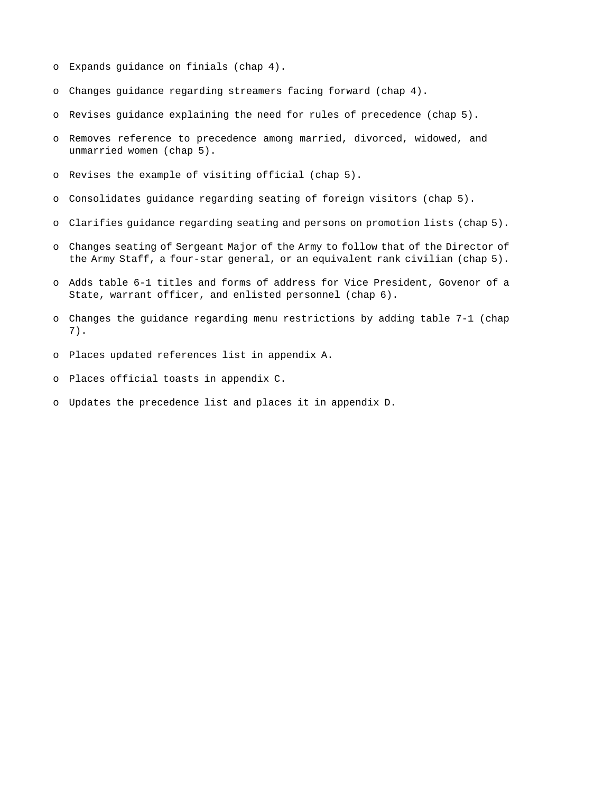- o Expands guidance on finials (chap 4).
- o Changes guidance regarding streamers facing forward (chap 4).
- o Revises guidance explaining the need for rules of precedence (chap 5).
- o Removes reference to precedence among married, divorced, widowed, and unmarried women (chap 5).
- o Revises the example of visiting official (chap 5).
- o Consolidates guidance regarding seating of foreign visitors (chap 5).
- o Clarifies guidance regarding seating and persons on promotion lists (chap 5).
- o Changes seating of Sergeant Major of the Army to follow that of the Director of the Army Staff, a four-star general, or an equivalent rank civilian (chap 5).
- o Adds table 6-1 titles and forms of address for Vice President, Govenor of a State, warrant officer, and enlisted personnel (chap 6).
- o Changes the guidance regarding menu restrictions by adding table 7-1 (chap 7).
- o Places updated references list in appendix A.
- o Places official toasts in appendix C.
- o Updates the precedence list and places it in appendix D.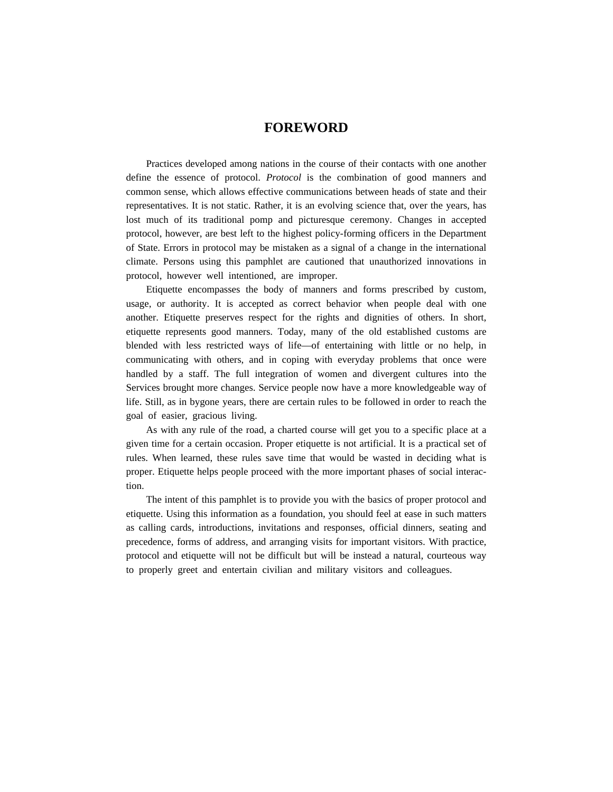# **FOREWORD**

Practices developed among nations in the course of their contacts with one another define the essence of protocol. *Protocol* is the combination of good manners and common sense, which allows effective communications between heads of state and their representatives. It is not static. Rather, it is an evolving science that, over the years, has lost much of its traditional pomp and picturesque ceremony. Changes in accepted protocol, however, are best left to the highest policy-forming officers in the Department of State. Errors in protocol may be mistaken as a signal of a change in the international climate. Persons using this pamphlet are cautioned that unauthorized innovations in protocol, however well intentioned, are improper.

Etiquette encompasses the body of manners and forms prescribed by custom, usage, or authority. It is accepted as correct behavior when people deal with one another. Etiquette preserves respect for the rights and dignities of others. In short, etiquette represents good manners. Today, many of the old established customs are blended with less restricted ways of life—of entertaining with little or no help, in communicating with others, and in coping with everyday problems that once were handled by a staff. The full integration of women and divergent cultures into the Services brought more changes. Service people now have a more knowledgeable way of life. Still, as in bygone years, there are certain rules to be followed in order to reach the goal of easier, gracious living.

As with any rule of the road, a charted course will get you to a specific place at a given time for a certain occasion. Proper etiquette is not artificial. It is a practical set of rules. When learned, these rules save time that would be wasted in deciding what is proper. Etiquette helps people proceed with the more important phases of social interaction.

The intent of this pamphlet is to provide you with the basics of proper protocol and etiquette. Using this information as a foundation, you should feel at ease in such matters as calling cards, introductions, invitations and responses, official dinners, seating and precedence, forms of address, and arranging visits for important visitors. With practice, protocol and etiquette will not be difficult but will be instead a natural, courteous way to properly greet and entertain civilian and military visitors and colleagues.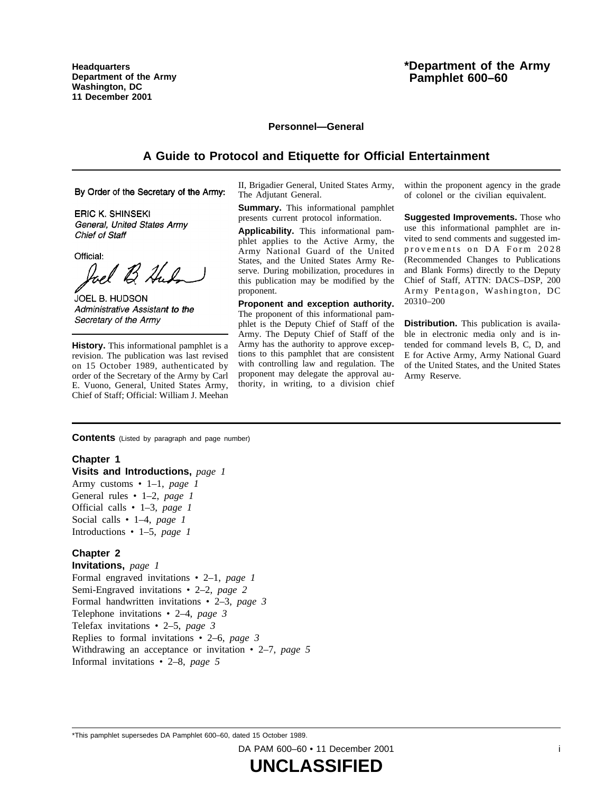**Headquarters Department of the Army Washington, DC 11 December 2001**

# **\*Department of the Army Pamphlet 600–60**

#### **Personnel—General**

# **A Guide to Protocol and Etiquette for Official Entertainment**

By Order of the Secretary of the Army:

**ERIC K. SHINSEKI** General, United States Army Chief of Staff

Official: Inel B H.R

JOEL B. HUDSON Administrative Assistant to the Secretary of the Army

**History.** This informational pamphlet is a revision. The publication was last revised on 15 October 1989, authenticated by order of the Secretary of the Army by Carl E. Vuono, General, United States Army, Chief of Staff; Official: William J. Meehan

II, Brigadier General, United States Army, The Adjutant General.

**Summary.** This informational pamphlet presents current protocol information.

**Applicability.** This informational pamphlet applies to the Active Army, the Army National Guard of the United States, and the United States Army Reserve. During mobilization, procedures in this publication may be modified by the proponent.

**Proponent and exception authority.** The proponent of this informational pamphlet is the Deputy Chief of Staff of the Army. The Deputy Chief of Staff of the Army has the authority to approve exceptions to this pamphlet that are consistent with controlling law and regulation. The proponent may delegate the approval authority, in writing, to a division chief

within the proponent agency in the grade of colonel or the civilian equivalent.

**Suggested Improvements.** Those who use this informational pamphlet are invited to send comments and suggested improvements on DA Form 2028 (Recommended Changes to Publications and Blank Forms) directly to the Deputy Chief of Staff, ATTN: DACS–DSP, 200 Army Pentagon, Washington, DC 20310–200

**Distribution.** This publication is available in electronic media only and is intended for command levels B, C, D, and E for Active Army, Army National Guard of the United States, and the United States Army Reserve.

**Contents** (Listed by paragraph and page number)

#### **Chapter 1**

**Visits and Introductions,** *page 1* Army customs • 1–1, *page 1* General rules • 1–2, *page 1* Official calls • 1–3, *page 1* Social calls • 1–4, *page 1* Introductions • 1–5, *page 1*

#### **Chapter 2**

**Invitations,** *page 1* Formal engraved invitations • 2–1, *page 1* Semi-Engraved invitations • 2–2, *page 2* Formal handwritten invitations • 2–3, *page 3* Telephone invitations • 2–4, *page 3* Telefax invitations • 2–5, *page 3* Replies to formal invitations • 2–6, *page 3* Withdrawing an acceptance or invitation • 2–7, *page 5* Informal invitations • 2–8, *page 5*

\*This pamphlet supersedes DA Pamphlet 600–60, dated 15 October 1989.

DA PAM 600-60 • 11 December 2001 **i**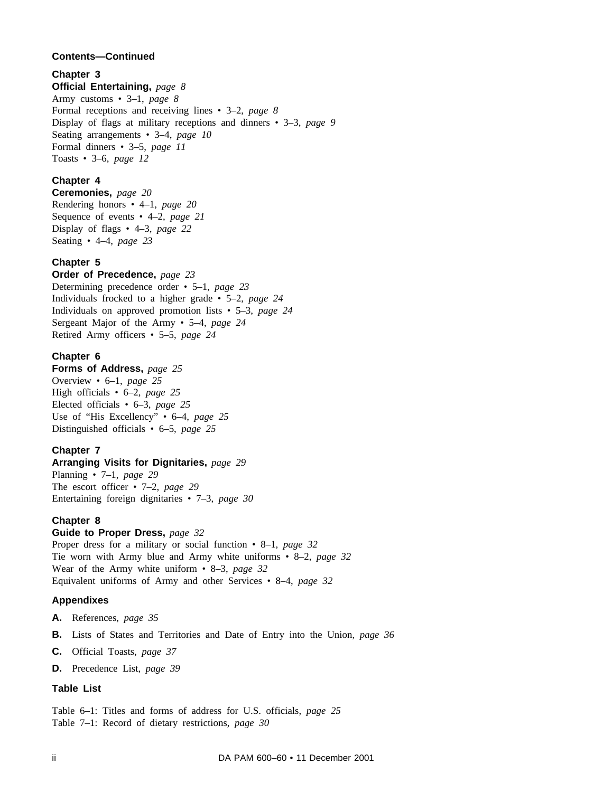# **Contents—Continued**

# **Chapter 3**

**Official Entertaining,** *page 8* Army customs • 3–1, *page 8* Formal receptions and receiving lines • 3–2, *page 8* Display of flags at military receptions and dinners • 3–3, *page 9* Seating arrangements • 3–4, *page 10* Formal dinners • 3–5, *page 11* Toasts • 3–6, *page 12*

# **Chapter 4**

**Ceremonies,** *page 20* Rendering honors • 4–1, *page 20* Sequence of events • 4–2, *page 21* Display of flags • 4–3, *page 22* Seating • 4–4, *page 23*

# **Chapter 5**

**Order of Precedence,** *page 23* Determining precedence order • 5–1, *page 23* Individuals frocked to a higher grade • 5–2, *page 24* Individuals on approved promotion lists • 5–3, *page 24* Sergeant Major of the Army • 5–4, *page 24* Retired Army officers • 5–5, *page 24*

# **Chapter 6**

**Forms of Address,** *page 25* Overview • 6–1, *page 25* High officials • 6–2, *page 25* Elected officials • 6–3, *page 25* Use of "His Excellency" • 6–4, *page 25* Distinguished officials • 6–5, *page 25*

# **Chapter 7**

**Arranging Visits for Dignitaries,** *page 29* Planning • 7–1, *page 29* The escort officer • 7–2, *page 29* Entertaining foreign dignitaries • 7–3, *page 30*

# **Chapter 8**

# **Guide to Proper Dress,** *page 32*

Proper dress for a military or social function • 8–1, *page 32* Tie worn with Army blue and Army white uniforms • 8–2, *page 32* Wear of the Army white uniform • 8–3, *page 32* Equivalent uniforms of Army and other Services • 8–4, *page 32*

# **Appendixes**

**A.** References, *page 35*

- **B.** Lists of States and Territories and Date of Entry into the Union, *page 36*
- **C.** Official Toasts, *page 37*
- **D.** Precedence List, *page 39*

# **Table List**

Table 6–1: Titles and forms of address for U.S. officials, *page 25* Table 7–1: Record of dietary restrictions, *page 30*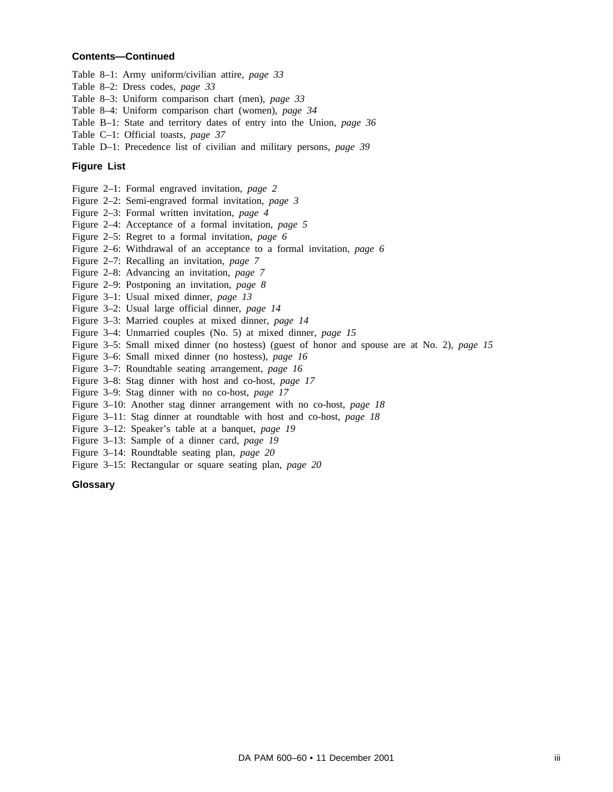#### **Contents—Continued**

- Table 8–1: Army uniform/civilian attire, *page 33*
- Table 8–2: Dress codes, *page 33*
- Table 8–3: Uniform comparison chart (men), *page 33*
- Table 8–4: Uniform comparison chart (women), *page 34*
- Table B–1: State and territory dates of entry into the Union, *page 36*
- Table C–1: Official toasts, *page 37*
- Table D–1: Precedence list of civilian and military persons, *page 39*

#### **Figure List**

- Figure 2–1: Formal engraved invitation, *page 2*
- Figure 2–2: Semi-engraved formal invitation, *page 3*
- Figure 2–3: Formal written invitation, *page 4*
- Figure 2–4: Acceptance of a formal invitation, *page 5*
- Figure 2–5: Regret to a formal invitation, *page 6*
- Figure 2–6: Withdrawal of an acceptance to a formal invitation, *page 6*
- Figure 2–7: Recalling an invitation, *page 7*
- Figure 2–8: Advancing an invitation, *page 7*
- Figure 2–9: Postponing an invitation, *page 8*
- Figure 3–1: Usual mixed dinner, *page 13*
- Figure 3–2: Usual large official dinner, *page 14*
- Figure 3–3: Married couples at mixed dinner, *page 14*
- Figure 3–4: Unmarried couples (No. 5) at mixed dinner, *page 15*
- Figure 3–5: Small mixed dinner (no hostess) (guest of honor and spouse are at No. 2), *page 15*
- Figure 3–6: Small mixed dinner (no hostess), *page 16*
- Figure 3–7: Roundtable seating arrangement, *page 16*
- Figure 3–8: Stag dinner with host and co-host, *page 17*
- Figure 3–9: Stag dinner with no co-host, *page 17*
- Figure 3–10: Another stag dinner arrangement with no co-host, *page 18*
- Figure 3–11: Stag dinner at roundtable with host and co-host, *page 18*
- Figure 3–12: Speaker's table at a banquet, *page 19*
- Figure 3–13: Sample of a dinner card, *page 19*
- Figure 3–14: Roundtable seating plan, *page 20*
- Figure 3–15: Rectangular or square seating plan, *page 20*

#### **Glossary**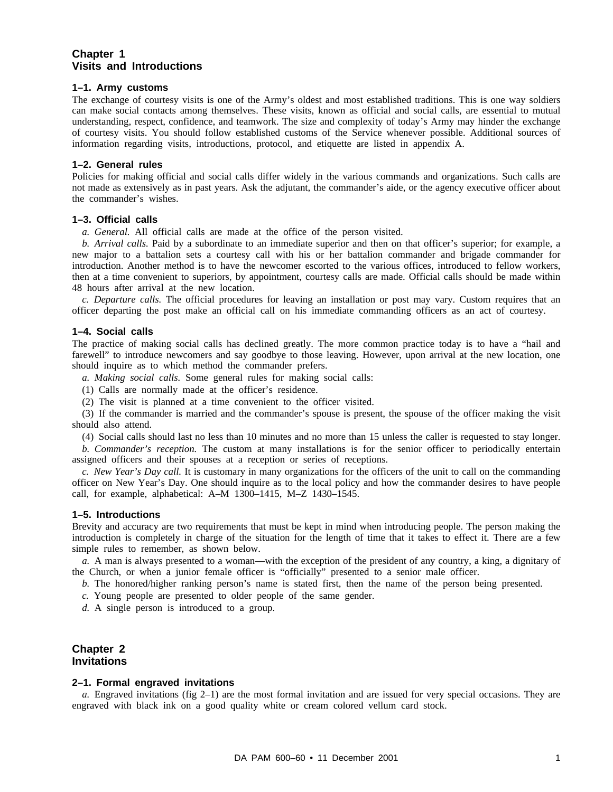# **Chapter 1 Visits and Introductions**

#### **1–1. Army customs**

The exchange of courtesy visits is one of the Army's oldest and most established traditions. This is one way soldiers can make social contacts among themselves. These visits, known as official and social calls, are essential to mutual understanding, respect, confidence, and teamwork. The size and complexity of today's Army may hinder the exchange of courtesy visits. You should follow established customs of the Service whenever possible. Additional sources of information regarding visits, introductions, protocol, and etiquette are listed in appendix A.

#### **1–2. General rules**

Policies for making official and social calls differ widely in the various commands and organizations. Such calls are not made as extensively as in past years. Ask the adjutant, the commander's aide, or the agency executive officer about the commander's wishes.

#### **1–3. Official calls**

*a. General.* All official calls are made at the office of the person visited.

*b. Arrival calls.* Paid by a subordinate to an immediate superior and then on that officer's superior; for example, a new major to a battalion sets a courtesy call with his or her battalion commander and brigade commander for introduction. Another method is to have the newcomer escorted to the various offices, introduced to fellow workers, then at a time convenient to superiors, by appointment, courtesy calls are made. Official calls should be made within 48 hours after arrival at the new location.

*c. Departure calls.* The official procedures for leaving an installation or post may vary. Custom requires that an officer departing the post make an official call on his immediate commanding officers as an act of courtesy.

#### **1–4. Social calls**

The practice of making social calls has declined greatly. The more common practice today is to have a "hail and farewell" to introduce newcomers and say goodbye to those leaving. However, upon arrival at the new location, one should inquire as to which method the commander prefers.

*a. Making social calls.* Some general rules for making social calls:

(1) Calls are normally made at the officer's residence.

(2) The visit is planned at a time convenient to the officer visited.

(3) If the commander is married and the commander's spouse is present, the spouse of the officer making the visit should also attend.

(4) Social calls should last no less than 10 minutes and no more than 15 unless the caller is requested to stay longer.

*b. Commander's reception.* The custom at many installations is for the senior officer to periodically entertain assigned officers and their spouses at a reception or series of receptions.

*c. New Year's Day call.* It is customary in many organizations for the officers of the unit to call on the commanding officer on New Year's Day. One should inquire as to the local policy and how the commander desires to have people call, for example, alphabetical: A–M 1300–1415, M–Z 1430–1545.

#### **1–5. Introductions**

Brevity and accuracy are two requirements that must be kept in mind when introducing people. The person making the introduction is completely in charge of the situation for the length of time that it takes to effect it. There are a few simple rules to remember, as shown below.

*a.* A man is always presented to a woman—with the exception of the president of any country, a king, a dignitary of the Church, or when a junior female officer is "officially" presented to a senior male officer.

*b.* The honored/higher ranking person's name is stated first, then the name of the person being presented.

*c.* Young people are presented to older people of the same gender.

*d.* A single person is introduced to a group.

# **Chapter 2 Invitations**

#### **2–1. Formal engraved invitations**

*a.* Engraved invitations (fig 2–1) are the most formal invitation and are issued for very special occasions. They are engraved with black ink on a good quality white or cream colored vellum card stock.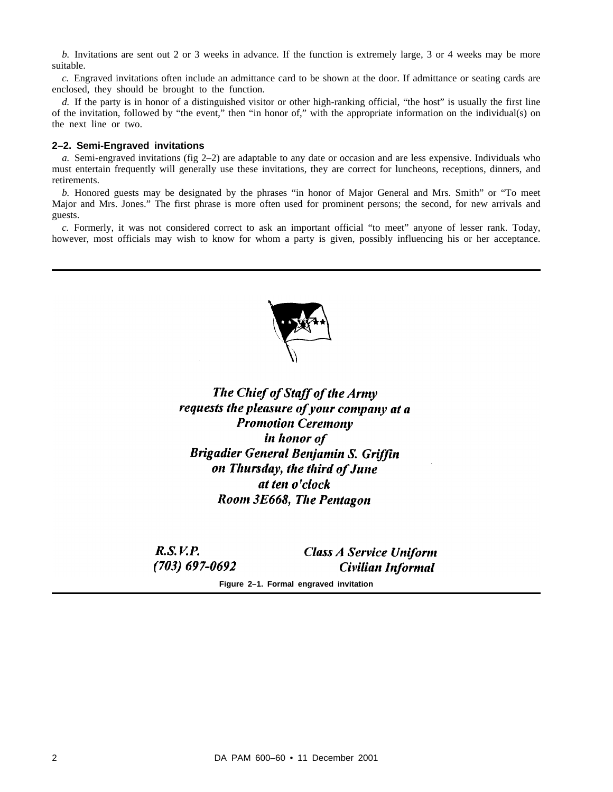*b.* Invitations are sent out 2 or 3 weeks in advance. If the function is extremely large, 3 or 4 weeks may be more suitable.

*c.* Engraved invitations often include an admittance card to be shown at the door. If admittance or seating cards are enclosed, they should be brought to the function.

*d.* If the party is in honor of a distinguished visitor or other high-ranking official, "the host" is usually the first line of the invitation, followed by "the event," then "in honor of," with the appropriate information on the individual(s) on the next line or two.

#### **2–2. Semi-Engraved invitations**

*a.* Semi-engraved invitations (fig 2–2) are adaptable to any date or occasion and are less expensive. Individuals who must entertain frequently will generally use these invitations, they are correct for luncheons, receptions, dinners, and retirements.

*b.* Honored guests may be designated by the phrases "in honor of Major General and Mrs. Smith" or "To meet Major and Mrs. Jones." The first phrase is more often used for prominent persons; the second, for new arrivals and guests.

*c.* Formerly, it was not considered correct to ask an important official "to meet" anyone of lesser rank. Today, however, most officials may wish to know for whom a party is given, possibly influencing his or her acceptance.



The Chief of Staff of the Army requests the pleasure of your company at a **Promotion Ceremony** in honor of **Brigadier General Benjamin S. Griffin** on Thursday, the third of June at ten o'clock Room 3E668, The Pentagon

 $R.S. V.P.$  $(703) 697 - 0692$ 

**Class A Service Uniform** Civilian Informal

**Figure 2–1. Formal engraved invitation**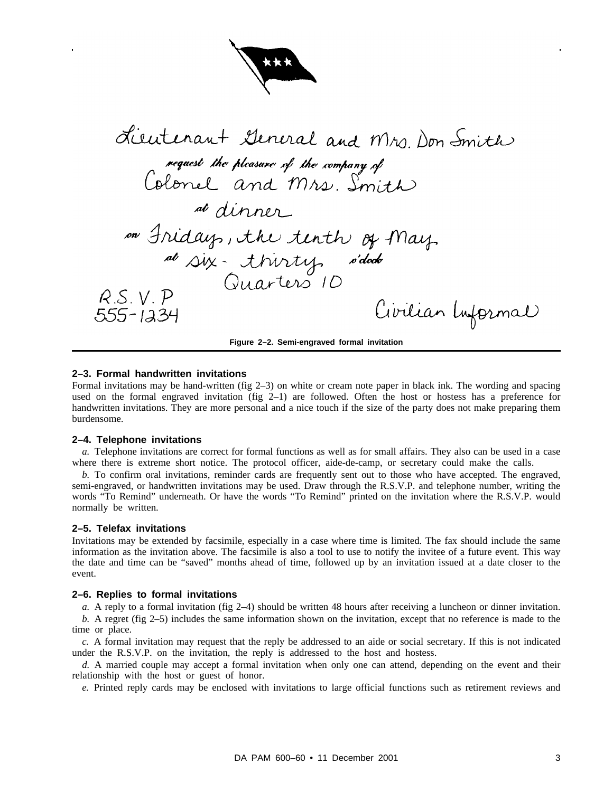

Lieutenant General and Mrs. Don Smith rencement survived una 111/20. at dinner on Fridays, the tenth of May. al six-thirty s'dock  $RS.V.P$ Civilian Informal  $555 - 1234$ 

#### **Figure 2–2. Semi-engraved formal invitation**

#### **2–3. Formal handwritten invitations**

Formal invitations may be hand-written (fig 2–3) on white or cream note paper in black ink. The wording and spacing used on the formal engraved invitation (fig 2–1) are followed. Often the host or hostess has a preference for handwritten invitations. They are more personal and a nice touch if the size of the party does not make preparing them burdensome.

#### **2–4. Telephone invitations**

*a.* Telephone invitations are correct for formal functions as well as for small affairs. They also can be used in a case where there is extreme short notice. The protocol officer, aide-de-camp, or secretary could make the calls.

*b.* To confirm oral invitations, reminder cards are frequently sent out to those who have accepted. The engraved, semi-engraved, or handwritten invitations may be used. Draw through the R.S.V.P. and telephone number, writing the words "To Remind" underneath. Or have the words "To Remind" printed on the invitation where the R.S.V.P. would normally be written.

#### **2–5. Telefax invitations**

Invitations may be extended by facsimile, especially in a case where time is limited. The fax should include the same information as the invitation above. The facsimile is also a tool to use to notify the invitee of a future event. This way the date and time can be "saved" months ahead of time, followed up by an invitation issued at a date closer to the event.

#### **2–6. Replies to formal invitations**

*a.* A reply to a formal invitation (fig 2–4) should be written 48 hours after receiving a luncheon or dinner invitation.

*b.* A regret (fig 2–5) includes the same information shown on the invitation, except that no reference is made to the time or place.

*c.* A formal invitation may request that the reply be addressed to an aide or social secretary. If this is not indicated under the R.S.V.P. on the invitation, the reply is addressed to the host and hostess.

*d.* A married couple may accept a formal invitation when only one can attend, depending on the event and their relationship with the host or guest of honor.

*e.* Printed reply cards may be enclosed with invitations to large official functions such as retirement reviews and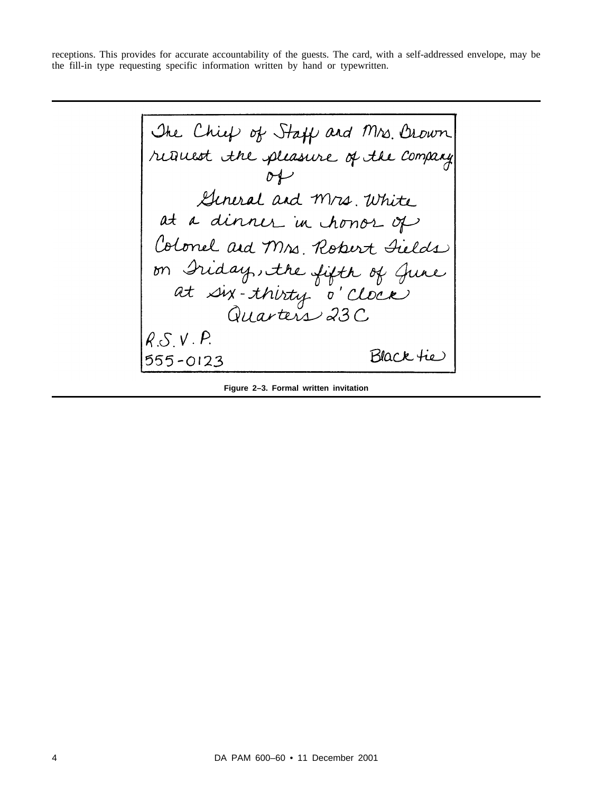receptions. This provides for accurate accountability of the guests. The card, with a self-addressed envelope, may be the fill-in type requesting specific information written by hand or typewritten.

The Chief of Staff and Mrs. Orown<br>reduced the pleasure of the company<br>of<br>Seneral and Mrs. White<br>at a dinner in chonor of<br>Colonel and Mrs. Robert Sields<br>on Iriday, the fifth of June<br>at six-thirty o' Clock<br>Quarters 23C  $R.S.V.P.$ Black tie  $555 - 0123$ 

**Figure 2–3. Formal written invitation**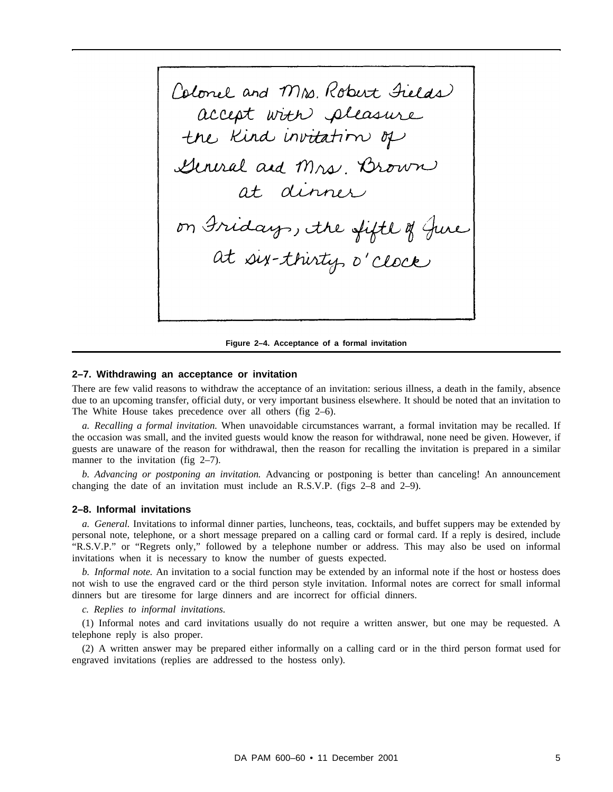Colonel and Mrs. Robert Fields accept with pleasure General and Mrs. Brown at dinner<br>on Iridays, the fiftle of June<br>at six-thirty o'clock

**Figure 2–4. Acceptance of a formal invitation**

#### **2–7. Withdrawing an acceptance or invitation**

There are few valid reasons to withdraw the acceptance of an invitation: serious illness, a death in the family, absence due to an upcoming transfer, official duty, or very important business elsewhere. It should be noted that an invitation to The White House takes precedence over all others (fig 2–6).

*a. Recalling a formal invitation.* When unavoidable circumstances warrant, a formal invitation may be recalled. If the occasion was small, and the invited guests would know the reason for withdrawal, none need be given. However, if guests are unaware of the reason for withdrawal, then the reason for recalling the invitation is prepared in a similar manner to the invitation (fig 2–7).

*b. Advancing or postponing an invitation.* Advancing or postponing is better than canceling! An announcement changing the date of an invitation must include an R.S.V.P. (figs 2–8 and 2–9).

#### **2–8. Informal invitations**

*a. General.* Invitations to informal dinner parties, luncheons, teas, cocktails, and buffet suppers may be extended by personal note, telephone, or a short message prepared on a calling card or formal card. If a reply is desired, include "R.S.V.P." or "Regrets only," followed by a telephone number or address. This may also be used on informal invitations when it is necessary to know the number of guests expected.

*b. Informal note.* An invitation to a social function may be extended by an informal note if the host or hostess does not wish to use the engraved card or the third person style invitation. Informal notes are correct for small informal dinners but are tiresome for large dinners and are incorrect for official dinners.

*c. Replies to informal invitations.*

(1) Informal notes and card invitations usually do not require a written answer, but one may be requested. A telephone reply is also proper.

(2) A written answer may be prepared either informally on a calling card or in the third person format used for engraved invitations (replies are addressed to the hostess only).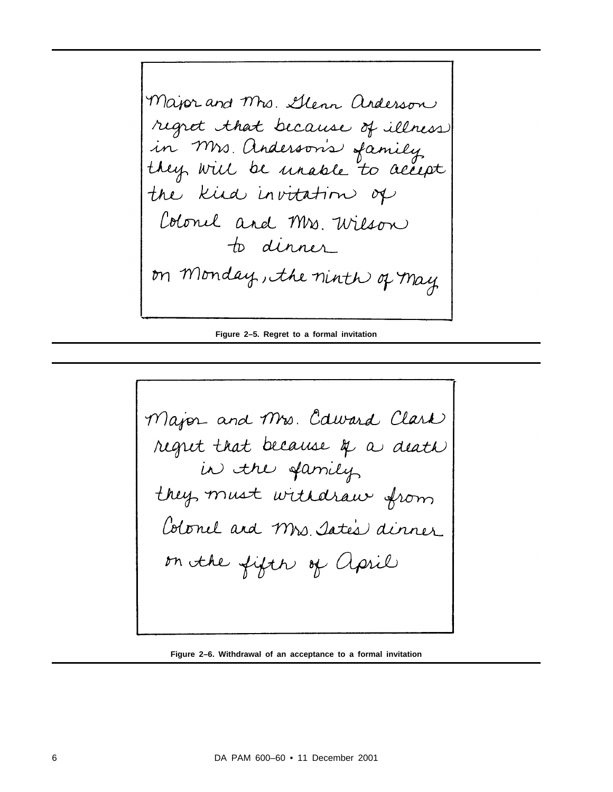Major and Mrs. Glenn anderson regret that because of illness in Mrs. Anderson's family<br>they will be unable to accept the kird invitation of Colonel and Mrs. Wilson to dinner on Monday, the ninth of may

**Figure 2–5. Regret to a formal invitation**

Major and Mrs. Caward Clark regret that because q a death they must withdraw from Colonel and Mrs. Iate's dinner on the fifth of april

**Figure 2–6. Withdrawal of an acceptance to a formal invitation**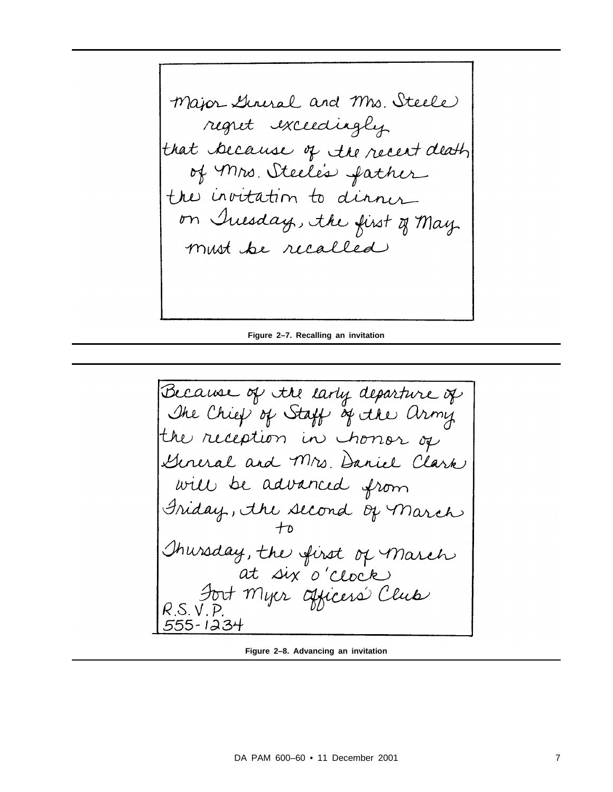Major General and Mrs. Steele regret exceedingly that because of the recent death of Mrs. Steele's father the invitation to dinner on Inesday, the first of May. must be recalled

**Figure 2–7. Recalling an invitation**

Because of the larly departure of The Chief of Staff of the army the reception in honor of General and Mrs. Daniel Clark will be advanced from Iriday, the second of March<br>to<br>Thursday, the first of March at six o'clock<br>Bort Myer afficers' Clus<br>R.S.V.P. 555-1234

**Figure 2–8. Advancing an invitation**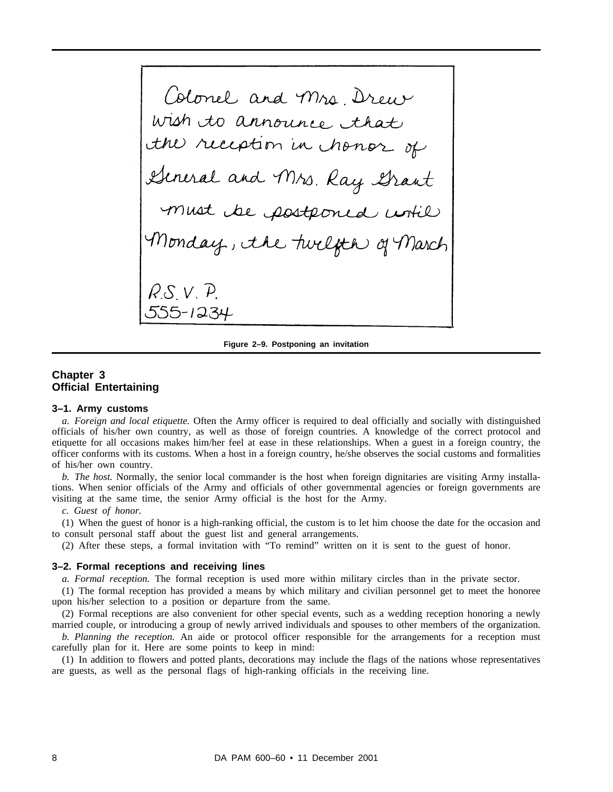Colonel and Mrs. Drew<br>ish to announce that<br>W reception in chonor of ral and Mrs. Ray Grant<br>wat be postponed until 55-123

**Figure 2–9. Postponing an invitation**

# **Chapter 3 Official Entertaining**

#### **3–1. Army customs**

*a. Foreign and local etiquette.* Often the Army officer is required to deal officially and socially with distinguished officials of his/her own country, as well as those of foreign countries. A knowledge of the correct protocol and etiquette for all occasions makes him/her feel at ease in these relationships. When a guest in a foreign country, the officer conforms with its customs. When a host in a foreign country, he/she observes the social customs and formalities of his/her own country.

*b. The host.* Normally, the senior local commander is the host when foreign dignitaries are visiting Army installations. When senior officials of the Army and officials of other governmental agencies or foreign governments are visiting at the same time, the senior Army official is the host for the Army.

*c. Guest of honor.*

(1) When the guest of honor is a high-ranking official, the custom is to let him choose the date for the occasion and to consult personal staff about the guest list and general arrangements.

(2) After these steps, a formal invitation with "To remind" written on it is sent to the guest of honor.

#### **3–2. Formal receptions and receiving lines**

*a. Formal reception.* The formal reception is used more within military circles than in the private sector.

(1) The formal reception has provided a means by which military and civilian personnel get to meet the honoree upon his/her selection to a position or departure from the same.

(2) Formal receptions are also convenient for other special events, such as a wedding reception honoring a newly married couple, or introducing a group of newly arrived individuals and spouses to other members of the organization.

*b. Planning the reception.* An aide or protocol officer responsible for the arrangements for a reception must carefully plan for it. Here are some points to keep in mind:

(1) In addition to flowers and potted plants, decorations may include the flags of the nations whose representatives are guests, as well as the personal flags of high-ranking officials in the receiving line.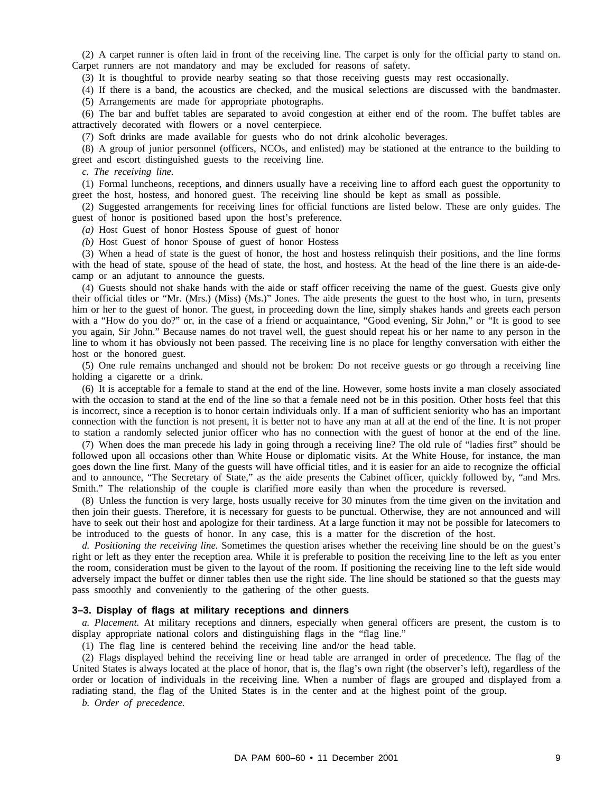(2) A carpet runner is often laid in front of the receiving line. The carpet is only for the official party to stand on. Carpet runners are not mandatory and may be excluded for reasons of safety.

(3) It is thoughtful to provide nearby seating so that those receiving guests may rest occasionally.

(4) If there is a band, the acoustics are checked, and the musical selections are discussed with the bandmaster. (5) Arrangements are made for appropriate photographs.

(6) The bar and buffet tables are separated to avoid congestion at either end of the room. The buffet tables are attractively decorated with flowers or a novel centerpiece.

(7) Soft drinks are made available for guests who do not drink alcoholic beverages.

(8) A group of junior personnel (officers, NCOs, and enlisted) may be stationed at the entrance to the building to greet and escort distinguished guests to the receiving line.

*c. The receiving line.*

(1) Formal luncheons, receptions, and dinners usually have a receiving line to afford each guest the opportunity to greet the host, hostess, and honored guest. The receiving line should be kept as small as possible.

(2) Suggested arrangements for receiving lines for official functions are listed below. These are only guides. The guest of honor is positioned based upon the host's preference.

*(a)* Host Guest of honor Hostess Spouse of guest of honor

*(b)* Host Guest of honor Spouse of guest of honor Hostess

(3) When a head of state is the guest of honor, the host and hostess relinquish their positions, and the line forms with the head of state, spouse of the head of state, the host, and hostess. At the head of the line there is an aide-decamp or an adjutant to announce the guests.

(4) Guests should not shake hands with the aide or staff officer receiving the name of the guest. Guests give only their official titles or "Mr. (Mrs.) (Miss) (Ms.)" Jones. The aide presents the guest to the host who, in turn, presents him or her to the guest of honor. The guest, in proceeding down the line, simply shakes hands and greets each person with a "How do you do?" or, in the case of a friend or acquaintance, "Good evening, Sir John," or "It is good to see you again, Sir John." Because names do not travel well, the guest should repeat his or her name to any person in the line to whom it has obviously not been passed. The receiving line is no place for lengthy conversation with either the host or the honored guest.

(5) One rule remains unchanged and should not be broken: Do not receive guests or go through a receiving line holding a cigarette or a drink.

(6) It is acceptable for a female to stand at the end of the line. However, some hosts invite a man closely associated with the occasion to stand at the end of the line so that a female need not be in this position. Other hosts feel that this is incorrect, since a reception is to honor certain individuals only. If a man of sufficient seniority who has an important connection with the function is not present, it is better not to have any man at all at the end of the line. It is not proper to station a randomly selected junior officer who has no connection with the guest of honor at the end of the line.

(7) When does the man precede his lady in going through a receiving line? The old rule of "ladies first" should be followed upon all occasions other than White House or diplomatic visits. At the White House, for instance, the man goes down the line first. Many of the guests will have official titles, and it is easier for an aide to recognize the official and to announce, "The Secretary of State," as the aide presents the Cabinet officer, quickly followed by, "and Mrs. Smith." The relationship of the couple is clarified more easily than when the procedure is reversed.

(8) Unless the function is very large, hosts usually receive for 30 minutes from the time given on the invitation and then join their guests. Therefore, it is necessary for guests to be punctual. Otherwise, they are not announced and will have to seek out their host and apologize for their tardiness. At a large function it may not be possible for latecomers to be introduced to the guests of honor. In any case, this is a matter for the discretion of the host.

*d. Positioning the receiving line.* Sometimes the question arises whether the receiving line should be on the guest's right or left as they enter the reception area. While it is preferable to position the receiving line to the left as you enter the room, consideration must be given to the layout of the room. If positioning the receiving line to the left side would adversely impact the buffet or dinner tables then use the right side. The line should be stationed so that the guests may pass smoothly and conveniently to the gathering of the other guests.

#### **3–3. Display of flags at military receptions and dinners**

*a. Placement.* At military receptions and dinners, especially when general officers are present, the custom is to display appropriate national colors and distinguishing flags in the "flag line."

(1) The flag line is centered behind the receiving line and/or the head table.

(2) Flags displayed behind the receiving line or head table are arranged in order of precedence. The flag of the United States is always located at the place of honor, that is, the flag's own right (the observer's left), regardless of the order or location of individuals in the receiving line. When a number of flags are grouped and displayed from a radiating stand, the flag of the United States is in the center and at the highest point of the group.

*b. Order of precedence.*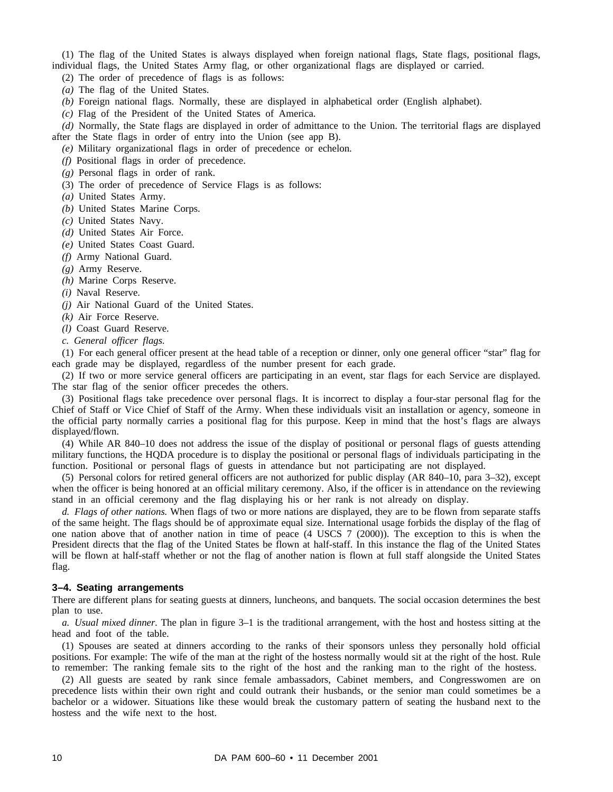(1) The flag of the United States is always displayed when foreign national flags, State flags, positional flags, individual flags, the United States Army flag, or other organizational flags are displayed or carried.

(2) The order of precedence of flags is as follows:

*(a)* The flag of the United States.

*(b)* Foreign national flags. Normally, these are displayed in alphabetical order (English alphabet).

*(c)* Flag of the President of the United States of America.

*(d)* Normally, the State flags are displayed in order of admittance to the Union. The territorial flags are displayed after the State flags in order of entry into the Union (see app B).

*(e)* Military organizational flags in order of precedence or echelon.

*(f)* Positional flags in order of precedence.

*(g)* Personal flags in order of rank.

(3) The order of precedence of Service Flags is as follows:

*(a)* United States Army.

*(b)* United States Marine Corps.

*(c)* United States Navy.

*(d)* United States Air Force.

*(e)* United States Coast Guard.

*(f)* Army National Guard.

*(g)* Army Reserve.

*(h)* Marine Corps Reserve.

*(i)* Naval Reserve.

*(j)* Air National Guard of the United States.

*(k)* Air Force Reserve.

*(l)* Coast Guard Reserve.

*c. General officer flags.*

(1) For each general officer present at the head table of a reception or dinner, only one general officer "star" flag for each grade may be displayed, regardless of the number present for each grade.

(2) If two or more service general officers are participating in an event, star flags for each Service are displayed. The star flag of the senior officer precedes the others.

(3) Positional flags take precedence over personal flags. It is incorrect to display a four-star personal flag for the Chief of Staff or Vice Chief of Staff of the Army. When these individuals visit an installation or agency, someone in the official party normally carries a positional flag for this purpose. Keep in mind that the host's flags are always displayed/flown.

(4) While AR 840–10 does not address the issue of the display of positional or personal flags of guests attending military functions, the HQDA procedure is to display the positional or personal flags of individuals participating in the function. Positional or personal flags of guests in attendance but not participating are not displayed.

(5) Personal colors for retired general officers are not authorized for public display (AR 840–10, para 3–32), except when the officer is being honored at an official military ceremony. Also, if the officer is in attendance on the reviewing stand in an official ceremony and the flag displaying his or her rank is not already on display.

*d. Flags of other nations.* When flags of two or more nations are displayed, they are to be flown from separate staffs of the same height. The flags should be of approximate equal size. International usage forbids the display of the flag of one nation above that of another nation in time of peace (4 USCS 7 (2000)). The exception to this is when the President directs that the flag of the United States be flown at half-staff. In this instance the flag of the United States will be flown at half-staff whether or not the flag of another nation is flown at full staff alongside the United States flag.

#### **3–4. Seating arrangements**

There are different plans for seating guests at dinners, luncheons, and banquets. The social occasion determines the best plan to use.

*a. Usual mixed dinner.* The plan in figure 3–1 is the traditional arrangement, with the host and hostess sitting at the head and foot of the table.

(1) Spouses are seated at dinners according to the ranks of their sponsors unless they personally hold official positions. For example: The wife of the man at the right of the hostess normally would sit at the right of the host. Rule to remember: The ranking female sits to the right of the host and the ranking man to the right of the hostess.

(2) All guests are seated by rank since female ambassadors, Cabinet members, and Congresswomen are on precedence lists within their own right and could outrank their husbands, or the senior man could sometimes be a bachelor or a widower. Situations like these would break the customary pattern of seating the husband next to the hostess and the wife next to the host.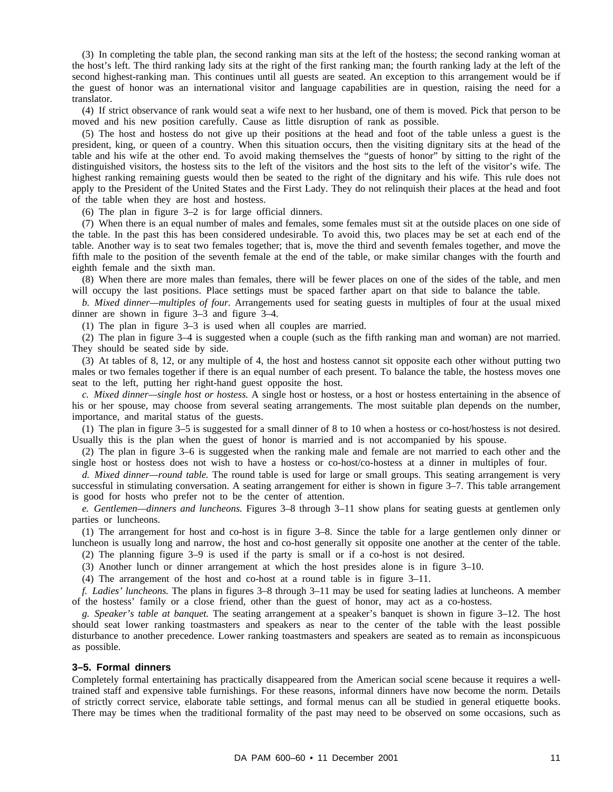(3) In completing the table plan, the second ranking man sits at the left of the hostess; the second ranking woman at the host's left. The third ranking lady sits at the right of the first ranking man; the fourth ranking lady at the left of the second highest-ranking man. This continues until all guests are seated. An exception to this arrangement would be if the guest of honor was an international visitor and language capabilities are in question, raising the need for a translator.

(4) If strict observance of rank would seat a wife next to her husband, one of them is moved. Pick that person to be moved and his new position carefully. Cause as little disruption of rank as possible.

(5) The host and hostess do not give up their positions at the head and foot of the table unless a guest is the president, king, or queen of a country. When this situation occurs, then the visiting dignitary sits at the head of the table and his wife at the other end. To avoid making themselves the "guests of honor" by sitting to the right of the distinguished visitors, the hostess sits to the left of the visitors and the host sits to the left of the visitor's wife. The highest ranking remaining guests would then be seated to the right of the dignitary and his wife. This rule does not apply to the President of the United States and the First Lady. They do not relinquish their places at the head and foot of the table when they are host and hostess.

(6) The plan in figure 3–2 is for large official dinners.

(7) When there is an equal number of males and females, some females must sit at the outside places on one side of the table. In the past this has been considered undesirable. To avoid this, two places may be set at each end of the table. Another way is to seat two females together; that is, move the third and seventh females together, and move the fifth male to the position of the seventh female at the end of the table, or make similar changes with the fourth and eighth female and the sixth man.

(8) When there are more males than females, there will be fewer places on one of the sides of the table, and men will occupy the last positions. Place settings must be spaced farther apart on that side to balance the table.

*b. Mixed dinner—multiples of four.* Arrangements used for seating guests in multiples of four at the usual mixed dinner are shown in figure 3–3 and figure 3–4.

(1) The plan in figure 3–3 is used when all couples are married.

(2) The plan in figure 3–4 is suggested when a couple (such as the fifth ranking man and woman) are not married. They should be seated side by side.

(3) At tables of 8, 12, or any multiple of 4, the host and hostess cannot sit opposite each other without putting two males or two females together if there is an equal number of each present. To balance the table, the hostess moves one seat to the left, putting her right-hand guest opposite the host.

*c. Mixed dinner—single host or hostess.* A single host or hostess, or a host or hostess entertaining in the absence of his or her spouse, may choose from several seating arrangements. The most suitable plan depends on the number, importance, and marital status of the guests.

(1) The plan in figure 3–5 is suggested for a small dinner of 8 to 10 when a hostess or co-host/hostess is not desired. Usually this is the plan when the guest of honor is married and is not accompanied by his spouse.

(2) The plan in figure 3–6 is suggested when the ranking male and female are not married to each other and the single host or hostess does not wish to have a hostess or co-host/co-hostess at a dinner in multiples of four.

*d. Mixed dinner—round table.* The round table is used for large or small groups. This seating arrangement is very successful in stimulating conversation. A seating arrangement for either is shown in figure 3–7. This table arrangement is good for hosts who prefer not to be the center of attention.

*e. Gentlemen—dinners and luncheons.* Figures 3–8 through 3–11 show plans for seating guests at gentlemen only parties or luncheons.

(1) The arrangement for host and co-host is in figure 3–8. Since the table for a large gentlemen only dinner or luncheon is usually long and narrow, the host and co-host generally sit opposite one another at the center of the table.

(2) The planning figure 3–9 is used if the party is small or if a co-host is not desired.

(3) Another lunch or dinner arrangement at which the host presides alone is in figure 3–10.

(4) The arrangement of the host and co-host at a round table is in figure 3–11.

*f. Ladies' luncheons.* The plans in figures 3–8 through 3–11 may be used for seating ladies at luncheons. A member of the hostess' family or a close friend, other than the guest of honor, may act as a co-hostess.

*g. Speaker's table at banquet.* The seating arrangement at a speaker's banquet is shown in figure 3–12. The host should seat lower ranking toastmasters and speakers as near to the center of the table with the least possible disturbance to another precedence. Lower ranking toastmasters and speakers are seated as to remain as inconspicuous as possible.

#### **3–5. Formal dinners**

Completely formal entertaining has practically disappeared from the American social scene because it requires a welltrained staff and expensive table furnishings. For these reasons, informal dinners have now become the norm. Details of strictly correct service, elaborate table settings, and formal menus can all be studied in general etiquette books. There may be times when the traditional formality of the past may need to be observed on some occasions, such as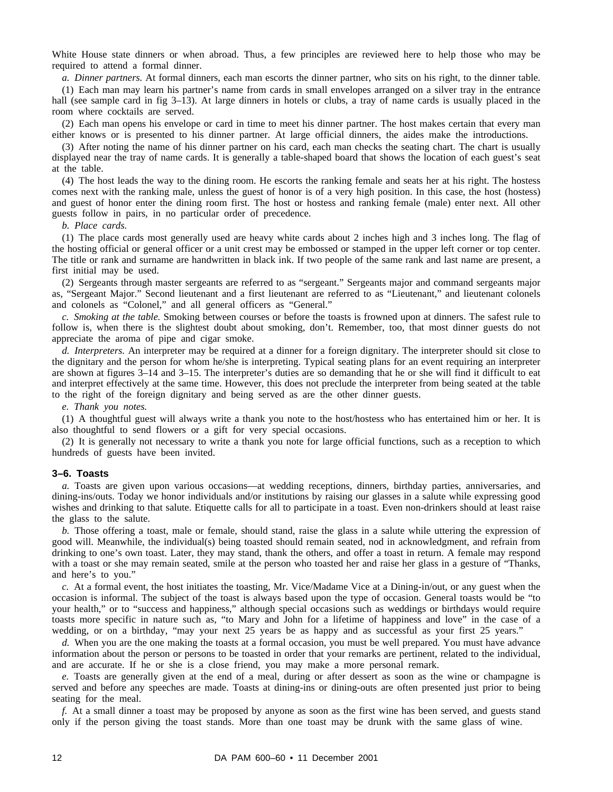White House state dinners or when abroad. Thus, a few principles are reviewed here to help those who may be required to attend a formal dinner.

*a. Dinner partners.* At formal dinners, each man escorts the dinner partner, who sits on his right, to the dinner table.

(1) Each man may learn his partner's name from cards in small envelopes arranged on a silver tray in the entrance hall (see sample card in fig 3–13). At large dinners in hotels or clubs, a tray of name cards is usually placed in the room where cocktails are served.

(2) Each man opens his envelope or card in time to meet his dinner partner. The host makes certain that every man either knows or is presented to his dinner partner. At large official dinners, the aides make the introductions.

(3) After noting the name of his dinner partner on his card, each man checks the seating chart. The chart is usually displayed near the tray of name cards. It is generally a table-shaped board that shows the location of each guest's seat at the table.

(4) The host leads the way to the dining room. He escorts the ranking female and seats her at his right. The hostess comes next with the ranking male, unless the guest of honor is of a very high position. In this case, the host (hostess) and guest of honor enter the dining room first. The host or hostess and ranking female (male) enter next. All other guests follow in pairs, in no particular order of precedence.

#### *b. Place cards.*

(1) The place cards most generally used are heavy white cards about 2 inches high and 3 inches long. The flag of the hosting official or general officer or a unit crest may be embossed or stamped in the upper left corner or top center. The title or rank and surname are handwritten in black ink. If two people of the same rank and last name are present, a first initial may be used.

(2) Sergeants through master sergeants are referred to as "sergeant." Sergeants major and command sergeants major as, "Sergeant Major." Second lieutenant and a first lieutenant are referred to as "Lieutenant," and lieutenant colonels and colonels as "Colonel," and all general officers as "General."

*c. Smoking at the table.* Smoking between courses or before the toasts is frowned upon at dinners. The safest rule to follow is, when there is the slightest doubt about smoking, don't. Remember, too, that most dinner guests do not appreciate the aroma of pipe and cigar smoke.

*d. Interpreters.* An interpreter may be required at a dinner for a foreign dignitary. The interpreter should sit close to the dignitary and the person for whom he/she is interpreting. Typical seating plans for an event requiring an interpreter are shown at figures 3–14 and 3–15. The interpreter's duties are so demanding that he or she will find it difficult to eat and interpret effectively at the same time. However, this does not preclude the interpreter from being seated at the table to the right of the foreign dignitary and being served as are the other dinner guests.

*e. Thank you notes.*

(1) A thoughtful guest will always write a thank you note to the host/hostess who has entertained him or her. It is also thoughtful to send flowers or a gift for very special occasions.

(2) It is generally not necessary to write a thank you note for large official functions, such as a reception to which hundreds of guests have been invited.

#### **3–6. Toasts**

*a.* Toasts are given upon various occasions—at wedding receptions, dinners, birthday parties, anniversaries, and dining-ins/outs. Today we honor individuals and/or institutions by raising our glasses in a salute while expressing good wishes and drinking to that salute. Etiquette calls for all to participate in a toast. Even non-drinkers should at least raise the glass to the salute.

*b.* Those offering a toast, male or female, should stand, raise the glass in a salute while uttering the expression of good will. Meanwhile, the individual(s) being toasted should remain seated, nod in acknowledgment, and refrain from drinking to one's own toast. Later, they may stand, thank the others, and offer a toast in return. A female may respond with a toast or she may remain seated, smile at the person who toasted her and raise her glass in a gesture of "Thanks, and here's to you."

*c.* At a formal event, the host initiates the toasting, Mr. Vice/Madame Vice at a Dining-in/out, or any guest when the occasion is informal. The subject of the toast is always based upon the type of occasion. General toasts would be "to your health," or to "success and happiness," although special occasions such as weddings or birthdays would require toasts more specific in nature such as, "to Mary and John for a lifetime of happiness and love" in the case of a wedding, or on a birthday, "may your next 25 years be as happy and as successful as your first 25 years."

*d.* When you are the one making the toasts at a formal occasion, you must be well prepared. You must have advance information about the person or persons to be toasted in order that your remarks are pertinent, related to the individual, and are accurate. If he or she is a close friend, you may make a more personal remark.

*e.* Toasts are generally given at the end of a meal, during or after dessert as soon as the wine or champagne is served and before any speeches are made. Toasts at dining-ins or dining-outs are often presented just prior to being seating for the meal.

*f.* At a small dinner a toast may be proposed by anyone as soon as the first wine has been served, and guests stand only if the person giving the toast stands. More than one toast may be drunk with the same glass of wine.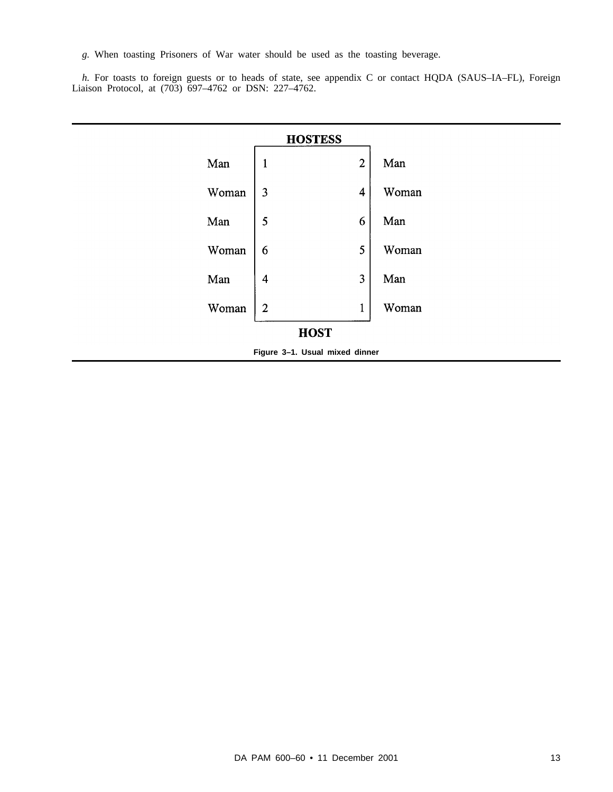*g.* When toasting Prisoners of War water should be used as the toasting beverage.

*h*. For toasts to foreign guests or to heads of state, see appendix C or contact HQDA (SAUS–IA–FL), Foreign Liaison Protocol, at (703) 697–4762 or DSN: 227–4762.

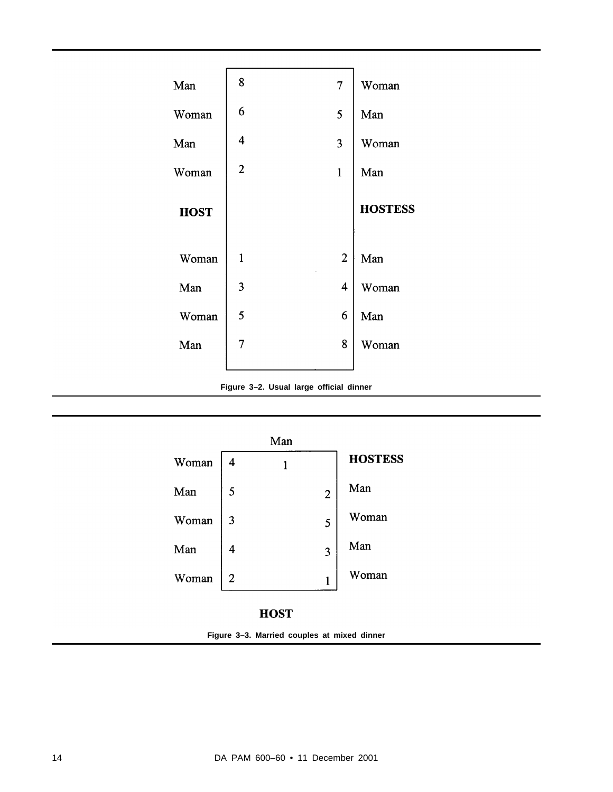

**Figure 3–2. Usual large official dinner**

|       |   | Man |                |                |
|-------|---|-----|----------------|----------------|
| Woman |   |     |                | <b>HOSTESS</b> |
| Man   | 5 |     | $\overline{2}$ | Man            |
| Woman | 3 |     | 5              | Woman          |
| Man   | 4 |     | 3              | Man            |
| Woman | 2 |     | 1              | Woman          |

# **HOST**

**Figure 3–3. Married couples at mixed dinner**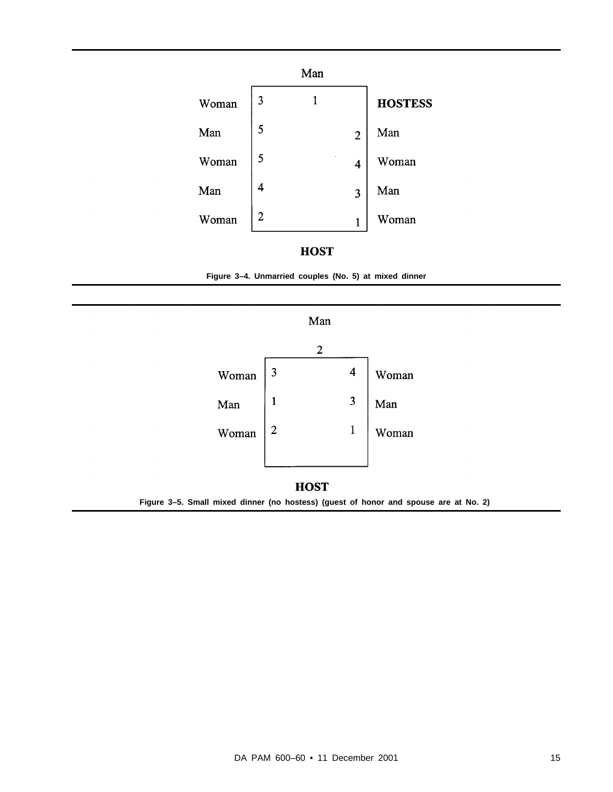



**Figure 3–4. Unmarried couples (No. 5) at mixed dinner**

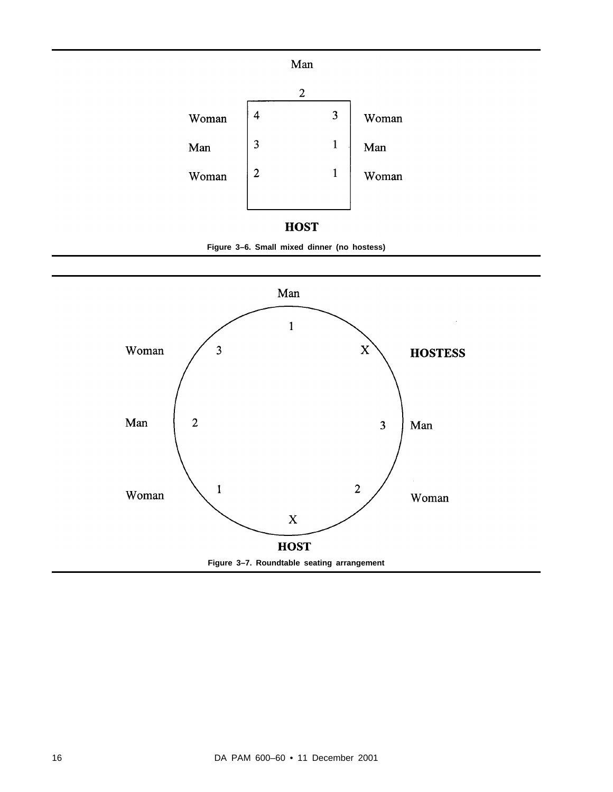



**Figure 3–6. Small mixed dinner (no hostess)**

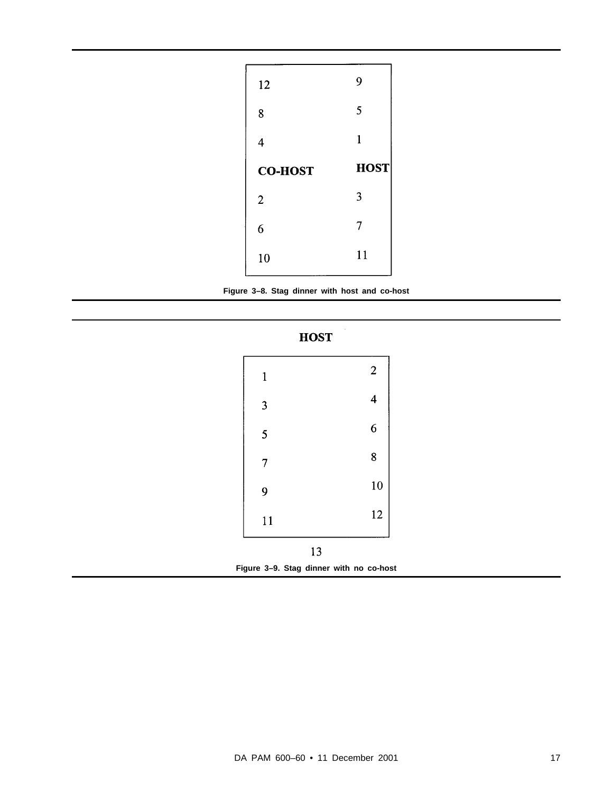| 12             | 9            |
|----------------|--------------|
| 8              | 5            |
| 4              | $\mathbf{1}$ |
| <b>CO-HOST</b> | <b>HOST</b>  |
| $\overline{2}$ | 3            |
| 6              | 7            |
|                | 11           |





| $\mathbf{1}$                            |    | $\overline{c}$          |
|-----------------------------------------|----|-------------------------|
| 3                                       |    | $\overline{\mathbf{4}}$ |
| 5                                       |    | 6                       |
| 7                                       |    | 8                       |
| 9                                       |    | 10                      |
| 11                                      |    | 12                      |
|                                         | 13 |                         |
| Figure 3-9. Stag dinner with no co-host |    |                         |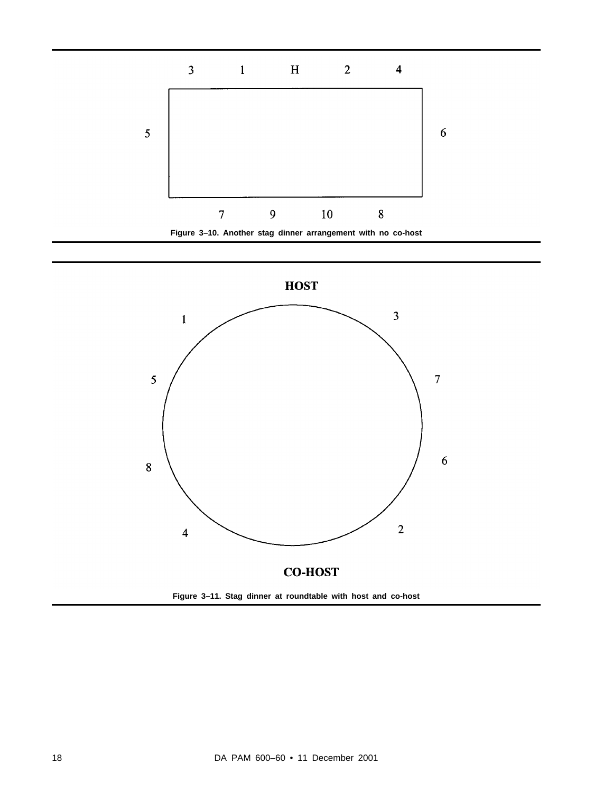



**Figure 3–11. Stag dinner at roundtable with host and co-host**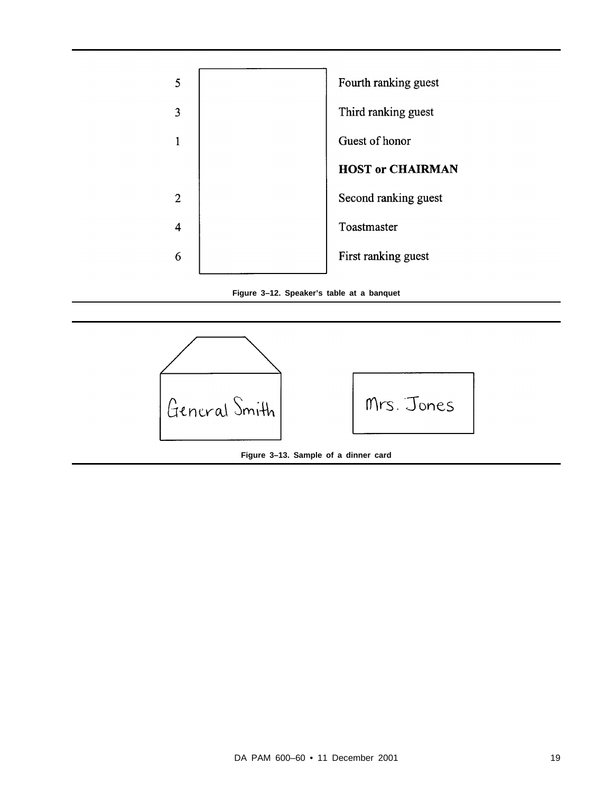

**Figure 3–12. Speaker's table at a banquet**





**Figure 3–13. Sample of a dinner card**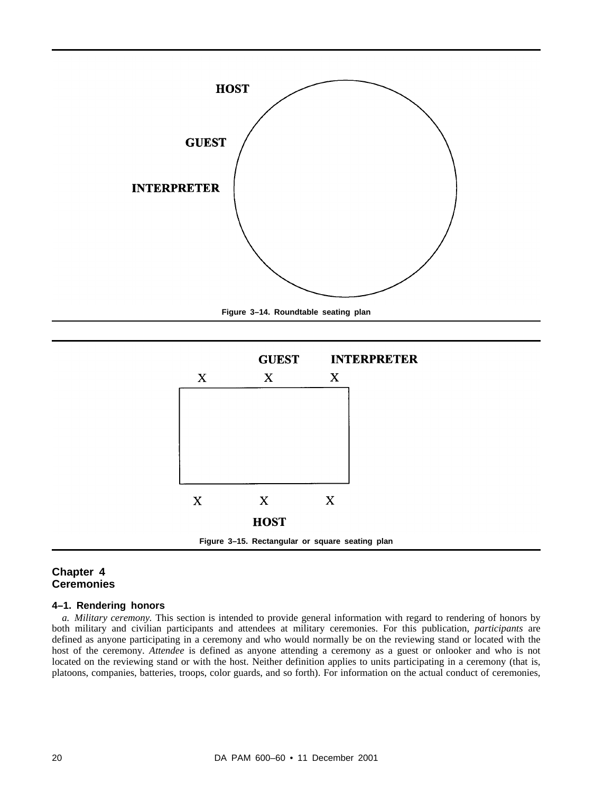

**Figure 3–14. Roundtable seating plan**



# **Chapter 4 Ceremonies**

# **4–1. Rendering honors**

*a. Military ceremony.* This section is intended to provide general information with regard to rendering of honors by both military and civilian participants and attendees at military ceremonies. For this publication, *participants* are defined as anyone participating in a ceremony and who would normally be on the reviewing stand or located with the host of the ceremony. *Attendee* is defined as anyone attending a ceremony as a guest or onlooker and who is not located on the reviewing stand or with the host. Neither definition applies to units participating in a ceremony (that is, platoons, companies, batteries, troops, color guards, and so forth). For information on the actual conduct of ceremonies,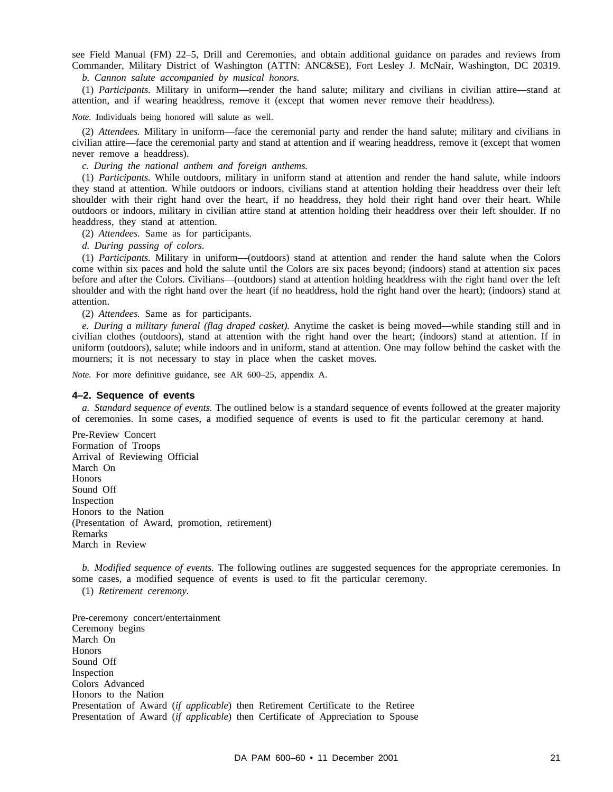see Field Manual (FM) 22–5, Drill and Ceremonies, and obtain additional guidance on parades and reviews from Commander, Military District of Washington (ATTN: ANC&SE), Fort Lesley J. McNair, Washington, DC 20319. *b. Cannon salute accompanied by musical honors.*

(1) *Participants.* Military in uniform—render the hand salute; military and civilians in civilian attire—stand at attention, and if wearing headdress, remove it (except that women never remove their headdress).

*Note.* Individuals being honored will salute as well.

(2) *Attendees.* Military in uniform—face the ceremonial party and render the hand salute; military and civilians in civilian attire—face the ceremonial party and stand at attention and if wearing headdress, remove it (except that women never remove a headdress).

*c. During the national anthem and foreign anthems.*

(1) *Participants.* While outdoors, military in uniform stand at attention and render the hand salute, while indoors they stand at attention. While outdoors or indoors, civilians stand at attention holding their headdress over their left shoulder with their right hand over the heart, if no headdress, they hold their right hand over their heart. While outdoors or indoors, military in civilian attire stand at attention holding their headdress over their left shoulder. If no headdress, they stand at attention.

(2) *Attendees.* Same as for participants.

*d. During passing of colors.*

(1) *Participants.* Military in uniform—(outdoors) stand at attention and render the hand salute when the Colors come within six paces and hold the salute until the Colors are six paces beyond; (indoors) stand at attention six paces before and after the Colors. Civilians—(outdoors) stand at attention holding headdress with the right hand over the left shoulder and with the right hand over the heart (if no headdress, hold the right hand over the heart); (indoors) stand at attention.

(2) *Attendees.* Same as for participants.

*e. During a military funeral (flag draped casket).* Anytime the casket is being moved—while standing still and in civilian clothes (outdoors), stand at attention with the right hand over the heart; (indoors) stand at attention. If in uniform (outdoors), salute; while indoors and in uniform, stand at attention. One may follow behind the casket with the mourners; it is not necessary to stay in place when the casket moves.

*Note.* For more definitive guidance, see AR 600–25, appendix A.

#### **4–2. Sequence of events**

*a. Standard sequence of events.* The outlined below is a standard sequence of events followed at the greater majority of ceremonies. In some cases, a modified sequence of events is used to fit the particular ceremony at hand.

Pre-Review Concert Formation of Troops Arrival of Reviewing Official March On **Honors** Sound Off Inspection Honors to the Nation (Presentation of Award, promotion, retirement) Remarks March in Review

*b. Modified sequence of events.* The following outlines are suggested sequences for the appropriate ceremonies. In some cases, a modified sequence of events is used to fit the particular ceremony.

(1) *Retirement ceremony.*

Pre-ceremony concert/entertainment Ceremony begins March On **Honors** Sound Off Inspection Colors Advanced Honors to the Nation Presentation of Award (*if applicable*) then Retirement Certificate to the Retiree Presentation of Award (*if applicable*) then Certificate of Appreciation to Spouse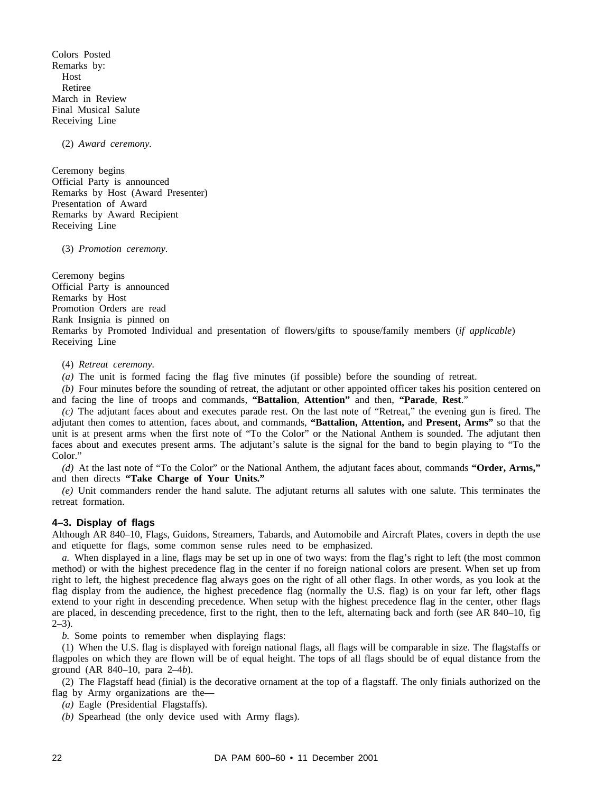Colors Posted Remarks by: Host Retiree March in Review Final Musical Salute Receiving Line

(2) *Award ceremony.*

Ceremony begins Official Party is announced Remarks by Host (Award Presenter) Presentation of Award Remarks by Award Recipient Receiving Line

(3) *Promotion ceremony.*

Ceremony begins Official Party is announced Remarks by Host Promotion Orders are read Rank Insignia is pinned on Remarks by Promoted Individual and presentation of flowers/gifts to spouse/family members (*if applicable*) Receiving Line

(4) *Retreat ceremony.*

*(a)* The unit is formed facing the flag five minutes (if possible) before the sounding of retreat.

*(b)* Four minutes before the sounding of retreat, the adjutant or other appointed officer takes his position centered on and facing the line of troops and commands, **"Battalion**, **Attention"** and then, **"Parade**, **Rest**."

*(c)* The adjutant faces about and executes parade rest. On the last note of "Retreat," the evening gun is fired. The adjutant then comes to attention, faces about, and commands, **"Battalion, Attention,** and **Present, Arms"** so that the unit is at present arms when the first note of "To the Color" or the National Anthem is sounded. The adjutant then faces about and executes present arms. The adjutant's salute is the signal for the band to begin playing to "To the Color."

*(d)* At the last note of "To the Color" or the National Anthem, the adjutant faces about, commands **"Order, Arms,"** and then directs **"Take Charge of Your Units."**

*(e)* Unit commanders render the hand salute. The adjutant returns all salutes with one salute. This terminates the retreat formation.

#### **4–3. Display of flags**

Although AR 840–10, Flags, Guidons, Streamers, Tabards, and Automobile and Aircraft Plates, covers in depth the use and etiquette for flags, some common sense rules need to be emphasized.

*a.* When displayed in a line, flags may be set up in one of two ways: from the flag's right to left (the most common method) or with the highest precedence flag in the center if no foreign national colors are present. When set up from right to left, the highest precedence flag always goes on the right of all other flags. In other words, as you look at the flag display from the audience, the highest precedence flag (normally the U.S. flag) is on your far left, other flags extend to your right in descending precedence. When setup with the highest precedence flag in the center, other flags are placed, in descending precedence, first to the right, then to the left, alternating back and forth (see AR 840–10, fig  $2-3$ ).

*b.* Some points to remember when displaying flags:

(1) When the U.S. flag is displayed with foreign national flags, all flags will be comparable in size. The flagstaffs or flagpoles on which they are flown will be of equal height. The tops of all flags should be of equal distance from the ground (AR 840–10, para 2–4*b*).

(2) The Flagstaff head (finial) is the decorative ornament at the top of a flagstaff. The only finials authorized on the flag by Army organizations are the—

- *(a)* Eagle (Presidential Flagstaffs).
- *(b)* Spearhead (the only device used with Army flags).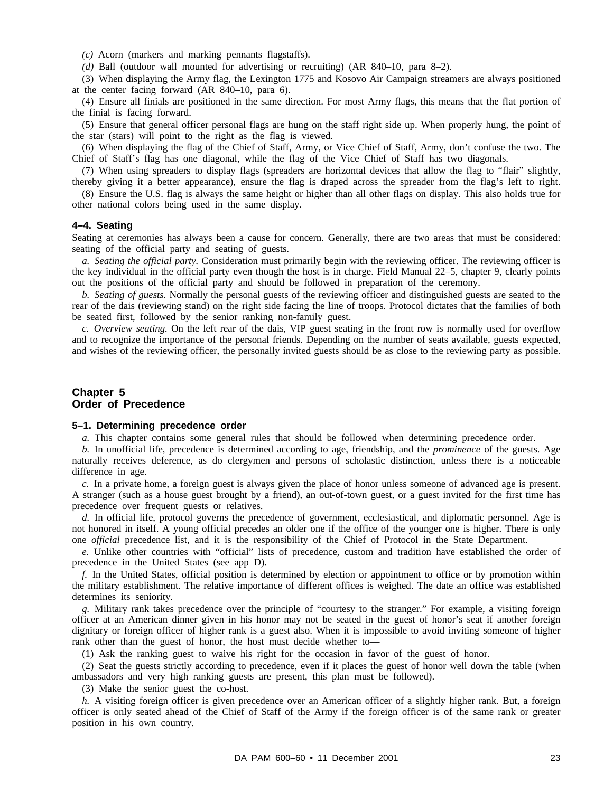*(c)* Acorn (markers and marking pennants flagstaffs).

*(d)* Ball (outdoor wall mounted for advertising or recruiting) (AR 840–10, para 8–2).

(3) When displaying the Army flag, the Lexington 1775 and Kosovo Air Campaign streamers are always positioned at the center facing forward (AR 840–10, para 6).

(4) Ensure all finials are positioned in the same direction. For most Army flags, this means that the flat portion of the finial is facing forward.

(5) Ensure that general officer personal flags are hung on the staff right side up. When properly hung, the point of the star (stars) will point to the right as the flag is viewed.

(6) When displaying the flag of the Chief of Staff, Army, or Vice Chief of Staff, Army, don't confuse the two. The Chief of Staff's flag has one diagonal, while the flag of the Vice Chief of Staff has two diagonals.

(7) When using spreaders to display flags (spreaders are horizontal devices that allow the flag to "flair" slightly, thereby giving it a better appearance), ensure the flag is draped across the spreader from the flag's left to right.

(8) Ensure the U.S. flag is always the same height or higher than all other flags on display. This also holds true for other national colors being used in the same display.

#### **4–4. Seating**

Seating at ceremonies has always been a cause for concern. Generally, there are two areas that must be considered: seating of the official party and seating of guests.

*a. Seating the official party.* Consideration must primarily begin with the reviewing officer. The reviewing officer is the key individual in the official party even though the host is in charge. Field Manual 22–5, chapter 9, clearly points out the positions of the official party and should be followed in preparation of the ceremony.

*b. Seating of guests.* Normally the personal guests of the reviewing officer and distinguished guests are seated to the rear of the dais (reviewing stand) on the right side facing the line of troops. Protocol dictates that the families of both be seated first, followed by the senior ranking non-family guest.

*c. Overview seating.* On the left rear of the dais, VIP guest seating in the front row is normally used for overflow and to recognize the importance of the personal friends. Depending on the number of seats available, guests expected, and wishes of the reviewing officer, the personally invited guests should be as close to the reviewing party as possible.

# **Chapter 5 Order of Precedence**

#### **5–1. Determining precedence order**

*a.* This chapter contains some general rules that should be followed when determining precedence order.

*b.* In unofficial life, precedence is determined according to age, friendship, and the *prominence* of the guests. Age naturally receives deference, as do clergymen and persons of scholastic distinction, unless there is a noticeable difference in age.

*c.* In a private home, a foreign guest is always given the place of honor unless someone of advanced age is present. A stranger (such as a house guest brought by a friend), an out-of-town guest, or a guest invited for the first time has precedence over frequent guests or relatives.

*d.* In official life, protocol governs the precedence of government, ecclesiastical, and diplomatic personnel. Age is not honored in itself. A young official precedes an older one if the office of the younger one is higher. There is only one *official* precedence list, and it is the responsibility of the Chief of Protocol in the State Department.

*e.* Unlike other countries with "official" lists of precedence, custom and tradition have established the order of precedence in the United States (see app D).

*f.* In the United States, official position is determined by election or appointment to office or by promotion within the military establishment. The relative importance of different offices is weighed. The date an office was established determines its seniority.

*g.* Military rank takes precedence over the principle of "courtesy to the stranger." For example, a visiting foreign officer at an American dinner given in his honor may not be seated in the guest of honor's seat if another foreign dignitary or foreign officer of higher rank is a guest also. When it is impossible to avoid inviting someone of higher rank other than the guest of honor, the host must decide whether to—

(1) Ask the ranking guest to waive his right for the occasion in favor of the guest of honor.

(2) Seat the guests strictly according to precedence, even if it places the guest of honor well down the table (when ambassadors and very high ranking guests are present, this plan must be followed).

(3) Make the senior guest the co-host.

*h.* A visiting foreign officer is given precedence over an American officer of a slightly higher rank. But, a foreign officer is only seated ahead of the Chief of Staff of the Army if the foreign officer is of the same rank or greater position in his own country.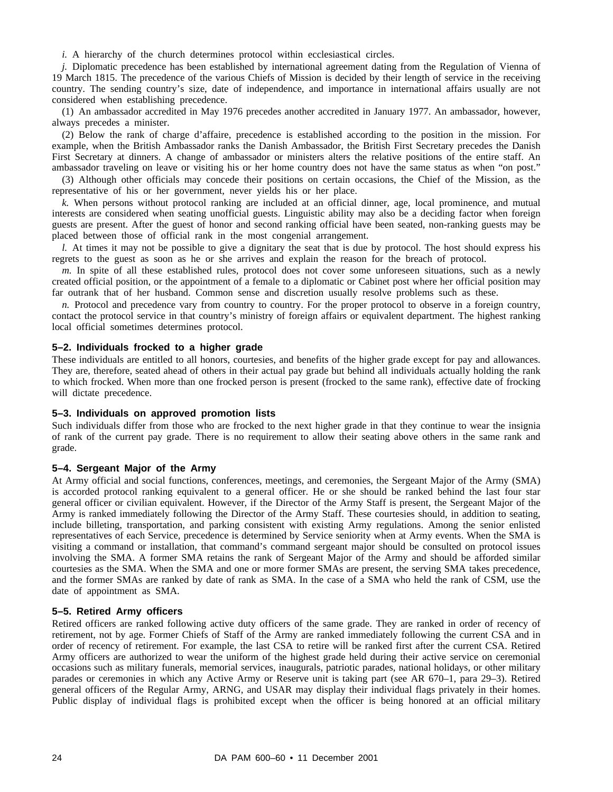*i.* A hierarchy of the church determines protocol within ecclesiastical circles.

*j.* Diplomatic precedence has been established by international agreement dating from the Regulation of Vienna of 19 March 1815. The precedence of the various Chiefs of Mission is decided by their length of service in the receiving country. The sending country's size, date of independence, and importance in international affairs usually are not considered when establishing precedence.

(1) An ambassador accredited in May 1976 precedes another accredited in January 1977. An ambassador, however, always precedes a minister.

(2) Below the rank of charge d'affaire, precedence is established according to the position in the mission. For example, when the British Ambassador ranks the Danish Ambassador, the British First Secretary precedes the Danish First Secretary at dinners. A change of ambassador or ministers alters the relative positions of the entire staff. An ambassador traveling on leave or visiting his or her home country does not have the same status as when "on post."

(3) Although other officials may concede their positions on certain occasions, the Chief of the Mission, as the representative of his or her government, never yields his or her place.

*k.* When persons without protocol ranking are included at an official dinner, age, local prominence, and mutual interests are considered when seating unofficial guests. Linguistic ability may also be a deciding factor when foreign guests are present. After the guest of honor and second ranking official have been seated, non-ranking guests may be placed between those of official rank in the most congenial arrangement.

*l.* At times it may not be possible to give a dignitary the seat that is due by protocol. The host should express his regrets to the guest as soon as he or she arrives and explain the reason for the breach of protocol.

*m.* In spite of all these established rules, protocol does not cover some unforeseen situations, such as a newly created official position, or the appointment of a female to a diplomatic or Cabinet post where her official position may far outrank that of her husband. Common sense and discretion usually resolve problems such as these.

*n.* Protocol and precedence vary from country to country. For the proper protocol to observe in a foreign country, contact the protocol service in that country's ministry of foreign affairs or equivalent department. The highest ranking local official sometimes determines protocol.

#### **5–2. Individuals frocked to a higher grade**

These individuals are entitled to all honors, courtesies, and benefits of the higher grade except for pay and allowances. They are, therefore, seated ahead of others in their actual pay grade but behind all individuals actually holding the rank to which frocked. When more than one frocked person is present (frocked to the same rank), effective date of frocking will dictate precedence.

#### **5–3. Individuals on approved promotion lists**

Such individuals differ from those who are frocked to the next higher grade in that they continue to wear the insignia of rank of the current pay grade. There is no requirement to allow their seating above others in the same rank and grade.

#### **5–4. Sergeant Major of the Army**

At Army official and social functions, conferences, meetings, and ceremonies, the Sergeant Major of the Army (SMA) is accorded protocol ranking equivalent to a general officer. He or she should be ranked behind the last four star general officer or civilian equivalent. However, if the Director of the Army Staff is present, the Sergeant Major of the Army is ranked immediately following the Director of the Army Staff. These courtesies should, in addition to seating, include billeting, transportation, and parking consistent with existing Army regulations. Among the senior enlisted representatives of each Service, precedence is determined by Service seniority when at Army events. When the SMA is visiting a command or installation, that command's command sergeant major should be consulted on protocol issues involving the SMA. A former SMA retains the rank of Sergeant Major of the Army and should be afforded similar courtesies as the SMA. When the SMA and one or more former SMAs are present, the serving SMA takes precedence, and the former SMAs are ranked by date of rank as SMA. In the case of a SMA who held the rank of CSM, use the date of appointment as SMA.

#### **5–5. Retired Army officers**

Retired officers are ranked following active duty officers of the same grade. They are ranked in order of recency of retirement, not by age. Former Chiefs of Staff of the Army are ranked immediately following the current CSA and in order of recency of retirement. For example, the last CSA to retire will be ranked first after the current CSA. Retired Army officers are authorized to wear the uniform of the highest grade held during their active service on ceremonial occasions such as military funerals, memorial services, inaugurals, patriotic parades, national holidays, or other military parades or ceremonies in which any Active Army or Reserve unit is taking part (see AR 670–1, para 29–3). Retired general officers of the Regular Army, ARNG, and USAR may display their individual flags privately in their homes. Public display of individual flags is prohibited except when the officer is being honored at an official military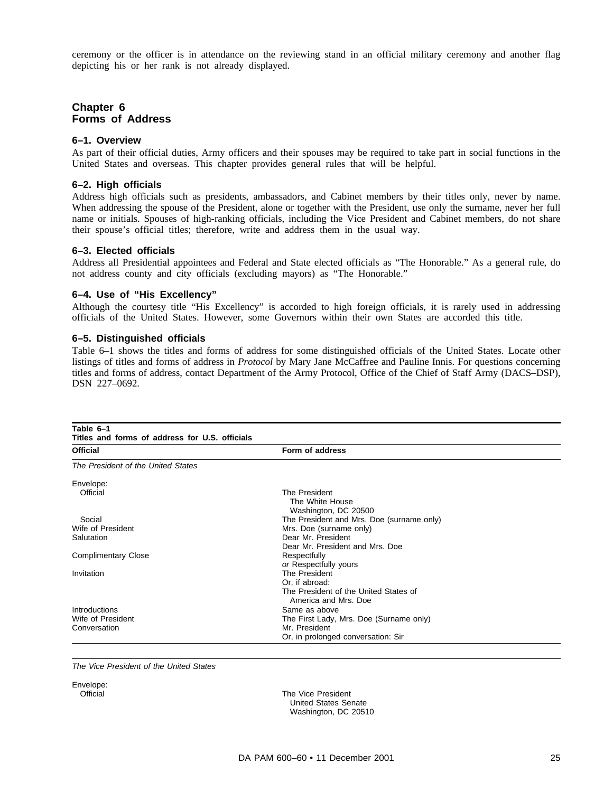ceremony or the officer is in attendance on the reviewing stand in an official military ceremony and another flag depicting his or her rank is not already displayed.

# **Chapter 6 Forms of Address**

#### **6–1. Overview**

As part of their official duties, Army officers and their spouses may be required to take part in social functions in the United States and overseas. This chapter provides general rules that will be helpful.

#### **6–2. High officials**

Address high officials such as presidents, ambassadors, and Cabinet members by their titles only, never by name. When addressing the spouse of the President, alone or together with the President, use only the surname, never her full name or initials. Spouses of high-ranking officials, including the Vice President and Cabinet members, do not share their spouse's official titles; therefore, write and address them in the usual way.

#### **6–3. Elected officials**

Address all Presidential appointees and Federal and State elected officials as "The Honorable." As a general rule, do not address county and city officials (excluding mayors) as "The Honorable."

#### **6–4. Use of "His Excellency"**

Although the courtesy title "His Excellency" is accorded to high foreign officials, it is rarely used in addressing officials of the United States. However, some Governors within their own States are accorded this title.

#### **6–5. Distinguished officials**

Table 6–1 shows the titles and forms of address for some distinguished officials of the United States. Locate other listings of titles and forms of address in *Protocol* by Mary Jane McCaffree and Pauline Innis. For questions concerning titles and forms of address, contact Department of the Army Protocol, Office of the Chief of Staff Army (DACS–DSP), DSN 227–0692.

| Table 6-1<br>Titles and forms of address for U.S. officials |                                                               |  |  |
|-------------------------------------------------------------|---------------------------------------------------------------|--|--|
| <b>Official</b>                                             | Form of address                                               |  |  |
| The President of the United States                          |                                                               |  |  |
| Envelope:                                                   |                                                               |  |  |
| Official                                                    | The President<br>The White House<br>Washington, DC 20500      |  |  |
| Social                                                      | The President and Mrs. Doe (surname only)                     |  |  |
| Wife of President                                           | Mrs. Doe (surname only)                                       |  |  |
| Salutation                                                  | Dear Mr. President                                            |  |  |
|                                                             | Dear Mr. President and Mrs. Doe                               |  |  |
| <b>Complimentary Close</b>                                  | Respectfully                                                  |  |  |
|                                                             | or Respectfully yours                                         |  |  |
| Invitation                                                  | The President                                                 |  |  |
|                                                             | Or, if abroad:                                                |  |  |
|                                                             | The President of the United States of<br>America and Mrs. Doe |  |  |
| Introductions                                               | Same as above                                                 |  |  |
| Wife of President                                           | The First Lady, Mrs. Doe (Surname only)                       |  |  |
| Conversation                                                | Mr. President                                                 |  |  |
|                                                             | Or, in prolonged conversation: Sir                            |  |  |

The Vice President of the United States

Envelope:

Official **Official** The Vice President United States Senate Washington, DC 20510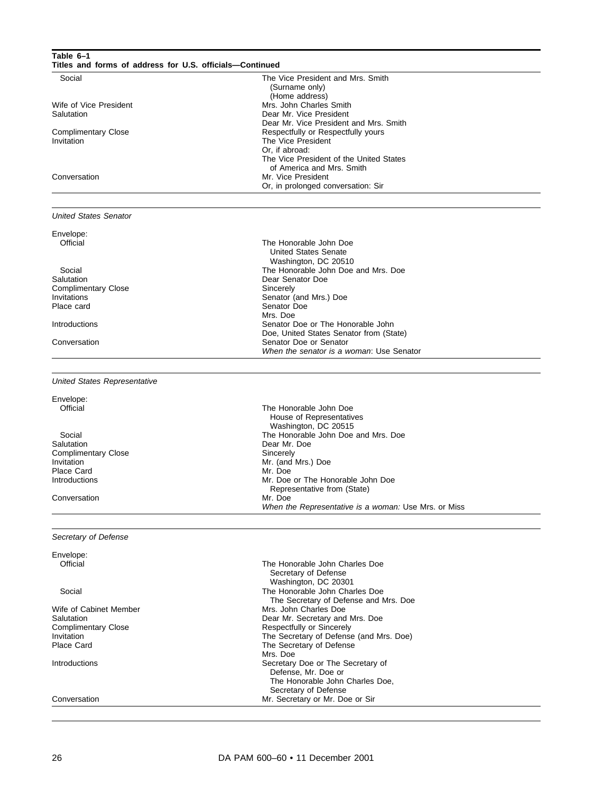| Table 6-1<br>Titles and forms of address for U.S. officials-Continued                           |                                                                                                                                                              |
|-------------------------------------------------------------------------------------------------|--------------------------------------------------------------------------------------------------------------------------------------------------------------|
| Social                                                                                          | The Vice President and Mrs. Smith<br>(Surname only)<br>(Home address)                                                                                        |
| Wife of Vice President<br>Salutation                                                            | Mrs. John Charles Smith<br>Dear Mr. Vice President<br>Dear Mr. Vice President and Mrs. Smith                                                                 |
| <b>Complimentary Close</b><br>Invitation                                                        | Respectfully or Respectfully yours<br>The Vice President<br>Or, if abroad:<br>The Vice President of the United States                                        |
| Conversation                                                                                    | of America and Mrs. Smith<br>Mr. Vice President<br>Or, in prolonged conversation: Sir                                                                        |
| <b>United States Senator</b>                                                                    |                                                                                                                                                              |
| Envelope:<br>Official                                                                           | The Honorable John Doe<br><b>United States Senate</b><br>Washington, DC 20510                                                                                |
| Social<br>Salutation<br><b>Complimentary Close</b><br>Invitations<br>Place card                 | The Honorable John Doe and Mrs. Doe<br>Dear Senator Doe<br>Sincerely<br>Senator (and Mrs.) Doe<br>Senator Doe                                                |
| Introductions                                                                                   | Mrs. Doe<br>Senator Doe or The Honorable John<br>Doe, United States Senator from (State)                                                                     |
| Conversation                                                                                    | Senator Doe or Senator<br>When the senator is a woman: Use Senator                                                                                           |
| <b>United States Representative</b>                                                             |                                                                                                                                                              |
| Envelope:<br>Official                                                                           | The Honorable John Doe<br>House of Representatives<br>Washington, DC 20515                                                                                   |
| Social<br>Salutation<br><b>Complimentary Close</b><br>Invitation<br>Place Card<br>Introductions | The Honorable John Doe and Mrs. Doe<br>Dear Mr. Doe<br>Sincerely<br>Mr. (and Mrs.) Doe<br>Mr. Doe<br>Mr. Doe or The Honorable John Doe                       |
| Conversation                                                                                    | Representative from (State)<br>Mr. Doe<br>When the Representative is a woman: Use Mrs. or Miss                                                               |
| Secretary of Defense                                                                            |                                                                                                                                                              |
| Envelope:<br>Official                                                                           | The Honorable John Charles Doe<br>Secretary of Defense                                                                                                       |
| Social                                                                                          | Washington, DC 20301<br>The Honorable John Charles Doe<br>The Secretary of Defense and Mrs. Doe                                                              |
| Wife of Cabinet Member<br>Salutation<br><b>Complimentary Close</b><br>Invitation<br>Place Card  | Mrs. John Charles Doe<br>Dear Mr. Secretary and Mrs. Doe<br>Respectfully or Sincerely<br>The Secretary of Defense (and Mrs. Doe)<br>The Secretary of Defense |
| Introductions                                                                                   | Mrs. Doe<br>Secretary Doe or The Secretary of<br>Defense, Mr. Doe or<br>The Honorable John Charles Doe,                                                      |
| Conversation                                                                                    | Secretary of Defense<br>Mr. Secretary or Mr. Doe or Sir                                                                                                      |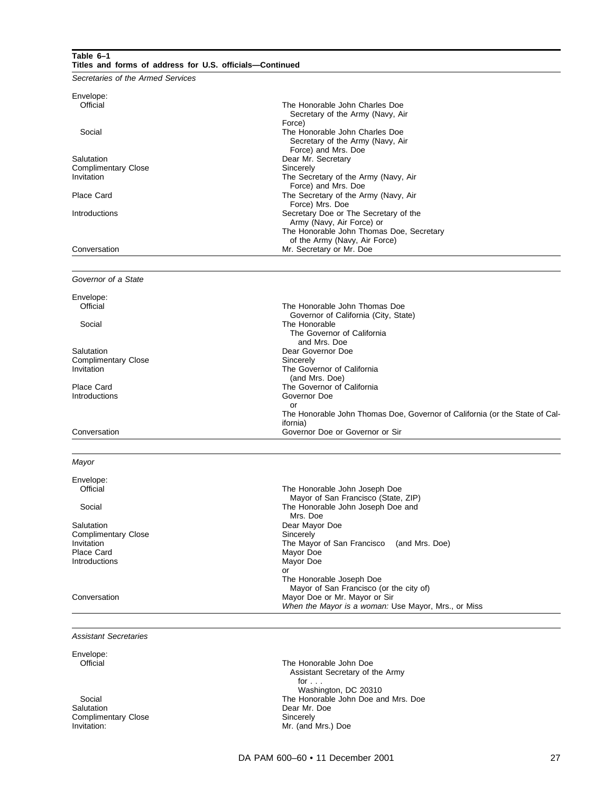#### **Table 6–1 Titles and forms of address for U.S. officials—Continued**

Secretaries of the Armed Services

| Envelope:<br>Official<br>The Honorable John Charles Doe<br>Secretary of the Army (Navy, Air<br>Force)<br>The Honorable John Charles Doe<br>Social<br>Secretary of the Army (Navy, Air<br>Force) and Mrs. Doe<br>Salutation<br>Dear Mr. Secretary<br>Sincerely<br><b>Complimentary Close</b> |
|---------------------------------------------------------------------------------------------------------------------------------------------------------------------------------------------------------------------------------------------------------------------------------------------|
|                                                                                                                                                                                                                                                                                             |
|                                                                                                                                                                                                                                                                                             |
|                                                                                                                                                                                                                                                                                             |
|                                                                                                                                                                                                                                                                                             |
|                                                                                                                                                                                                                                                                                             |
|                                                                                                                                                                                                                                                                                             |
|                                                                                                                                                                                                                                                                                             |
|                                                                                                                                                                                                                                                                                             |
|                                                                                                                                                                                                                                                                                             |
| Invitation<br>The Secretary of the Army (Navy, Air                                                                                                                                                                                                                                          |
| Force) and Mrs. Doe                                                                                                                                                                                                                                                                         |
| Place Card<br>The Secretary of the Army (Navy, Air                                                                                                                                                                                                                                          |
| Force) Mrs. Doe                                                                                                                                                                                                                                                                             |
| Secretary Doe or The Secretary of the<br>Introductions                                                                                                                                                                                                                                      |
| Army (Navy, Air Force) or                                                                                                                                                                                                                                                                   |
| The Honorable John Thomas Doe, Secretary                                                                                                                                                                                                                                                    |
| of the Army (Navy, Air Force)                                                                                                                                                                                                                                                               |
| Conversation<br>Mr. Secretary or Mr. Doe                                                                                                                                                                                                                                                    |
|                                                                                                                                                                                                                                                                                             |
| Governor of a State                                                                                                                                                                                                                                                                         |
| Envelope:                                                                                                                                                                                                                                                                                   |
| Official<br>The Honorable John Thomas Doe                                                                                                                                                                                                                                                   |
| Governor of California (City, State)                                                                                                                                                                                                                                                        |
| The Honorable<br>Social                                                                                                                                                                                                                                                                     |
| The Governor of California                                                                                                                                                                                                                                                                  |
| and Mrs. Doe                                                                                                                                                                                                                                                                                |
| Salutation<br>Dear Governor Doe                                                                                                                                                                                                                                                             |

The Governor of California (and Mrs. Doe)

Governor Doe or

ifornia)

Complimentary Close Sincerely<br>
Invitation The Gove

Place Card **Place Card Covernor of California**<br>
Introductions **Covernor Covernor Doe** 

#### Conversation Governor Doe or Governor or Sir

#### Mayor

Envelope:<br>Official

Complimentary Close<br>Invitation Place Card Mayor Doe Introductions and Mayor Doe Introductions and Mayor Doe Mayor Doe Introductions

The Honorable John Joseph Doe Mayor of San Francisco (State, ZIP) Social Social Social Contract Contract Contract Contract The Honorable John Joseph Doe and Mrs. Doe Salutation Dear Mayor Doe<br>
Complimentary Close Complise Complimentary Close The Mayor of San Francisco (and Mrs. Doe)<br>Mavor Doe or The Honorable Joseph Doe Mayor of San Francisco (or the city of) Conversation **Mayor Doe or Mr. Mayor or Sir** Mayor Doe or Mr. Mayor or Sir When the Mayor is a woman: Use Mayor, Mrs., or Miss

The Honorable John Thomas Doe, Governor of California (or the State of Cal-

Assistant Secretaries

Envelope:<br>Official

Complimentary Close<br>Invitation:

The Honorable John Doe Assistant Secretary of the Army for . . . Washington, DC 20310 Social Social Social Social Social Social Social Social Social Social Social Social Social Social Social Social Social Social Social Social Social Social Social Social Social Social Social Social Social Social Social Socia Dear Mr. Doe<br>Sincerely Mr. (and Mrs.) Doe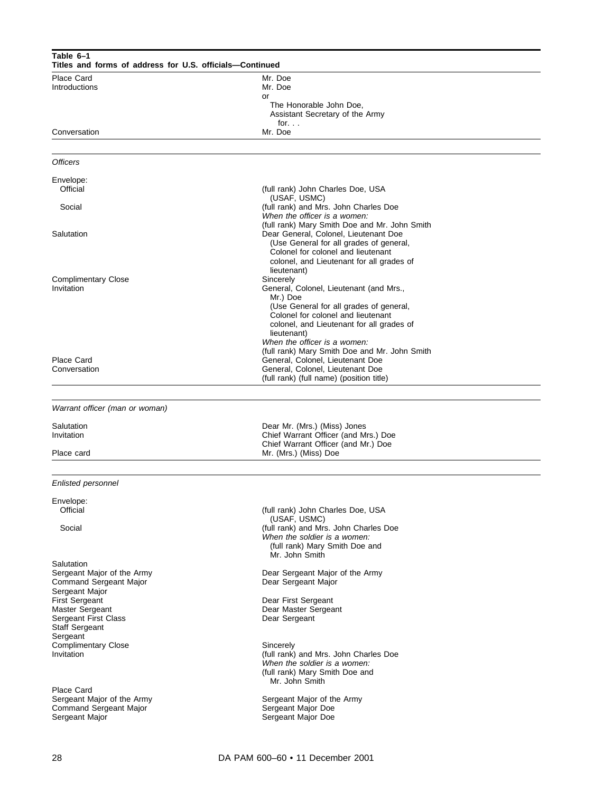| Table 6-1<br>Titles and forms of address for U.S. officials-Continued |                                                                                                                                                                         |  |  |
|-----------------------------------------------------------------------|-------------------------------------------------------------------------------------------------------------------------------------------------------------------------|--|--|
| Place Card                                                            | Mr. Doe                                                                                                                                                                 |  |  |
| Introductions                                                         | Mr. Doe<br>or                                                                                                                                                           |  |  |
|                                                                       | The Honorable John Doe,<br>Assistant Secretary of the Army                                                                                                              |  |  |
| Conversation                                                          | for. $\ldots$<br>Mr. Doe                                                                                                                                                |  |  |
|                                                                       |                                                                                                                                                                         |  |  |
| <b>Officers</b>                                                       |                                                                                                                                                                         |  |  |
| Envelope:<br>Official                                                 | (full rank) John Charles Doe, USA                                                                                                                                       |  |  |
| Social                                                                | (USAF, USMC)<br>(full rank) and Mrs. John Charles Doe<br>When the officer is a women:                                                                                   |  |  |
| Salutation                                                            | (full rank) Mary Smith Doe and Mr. John Smith<br>Dear General, Colonel, Lieutenant Doe<br>(Use General for all grades of general,<br>Colonel for colonel and lieutenant |  |  |
|                                                                       | colonel, and Lieutenant for all grades of<br>lieutenant)                                                                                                                |  |  |
| <b>Complimentary Close</b><br>Invitation                              | Sincerely<br>General, Colonel, Lieutenant (and Mrs.,<br>Mr.) Doe                                                                                                        |  |  |
|                                                                       | (Use General for all grades of general,<br>Colonel for colonel and lieutenant                                                                                           |  |  |
|                                                                       | colonel, and Lieutenant for all grades of<br>lieutenant)                                                                                                                |  |  |
|                                                                       | When the officer is a women:<br>(full rank) Mary Smith Doe and Mr. John Smith                                                                                           |  |  |
| <b>Place Card</b>                                                     | General, Colonel, Lieutenant Doe                                                                                                                                        |  |  |
| Conversation                                                          | General, Colonel, Lieutenant Doe                                                                                                                                        |  |  |
|                                                                       | (full rank) (full name) (position title)                                                                                                                                |  |  |
| Warrant officer (man or woman)                                        |                                                                                                                                                                         |  |  |
| Salutation                                                            | Dear Mr. (Mrs.) (Miss) Jones                                                                                                                                            |  |  |
| Invitation                                                            | Chief Warrant Officer (and Mrs.) Doe                                                                                                                                    |  |  |
| Place card                                                            | Chief Warrant Officer (and Mr.) Doe<br>Mr. (Mrs.) (Miss) Doe                                                                                                            |  |  |
|                                                                       |                                                                                                                                                                         |  |  |
| Enlisted personnel                                                    |                                                                                                                                                                         |  |  |
| Envelope:<br>Official                                                 | (full rank) John Charles Doe, USA                                                                                                                                       |  |  |
| Social                                                                | (USAF, USMC)<br>(full rank) and Mrs. John Charles Doe                                                                                                                   |  |  |
|                                                                       | When the soldier is a women:<br>(full rank) Mary Smith Doe and                                                                                                          |  |  |
|                                                                       | Mr. John Smith                                                                                                                                                          |  |  |
| Salutation<br>Sergeant Major of the Army                              | Dear Sergeant Major of the Army                                                                                                                                         |  |  |
| Command Sergeant Major                                                | Dear Sergeant Major                                                                                                                                                     |  |  |
| Sergeant Major<br>First Sergeant                                      | Dear First Sergeant                                                                                                                                                     |  |  |
| Master Sergeant                                                       | Dear Master Sergeant                                                                                                                                                    |  |  |
| Sergeant First Class<br><b>Staff Sergeant</b>                         | Dear Sergeant                                                                                                                                                           |  |  |
| Sergeant<br><b>Complimentary Close</b>                                | Sincerely                                                                                                                                                               |  |  |
| Invitation                                                            | (full rank) and Mrs. John Charles Doe<br>When the soldier is a women:<br>(full rank) Mary Smith Doe and<br>Mr. John Smith                                               |  |  |
| Place Card                                                            |                                                                                                                                                                         |  |  |
| Sergeant Major of the Army<br>Command Sergeant Major                  | Sergeant Major of the Army<br>Sergeant Major Doe                                                                                                                        |  |  |
| Sergeant Major                                                        | Sergeant Major Doe                                                                                                                                                      |  |  |
|                                                                       |                                                                                                                                                                         |  |  |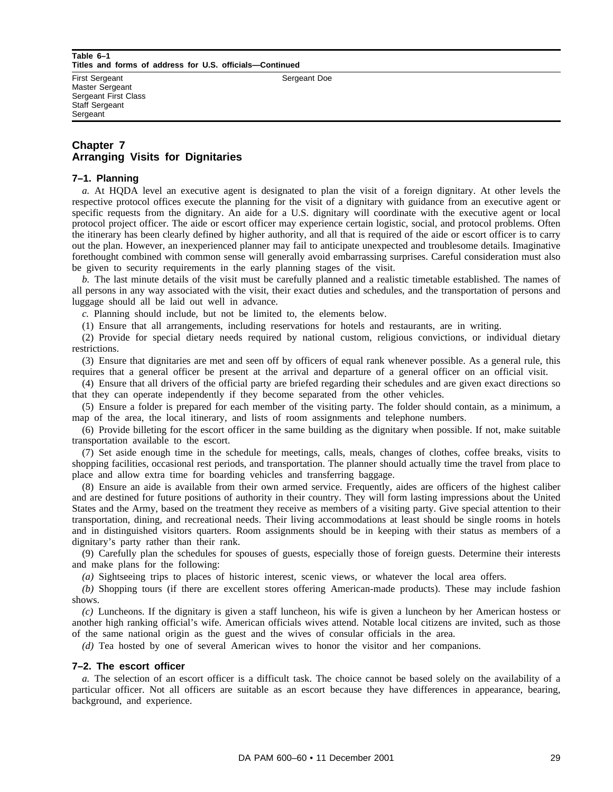#### **Table 6–1 Titles and forms of address for U.S. officials—Continued**

First Sergeant Master Sergeant Sergeant First Class Staff Sergeant **Sergeant** 

Sergeant Doe

# **Chapter 7 Arranging Visits for Dignitaries**

#### **7–1. Planning**

*a.* At HQDA level an executive agent is designated to plan the visit of a foreign dignitary. At other levels the respective protocol offices execute the planning for the visit of a dignitary with guidance from an executive agent or specific requests from the dignitary. An aide for a U.S. dignitary will coordinate with the executive agent or local protocol project officer. The aide or escort officer may experience certain logistic, social, and protocol problems. Often the itinerary has been clearly defined by higher authority, and all that is required of the aide or escort officer is to carry out the plan. However, an inexperienced planner may fail to anticipate unexpected and troublesome details. Imaginative forethought combined with common sense will generally avoid embarrassing surprises. Careful consideration must also be given to security requirements in the early planning stages of the visit.

*b.* The last minute details of the visit must be carefully planned and a realistic timetable established. The names of all persons in any way associated with the visit, their exact duties and schedules, and the transportation of persons and luggage should all be laid out well in advance.

*c.* Planning should include, but not be limited to, the elements below.

(1) Ensure that all arrangements, including reservations for hotels and restaurants, are in writing.

(2) Provide for special dietary needs required by national custom, religious convictions, or individual dietary restrictions.

(3) Ensure that dignitaries are met and seen off by officers of equal rank whenever possible. As a general rule, this requires that a general officer be present at the arrival and departure of a general officer on an official visit.

(4) Ensure that all drivers of the official party are briefed regarding their schedules and are given exact directions so that they can operate independently if they become separated from the other vehicles.

(5) Ensure a folder is prepared for each member of the visiting party. The folder should contain, as a minimum, a map of the area, the local itinerary, and lists of room assignments and telephone numbers.

(6) Provide billeting for the escort officer in the same building as the dignitary when possible. If not, make suitable transportation available to the escort.

(7) Set aside enough time in the schedule for meetings, calls, meals, changes of clothes, coffee breaks, visits to shopping facilities, occasional rest periods, and transportation. The planner should actually time the travel from place to place and allow extra time for boarding vehicles and transferring baggage.

(8) Ensure an aide is available from their own armed service. Frequently, aides are officers of the highest caliber and are destined for future positions of authority in their country. They will form lasting impressions about the United States and the Army, based on the treatment they receive as members of a visiting party. Give special attention to their transportation, dining, and recreational needs. Their living accommodations at least should be single rooms in hotels and in distinguished visitors quarters. Room assignments should be in keeping with their status as members of a dignitary's party rather than their rank.

(9) Carefully plan the schedules for spouses of guests, especially those of foreign guests. Determine their interests and make plans for the following:

*(a)* Sightseeing trips to places of historic interest, scenic views, or whatever the local area offers.

*(b)* Shopping tours (if there are excellent stores offering American-made products). These may include fashion shows.

*(c)* Luncheons. If the dignitary is given a staff luncheon, his wife is given a luncheon by her American hostess or another high ranking official's wife. American officials wives attend. Notable local citizens are invited, such as those of the same national origin as the guest and the wives of consular officials in the area.

*(d)* Tea hosted by one of several American wives to honor the visitor and her companions.

#### **7–2. The escort officer**

*a.* The selection of an escort officer is a difficult task. The choice cannot be based solely on the availability of a particular officer. Not all officers are suitable as an escort because they have differences in appearance, bearing, background, and experience.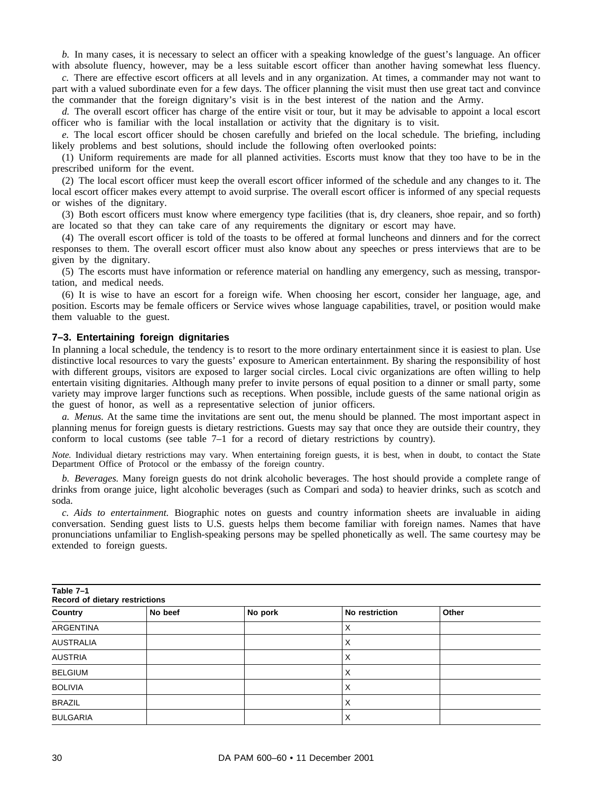*b.* In many cases, it is necessary to select an officer with a speaking knowledge of the guest's language. An officer with absolute fluency, however, may be a less suitable escort officer than another having somewhat less fluency.

*c.* There are effective escort officers at all levels and in any organization. At times, a commander may not want to part with a valued subordinate even for a few days. The officer planning the visit must then use great tact and convince the commander that the foreign dignitary's visit is in the best interest of the nation and the Army.

*d.* The overall escort officer has charge of the entire visit or tour, but it may be advisable to appoint a local escort officer who is familiar with the local installation or activity that the dignitary is to visit.

*e.* The local escort officer should be chosen carefully and briefed on the local schedule. The briefing, including likely problems and best solutions, should include the following often overlooked points:

(1) Uniform requirements are made for all planned activities. Escorts must know that they too have to be in the prescribed uniform for the event.

(2) The local escort officer must keep the overall escort officer informed of the schedule and any changes to it. The local escort officer makes every attempt to avoid surprise. The overall escort officer is informed of any special requests or wishes of the dignitary.

(3) Both escort officers must know where emergency type facilities (that is, dry cleaners, shoe repair, and so forth) are located so that they can take care of any requirements the dignitary or escort may have.

(4) The overall escort officer is told of the toasts to be offered at formal luncheons and dinners and for the correct responses to them. The overall escort officer must also know about any speeches or press interviews that are to be given by the dignitary.

(5) The escorts must have information or reference material on handling any emergency, such as messing, transportation, and medical needs.

(6) It is wise to have an escort for a foreign wife. When choosing her escort, consider her language, age, and position. Escorts may be female officers or Service wives whose language capabilities, travel, or position would make them valuable to the guest.

#### **7–3. Entertaining foreign dignitaries**

In planning a local schedule, the tendency is to resort to the more ordinary entertainment since it is easiest to plan. Use distinctive local resources to vary the guests' exposure to American entertainment. By sharing the responsibility of host with different groups, visitors are exposed to larger social circles. Local civic organizations are often willing to help entertain visiting dignitaries. Although many prefer to invite persons of equal position to a dinner or small party, some variety may improve larger functions such as receptions. When possible, include guests of the same national origin as the guest of honor, as well as a representative selection of junior officers.

*a. Menus.* At the same time the invitations are sent out, the menu should be planned. The most important aspect in planning menus for foreign guests is dietary restrictions. Guests may say that once they are outside their country, they conform to local customs (see table  $7-1$  for a record of dietary restrictions by country).

*Note.* Individual dietary restrictions may vary. When entertaining foreign guests, it is best, when in doubt, to contact the State Department Office of Protocol or the embassy of the foreign country.

*b. Beverages.* Many foreign guests do not drink alcoholic beverages. The host should provide a complete range of drinks from orange juice, light alcoholic beverages (such as Compari and soda) to heavier drinks, such as scotch and soda.

*c. Aids to entertainment.* Biographic notes on guests and country information sheets are invaluable in aiding conversation. Sending guest lists to U.S. guests helps them become familiar with foreign names. Names that have pronunciations unfamiliar to English-speaking persons may be spelled phonetically as well. The same courtesy may be extended to foreign guests.

| Table 7-1<br>Record of dietary restrictions |         |         |                |       |
|---------------------------------------------|---------|---------|----------------|-------|
| Country                                     | No beef | No pork | No restriction | Other |
| <b>ARGENTINA</b>                            |         |         | X              |       |
| AUSTRALIA                                   |         |         | X              |       |
| <b>AUSTRIA</b>                              |         |         | X              |       |
| <b>BELGIUM</b>                              |         |         | х              |       |
| <b>BOLIVIA</b>                              |         |         | Χ              |       |
| <b>BRAZIL</b>                               |         |         | X              |       |
| <b>BULGARIA</b>                             |         |         | Χ              |       |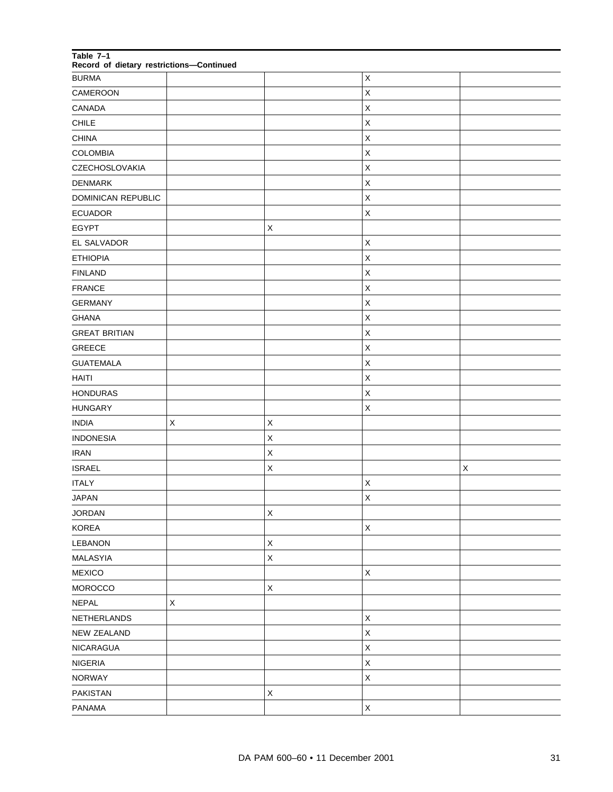| Table 7-1<br>Record of dietary restrictions-Continued |         |             |                |             |
|-------------------------------------------------------|---------|-------------|----------------|-------------|
| <b>BURMA</b>                                          |         |             | $\mathsf X$    |             |
| CAMEROON                                              |         |             | $\pmb{\times}$ |             |
| CANADA                                                |         |             | $\sf X$        |             |
| CHILE                                                 |         |             | X              |             |
| <b>CHINA</b>                                          |         |             | $\sf X$        |             |
| <b>COLOMBIA</b>                                       |         |             | $\sf X$        |             |
| CZECHOSLOVAKIA                                        |         |             | $\sf X$        |             |
| <b>DENMARK</b>                                        |         |             | X              |             |
| DOMINICAN REPUBLIC                                    |         |             | $\sf X$        |             |
| <b>ECUADOR</b>                                        |         |             | X              |             |
| <b>EGYPT</b>                                          |         | $\mathsf X$ |                |             |
| EL SALVADOR                                           |         |             | $\sf X$        |             |
| <b>ETHIOPIA</b>                                       |         |             | $\sf X$        |             |
| <b>FINLAND</b>                                        |         |             | X              |             |
| <b>FRANCE</b>                                         |         |             | $\sf X$        |             |
| <b>GERMANY</b>                                        |         |             | X              |             |
| <b>GHANA</b>                                          |         |             | $\sf X$        |             |
| <b>GREAT BRITIAN</b>                                  |         |             | X              |             |
| <b>GREECE</b>                                         |         |             | $\sf X$        |             |
| <b>GUATEMALA</b>                                      |         |             | X              |             |
| <b>HAITI</b>                                          |         |             | $\sf X$        |             |
| <b>HONDURAS</b>                                       |         |             | X              |             |
| <b>HUNGARY</b>                                        |         |             | $\sf X$        |             |
| <b>INDIA</b>                                          | X       | Χ           |                |             |
| <b>INDONESIA</b>                                      |         | $\mathsf X$ |                |             |
| <b>IRAN</b>                                           |         | X           |                |             |
| <b>ISRAEL</b>                                         |         | $\mathsf X$ |                | $\mathsf X$ |
| <b>ITALY</b>                                          |         |             | Χ              |             |
| <b>JAPAN</b>                                          |         |             | $\mathsf{X}$   |             |
| <b>JORDAN</b>                                         |         | $\mathsf X$ |                |             |
| <b>KOREA</b>                                          |         |             | $\mathsf X$    |             |
| LEBANON                                               |         | $\mathsf X$ |                |             |
| <b>MALASYIA</b>                                       |         | $\mathsf X$ |                |             |
| <b>MEXICO</b>                                         |         |             | $\mathsf X$    |             |
| MOROCCO                                               |         | $\mathsf X$ |                |             |
| <b>NEPAL</b>                                          | $\sf X$ |             |                |             |
| NETHERLANDS                                           |         |             | $\mathsf X$    |             |
| NEW ZEALAND                                           |         |             | $\mathsf X$    |             |
| NICARAGUA                                             |         |             | $\mathsf X$    |             |
| <b>NIGERIA</b>                                        |         |             | $\sf X$        |             |
| <b>NORWAY</b>                                         |         |             | $\sf X$        |             |
| <b>PAKISTAN</b>                                       |         | $\mathsf X$ |                |             |
| PANAMA                                                |         |             | $\mathsf X$    |             |
|                                                       |         |             |                |             |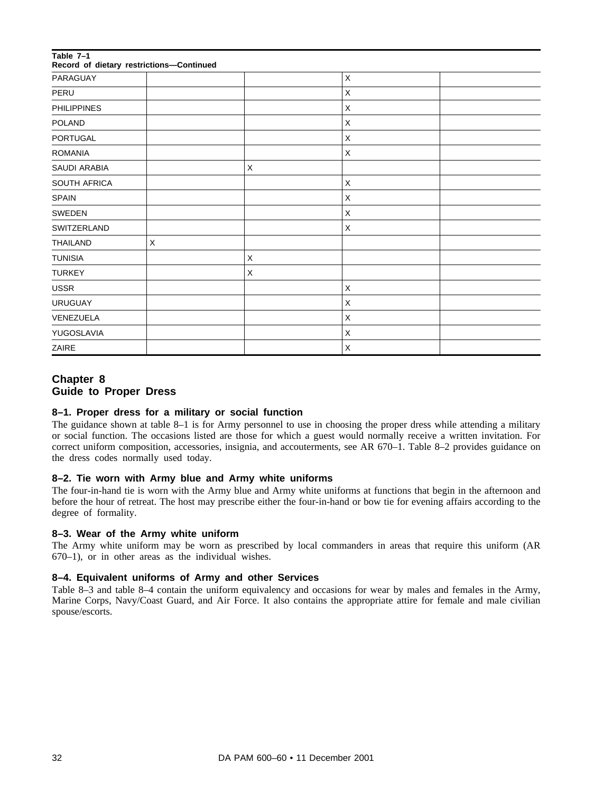| Table 7-1<br>Record of dietary restrictions-Continued |   |   |   |  |
|-------------------------------------------------------|---|---|---|--|
| PARAGUAY                                              |   |   | X |  |
| PERU                                                  |   |   | X |  |
| <b>PHILIPPINES</b>                                    |   |   | X |  |
| <b>POLAND</b>                                         |   |   | X |  |
| PORTUGAL                                              |   |   | X |  |
| <b>ROMANIA</b>                                        |   |   | X |  |
| <b>SAUDI ARABIA</b>                                   |   | X |   |  |
| SOUTH AFRICA                                          |   |   | X |  |
| <b>SPAIN</b>                                          |   |   | X |  |
| SWEDEN                                                |   |   | X |  |
| SWITZERLAND                                           |   |   | X |  |
| <b>THAILAND</b>                                       | X |   |   |  |
| <b>TUNISIA</b>                                        |   | X |   |  |
| <b>TURKEY</b>                                         |   | X |   |  |
| <b>USSR</b>                                           |   |   | X |  |
| <b>URUGUAY</b>                                        |   |   | X |  |
| VENEZUELA                                             |   |   | X |  |
| YUGOSLAVIA                                            |   |   | X |  |
| ZAIRE                                                 |   |   | X |  |

# **Chapter 8 Guide to Proper Dress**

# **8–1. Proper dress for a military or social function**

The guidance shown at table 8–1 is for Army personnel to use in choosing the proper dress while attending a military or social function. The occasions listed are those for which a guest would normally receive a written invitation. For correct uniform composition, accessories, insignia, and accouterments, see AR 670–1. Table 8–2 provides guidance on the dress codes normally used today.

#### **8–2. Tie worn with Army blue and Army white uniforms**

The four-in-hand tie is worn with the Army blue and Army white uniforms at functions that begin in the afternoon and before the hour of retreat. The host may prescribe either the four-in-hand or bow tie for evening affairs according to the degree of formality.

#### **8–3. Wear of the Army white uniform**

The Army white uniform may be worn as prescribed by local commanders in areas that require this uniform (AR 670–1), or in other areas as the individual wishes.

#### **8–4. Equivalent uniforms of Army and other Services**

Table 8–3 and table 8–4 contain the uniform equivalency and occasions for wear by males and females in the Army, Marine Corps, Navy/Coast Guard, and Air Force. It also contains the appropriate attire for female and male civilian spouse/escorts.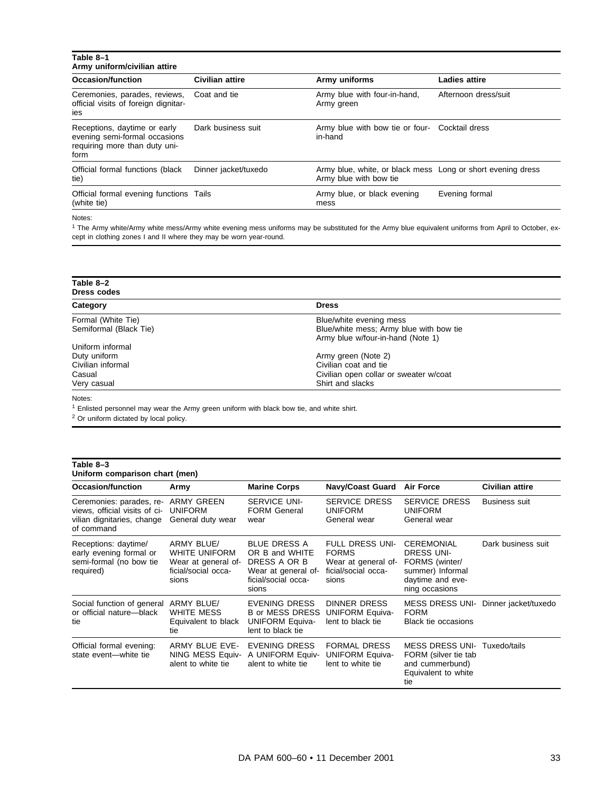| Table 8-1<br>Army uniform/civilian attire                                                              |                        |                                                                                       |                      |
|--------------------------------------------------------------------------------------------------------|------------------------|---------------------------------------------------------------------------------------|----------------------|
| Occasion/function                                                                                      | <b>Civilian attire</b> | Army uniforms                                                                         | Ladies attire        |
| Ceremonies, parades, reviews,<br>official visits of foreign dignitar-<br>ies                           | Coat and tie           | Army blue with four-in-hand,<br>Army green                                            | Afternoon dress/suit |
| Receptions, daytime or early<br>evening semi-formal occasions<br>requiring more than duty uni-<br>form | Dark business suit     | Army blue with bow tie or four- Cocktail dress<br>in-hand                             |                      |
| Official formal functions (black<br>tie)                                                               | Dinner jacket/tuxedo   | Army blue, white, or black mess Long or short evening dress<br>Army blue with bow tie |                      |
| Official formal evening functions Tails<br>(white tie)                                                 |                        | Army blue, or black evening<br>mess                                                   | Evening formal       |

Notes:

<sup>1</sup> The Army white/Army white mess/Army white evening mess uniforms may be substituted for the Army blue equivalent uniforms from April to October, except in clothing zones I and II where they may be worn year-round.

| Table 8-2<br>Dress codes |                                         |
|--------------------------|-----------------------------------------|
| Category                 | <b>Dress</b>                            |
| Formal (White Tie)       | Blue/white evening mess                 |
| Semiformal (Black Tie)   | Blue/white mess; Army blue with bow tie |
|                          | Army blue w/four-in-hand (Note 1)       |
| Uniform informal         |                                         |
| Duty uniform             | Army green (Note 2)                     |
| Civilian informal        | Civilian coat and tie                   |
| Casual                   | Civilian open collar or sweater w/coat  |
| Very casual              | Shirt and slacks                        |

Notes:

<sup>1</sup> Enlisted personnel may wear the Army green uniform with black bow tie, and white shirt.

<sup>2</sup> Or uniform dictated by local policy.

| Table 8-3<br>Uniform comparison chart (men)                                                           |                                                                                                  |                                                                                                              |                                                                                               |                                                                                                                    |                      |
|-------------------------------------------------------------------------------------------------------|--------------------------------------------------------------------------------------------------|--------------------------------------------------------------------------------------------------------------|-----------------------------------------------------------------------------------------------|--------------------------------------------------------------------------------------------------------------------|----------------------|
| Occasion/function                                                                                     | Army                                                                                             | <b>Marine Corps</b>                                                                                          | <b>Navy/Coast Guard</b>                                                                       | <b>Air Force</b>                                                                                                   | Civilian attire      |
| Ceremonies: parades, re-<br>views, official visits of ci-<br>vilian dignitaries, change<br>of command | <b>ARMY GREEN</b><br><b>UNIFORM</b><br>General duty wear                                         | <b>SERVICE UNI-</b><br><b>FORM General</b><br>wear                                                           | <b>SERVICE DRESS</b><br><b>UNIFORM</b><br>General wear                                        | <b>SERVICE DRESS</b><br><b>UNIFORM</b><br>General wear                                                             | <b>Business suit</b> |
| Receptions: daytime/<br>early evening formal or<br>semi-formal (no bow tie<br>required)               | <b>ARMY BLUE/</b><br><b>WHITE UNIFORM</b><br>Wear at general of-<br>ficial/social occa-<br>sions | <b>BLUE DRESS A</b><br>OR B and WHITE<br>DRESS A OR B<br>Wear at general of-<br>ficial/social occa-<br>sions | <b>FULL DRESS UNI-</b><br><b>FORMS</b><br>Wear at general of-<br>ficial/social occa-<br>sions | <b>CEREMONIAL</b><br><b>DRESS UNI-</b><br>FORMS (winter/<br>summer) Informal<br>daytime and eve-<br>ning occasions | Dark business suit   |
| Social function of general ARMY BLUE/<br>or official nature-black<br>tie                              | <b>WHITE MESS</b><br>Equivalent to black<br>tie                                                  | EVENING DRESS<br><b>B</b> or MESS DRESS<br><b>UNIFORM Equiva-</b><br>lent to black tie                       | <b>DINNER DRESS</b><br><b>UNIFORM Equiva-</b><br>lent to black tie                            | <b>MESS DRESS UNI-</b><br><b>FORM</b><br><b>Black tie occasions</b>                                                | Dinner jacket/tuxedo |
| Official formal evening:<br>state event-white tie                                                     | ARMY BLUE EVE-<br>NING MESS Equiv-<br>alent to white tie                                         | EVENING DRESS<br>A UNIFORM Equiv-<br>alent to white tie                                                      | <b>FORMAL DRESS</b><br><b>UNIFORM Equiva-</b><br>lent to white tie                            | <b>MESS DRESS UNI-</b><br>FORM (silver tie tab<br>and cummerbund)<br>Equivalent to white<br>tie                    | Tuxedo/tails         |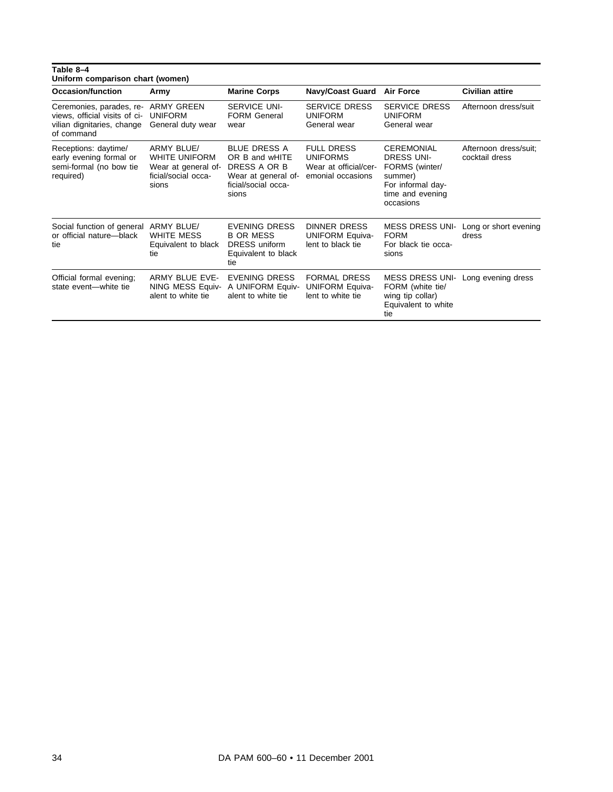| Table 8-4<br>Uniform comparison chart (women)                                                         |                                                                                                  |                                                                                                              |                                                                                    |                                                                                                                           |                                         |
|-------------------------------------------------------------------------------------------------------|--------------------------------------------------------------------------------------------------|--------------------------------------------------------------------------------------------------------------|------------------------------------------------------------------------------------|---------------------------------------------------------------------------------------------------------------------------|-----------------------------------------|
| Occasion/function                                                                                     | Army                                                                                             | <b>Marine Corps</b>                                                                                          | <b>Navy/Coast Guard</b>                                                            | <b>Air Force</b>                                                                                                          | <b>Civilian attire</b>                  |
| Ceremonies, parades, re-<br>views, official visits of ci-<br>vilian dignitaries, change<br>of command | <b>ARMY GREEN</b><br><b>UNIFORM</b><br>General duty wear                                         | <b>SERVICE UNI-</b><br><b>FORM General</b><br>wear                                                           | <b>SERVICE DRESS</b><br><b>UNIFORM</b><br>General wear                             | <b>SERVICE DRESS</b><br><b>UNIFORM</b><br>General wear                                                                    | Afternoon dress/suit                    |
| Receptions: daytime/<br>early evening formal or<br>semi-formal (no bow tie<br>required)               | <b>ARMY BLUE/</b><br><b>WHITE UNIFORM</b><br>Wear at general of-<br>ficial/social occa-<br>sions | <b>BLUE DRESS A</b><br>OR B and wHITE<br>DRESS A OR B<br>Wear at general of-<br>ficial/social occa-<br>sions | <b>FULL DRESS</b><br><b>UNIFORMS</b><br>Wear at official/cer-<br>emonial occasions | <b>CEREMONIAL</b><br><b>DRESS UNI-</b><br>FORMS (winter/<br>summer)<br>For informal day-<br>time and evening<br>occasions | Afternoon dress/suit:<br>cocktail dress |
| Social function of general<br>or official nature-black<br>tie                                         | <b>ARMY BLUE/</b><br><b>WHITE MESS</b><br>Equivalent to black<br>tie                             | <b>EVENING DRESS</b><br><b>B OR MESS</b><br>DRESS uniform<br>Equivalent to black<br>tie                      | <b>DINNER DRESS</b><br><b>UNIFORM Equiva-</b><br>lent to black tie                 | <b>MESS DRESS UNI-</b><br><b>FORM</b><br>For black tie occa-<br>sions                                                     | Long or short evening<br>dress          |
| Official formal evening;<br>state event-white tie                                                     | <b>ARMY BLUE EVE-</b><br>NING MESS Equiv-<br>alent to white tie                                  | EVENING DRESS<br>A UNIFORM Equiv-<br>alent to white tie                                                      | <b>FORMAL DRESS</b><br><b>UNIFORM Equiva-</b><br>lent to white tie                 | <b>MESS DRESS UNI-</b><br>FORM (white tie/<br>wing tip collar)<br>Equivalent to white<br>tie                              | Long evening dress                      |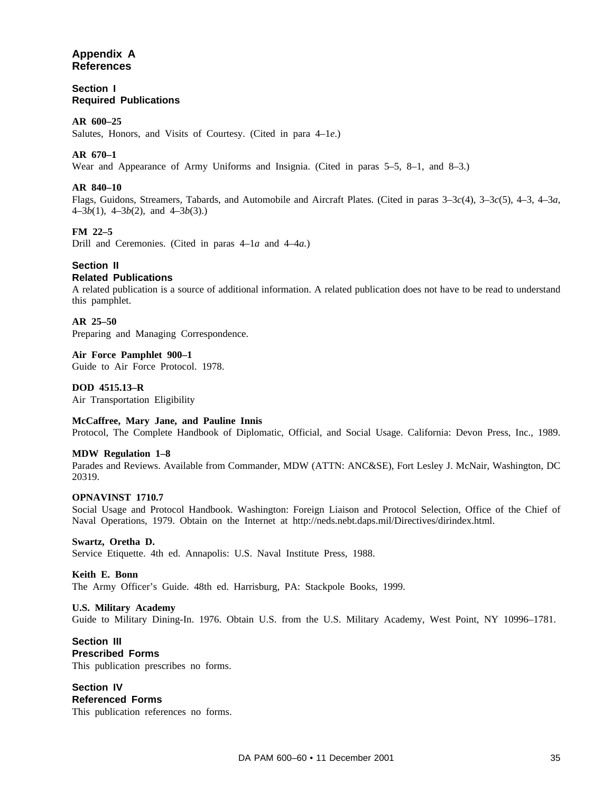# **Appendix A References**

**Section I Required Publications**

#### **AR 600–25**

Salutes, Honors, and Visits of Courtesy. (Cited in para 4–1*e*.)

#### **AR 670–1**

Wear and Appearance of Army Uniforms and Insignia. (Cited in paras 5–5, 8–1, and 8–3.)

#### **AR 840–10**

Flags, Guidons, Streamers, Tabards, and Automobile and Aircraft Plates. (Cited in paras 3–3*c*(4), 3–3*c*(5), 4–3, 4–3*a,* 4–3*b*(1), 4–3*b*(2), and 4–3*b*(3).)

#### **FM 22–5**

Drill and Ceremonies. (Cited in paras 4–1*a* and 4–4*a.*)

# **Section II**

#### **Related Publications**

A related publication is a source of additional information. A related publication does not have to be read to understand this pamphlet.

#### **AR 25–50**

Preparing and Managing Correspondence.

#### **Air Force Pamphlet 900–1**

Guide to Air Force Protocol. 1978.

#### **DOD 4515.13–R**

Air Transportation Eligibility

#### **McCaffree, Mary Jane, and Pauline Innis**

Protocol, The Complete Handbook of Diplomatic, Official, and Social Usage. California: Devon Press, Inc., 1989.

#### **MDW Regulation 1–8**

Parades and Reviews. Available from Commander, MDW (ATTN: ANC&SE), Fort Lesley J. McNair, Washington, DC 20319.

#### **OPNAVINST 1710.7**

Social Usage and Protocol Handbook. Washington: Foreign Liaison and Protocol Selection, Office of the Chief of Naval Operations, 1979. Obtain on the Internet at http://neds.nebt.daps.mil/Directives/dirindex.html.

#### **Swartz, Oretha D.**

Service Etiquette. 4th ed. Annapolis: U.S. Naval Institute Press, 1988.

#### **Keith E. Bonn**

The Army Officer's Guide. 48th ed. Harrisburg, PA: Stackpole Books, 1999.

#### **U.S. Military Academy**

Guide to Military Dining-In. 1976. Obtain U.S. from the U.S. Military Academy, West Point, NY 10996–1781.

#### **Section III Prescribed Forms** This publication prescribes no forms.

**Section IV Referenced Forms** This publication references no forms.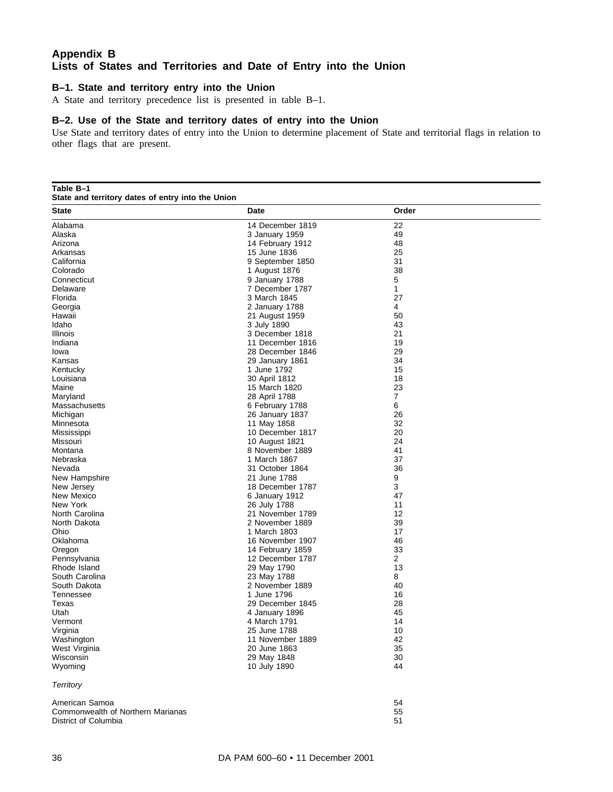# **Appendix B Lists of States and Territories and Date of Entry into the Union**

#### **B–1. State and territory entry into the Union**

A State and territory precedence list is presented in table B–1.

#### **B–2. Use of the State and territory dates of entry into the Union**

Use State and territory dates of entry into the Union to determine placement of State and territorial flags in relation to other flags that are present.

**Table B–1**

**State and territory dates of entry into the Union**

| State                             | Date             | Order |  |
|-----------------------------------|------------------|-------|--|
| Alabama                           | 14 December 1819 | 22    |  |
| Alaska                            | 3 January 1959   | 49    |  |
| Arizona                           | 14 February 1912 | 48    |  |
| Arkansas                          | 15 June 1836     | 25    |  |
| California                        | 9 September 1850 | 31    |  |
| Colorado                          | 1 August 1876    | 38    |  |
| Connecticut                       | 9 January 1788   | 5     |  |
| Delaware                          | 7 December 1787  | 1     |  |
| Florida                           | 3 March 1845     | 27    |  |
| Georgia                           | 2 January 1788   | 4     |  |
| Hawaii                            | 21 August 1959   | 50    |  |
| Idaho                             | 3 July 1890      | 43    |  |
| Illinois                          | 3 December 1818  | 21    |  |
| Indiana                           | 11 December 1816 | 19    |  |
| lowa                              | 28 December 1846 | 29    |  |
| Kansas                            | 29 January 1861  | 34    |  |
| Kentucky                          | 1 June 1792      | 15    |  |
| Louisiana                         | 30 April 1812    | 18    |  |
| Maine                             | 15 March 1820    | 23    |  |
| Maryland                          | 28 April 1788    | 7     |  |
| Massachusetts                     |                  | 6     |  |
|                                   | 6 February 1788  | 26    |  |
| Michigan                          | 26 January 1837  |       |  |
| Minnesota                         | 11 May 1858      | 32    |  |
| Mississippi                       | 10 December 1817 | 20    |  |
| Missouri                          | 10 August 1821   | 24    |  |
| Montana                           | 8 November 1889  | 41    |  |
| Nebraska                          | 1 March 1867     | 37    |  |
| Nevada                            | 31 October 1864  | 36    |  |
| New Hampshire                     | 21 June 1788     | 9     |  |
| New Jersey                        | 18 December 1787 | 3     |  |
| New Mexico                        | 6 January 1912   | 47    |  |
| New York                          | 26 July 1788     | 11    |  |
| North Carolina                    | 21 November 1789 | 12    |  |
| North Dakota                      | 2 November 1889  | 39    |  |
| Ohio                              | 1 March 1803     | 17    |  |
| Oklahoma                          | 16 November 1907 | 46    |  |
| Oregon                            | 14 February 1859 | 33    |  |
| Pennsylvania                      | 12 December 1787 | 2     |  |
| Rhode Island                      | 29 May 1790      | 13    |  |
| South Carolina                    | 23 May 1788      | 8     |  |
| South Dakota                      | 2 November 1889  | 40    |  |
| Tennessee                         | 1 June 1796      | 16    |  |
| Texas                             | 29 December 1845 | 28    |  |
| Utah                              | 4 January 1896   | 45    |  |
| Vermont                           | 4 March 1791     | 14    |  |
| Virginia                          | 25 June 1788     | 10    |  |
| Washington                        | 11 November 1889 | 42    |  |
| West Virginia                     | 20 June 1863     | 35    |  |
| Wisconsin                         | 29 May 1848      | 30    |  |
| Wyoming                           | 10 July 1890     | 44    |  |
| <b>Territory</b>                  |                  |       |  |
| American Samoa                    |                  | 54    |  |
| Commonwealth of Northern Marianas |                  | 55    |  |
| District of Columbia              |                  | 51    |  |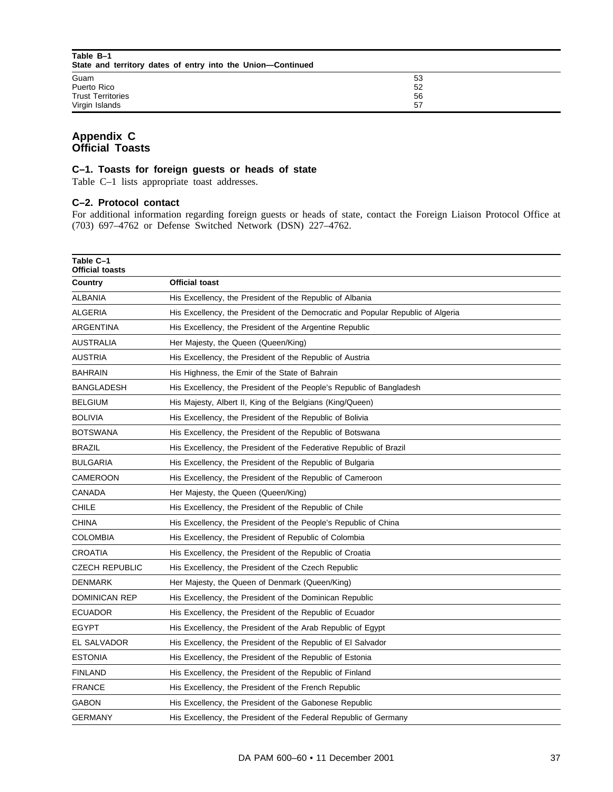| Table B-1<br>State and territory dates of entry into the Union-Continued |    |  |
|--------------------------------------------------------------------------|----|--|
| Guam                                                                     | 53 |  |
| Puerto Rico                                                              | 52 |  |
| <b>Trust Territories</b>                                                 | 56 |  |
| Virgin Islands                                                           | 57 |  |

# **Appendix C Official Toasts**

#### **C–1. Toasts for foreign guests or heads of state**

Table C–1 lists appropriate toast addresses.

#### **C–2. Protocol contact**

For additional information regarding foreign guests or heads of state, contact the Foreign Liaison Protocol Office at (703) 697–4762 or Defense Switched Network (DSN) 227–4762.

| Table C-1<br><b>Official toasts</b> |                                                                                 |
|-------------------------------------|---------------------------------------------------------------------------------|
| Country                             | <b>Official toast</b>                                                           |
| ALBANIA                             | His Excellency, the President of the Republic of Albania                        |
| <b>ALGERIA</b>                      | His Excellency, the President of the Democratic and Popular Republic of Algeria |
| ARGENTINA                           | His Excellency, the President of the Argentine Republic                         |
| <b>AUSTRALIA</b>                    | Her Majesty, the Queen (Queen/King)                                             |
| <b>AUSTRIA</b>                      | His Excellency, the President of the Republic of Austria                        |
| <b>BAHRAIN</b>                      | His Highness, the Emir of the State of Bahrain                                  |
| <b>BANGLADESH</b>                   | His Excellency, the President of the People's Republic of Bangladesh            |
| <b>BELGIUM</b>                      | His Majesty, Albert II, King of the Belgians (King/Queen)                       |
| <b>BOLIVIA</b>                      | His Excellency, the President of the Republic of Bolivia                        |
| BOTSWANA                            | His Excellency, the President of the Republic of Botswana                       |
| <b>BRAZIL</b>                       | His Excellency, the President of the Federative Republic of Brazil              |
| <b>BULGARIA</b>                     | His Excellency, the President of the Republic of Bulgaria                       |
| CAMEROON                            | His Excellency, the President of the Republic of Cameroon                       |
| CANADA                              | Her Majesty, the Queen (Queen/King)                                             |
| CHILE                               | His Excellency, the President of the Republic of Chile                          |
| CHINA                               | His Excellency, the President of the People's Republic of China                 |
| <b>COLOMBIA</b>                     | His Excellency, the President of Republic of Colombia                           |
| CROATIA                             | His Excellency, the President of the Republic of Croatia                        |
| <b>CZECH REPUBLIC</b>               | His Excellency, the President of the Czech Republic                             |
| <b>DENMARK</b>                      | Her Majesty, the Queen of Denmark (Queen/King)                                  |
| <b>DOMINICAN REP</b>                | His Excellency, the President of the Dominican Republic                         |
| <b>ECUADOR</b>                      | His Excellency, the President of the Republic of Ecuador                        |
| <b>EGYPT</b>                        | His Excellency, the President of the Arab Republic of Egypt                     |
| EL SALVADOR                         | His Excellency, the President of the Republic of El Salvador                    |
| <b>ESTONIA</b>                      | His Excellency, the President of the Republic of Estonia                        |
| <b>FINLAND</b>                      | His Excellency, the President of the Republic of Finland                        |
| <b>FRANCE</b>                       | His Excellency, the President of the French Republic                            |
| <b>GABON</b>                        | His Excellency, the President of the Gabonese Republic                          |
| <b>GERMANY</b>                      | His Excellency, the President of the Federal Republic of Germany                |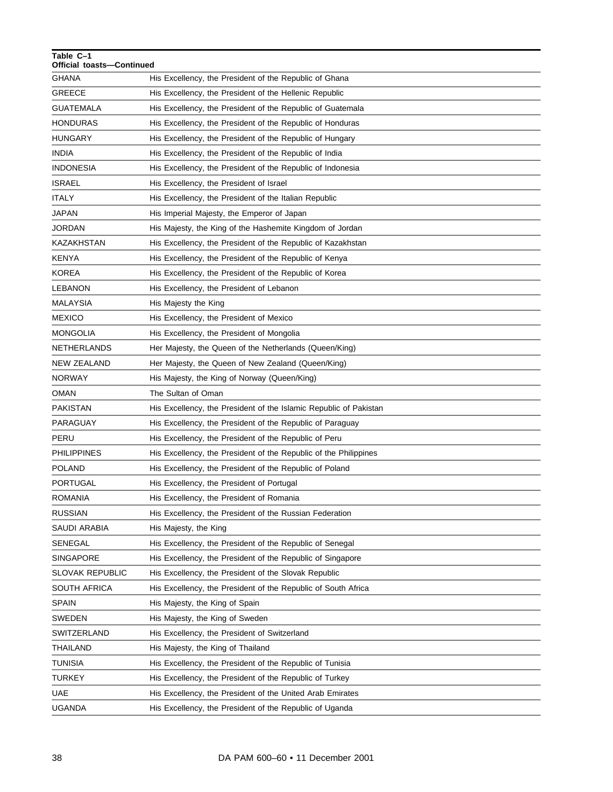| Table C-1<br>Official toasts-Continued |                                                                   |
|----------------------------------------|-------------------------------------------------------------------|
| GHANA                                  | His Excellency, the President of the Republic of Ghana            |
| <b>GREECE</b>                          | His Excellency, the President of the Hellenic Republic            |
| GUATEMALA                              | His Excellency, the President of the Republic of Guatemala        |
| <b>HONDURAS</b>                        | His Excellency, the President of the Republic of Honduras         |
| HUNGARY                                | His Excellency, the President of the Republic of Hungary          |
| INDIA                                  | His Excellency, the President of the Republic of India            |
| <b>INDONESIA</b>                       | His Excellency, the President of the Republic of Indonesia        |
| <b>ISRAEL</b>                          | His Excellency, the President of Israel                           |
| ITALY                                  | His Excellency, the President of the Italian Republic             |
| JAPAN                                  | His Imperial Majesty, the Emperor of Japan                        |
| <b>JORDAN</b>                          | His Majesty, the King of the Hashemite Kingdom of Jordan          |
| KAZAKHSTAN                             | His Excellency, the President of the Republic of Kazakhstan       |
| KENYA                                  | His Excellency, the President of the Republic of Kenya            |
| KOREA                                  | His Excellency, the President of the Republic of Korea            |
| LEBANON                                | His Excellency, the President of Lebanon                          |
| <b>MALAYSIA</b>                        | His Majesty the King                                              |
| <b>MEXICO</b>                          | His Excellency, the President of Mexico                           |
| MONGOLIA                               | His Excellency, the President of Mongolia                         |
| NETHERLANDS                            | Her Majesty, the Queen of the Netherlands (Queen/King)            |
| NEW ZEALAND                            | Her Majesty, the Queen of New Zealand (Queen/King)                |
| NORWAY                                 | His Majesty, the King of Norway (Queen/King)                      |
| OMAN                                   | The Sultan of Oman                                                |
| PAKISTAN                               | His Excellency, the President of the Islamic Republic of Pakistan |
| PARAGUAY                               | His Excellency, the President of the Republic of Paraguay         |
| PERU                                   | His Excellency, the President of the Republic of Peru             |
| <b>PHILIPPINES</b>                     | His Excellency, the President of the Republic of the Philippines  |
| <b>POLAND</b>                          | His Excellency, the President of the Republic of Poland           |
| PORTUGAL                               | His Excellency, the President of Portugal                         |
| <b>ROMANIA</b>                         | His Excellency, the President of Romania                          |
| <b>RUSSIAN</b>                         | His Excellency, the President of the Russian Federation           |
| SAUDI ARABIA                           | His Majesty, the King                                             |
| SENEGAL                                | His Excellency, the President of the Republic of Senegal          |
| SINGAPORE                              | His Excellency, the President of the Republic of Singapore        |
| <b>SLOVAK REPUBLIC</b>                 | His Excellency, the President of the Slovak Republic              |
| SOUTH AFRICA                           | His Excellency, the President of the Republic of South Africa     |
| SPAIN                                  | His Majesty, the King of Spain                                    |
| SWEDEN                                 | His Majesty, the King of Sweden                                   |
| SWITZERLAND                            | His Excellency, the President of Switzerland                      |
| THAILAND                               | His Majesty, the King of Thailand                                 |
| TUNISIA                                | His Excellency, the President of the Republic of Tunisia          |
| <b>TURKEY</b>                          | His Excellency, the President of the Republic of Turkey           |
| UAE                                    | His Excellency, the President of the United Arab Emirates         |
| <b>UGANDA</b>                          | His Excellency, the President of the Republic of Uganda           |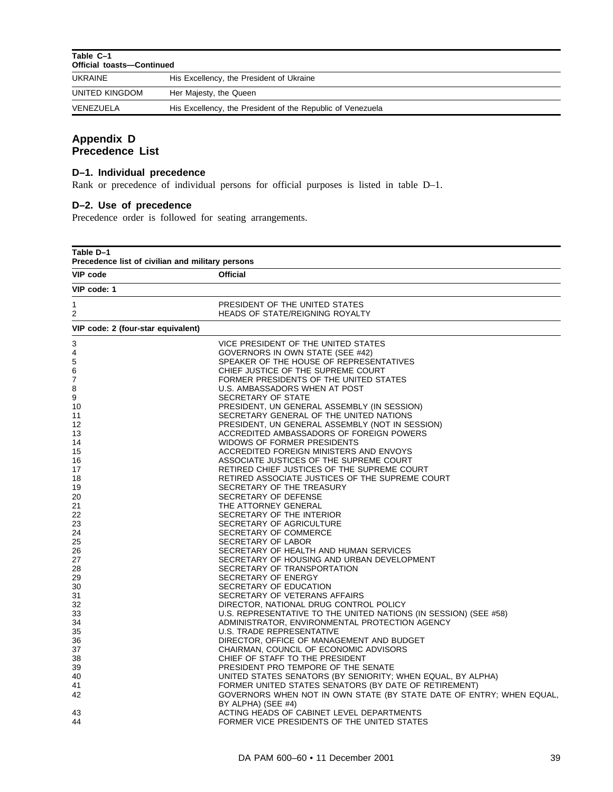| Table C-1<br><b>Official toasts-Continued</b> |                                                            |  |
|-----------------------------------------------|------------------------------------------------------------|--|
| UKRAINE                                       | His Excellency, the President of Ukraine                   |  |
| UNITED KINGDOM                                | Her Majesty, the Queen                                     |  |
| VENEZUELA                                     | His Excellency, the President of the Republic of Venezuela |  |

# **Appendix D Precedence List**

# **D–1. Individual precedence**

Rank or precedence of individual persons for official purposes is listed in table D–1.

# **D–2. Use of precedence**

Precedence order is followed for seating arrangements.

| Table D-1<br>Precedence list of civilian and military persons |                                                                                            |
|---------------------------------------------------------------|--------------------------------------------------------------------------------------------|
| <b>VIP code</b>                                               | <b>Official</b>                                                                            |
| VIP code: 1                                                   |                                                                                            |
| 1                                                             | PRESIDENT OF THE UNITED STATES                                                             |
| 2                                                             | <b>HEADS OF STATE/REIGNING ROYALTY</b>                                                     |
| VIP code: 2 (four-star equivalent)                            |                                                                                            |
| 3                                                             | VICE PRESIDENT OF THE UNITED STATES                                                        |
| 4                                                             | GOVERNORS IN OWN STATE (SEE #42)                                                           |
| 5                                                             | SPEAKER OF THE HOUSE OF REPRESENTATIVES                                                    |
| 6                                                             | CHIEF JUSTICE OF THE SUPREME COURT                                                         |
| 7                                                             | FORMER PRESIDENTS OF THE UNITED STATES                                                     |
| 8                                                             | U.S. AMBASSADORS WHEN AT POST                                                              |
| 9                                                             | SECRETARY OF STATE                                                                         |
| 10                                                            | PRESIDENT, UN GENERAL ASSEMBLY (IN SESSION)                                                |
| 11                                                            | SECRETARY GENERAL OF THE UNITED NATIONS                                                    |
| 12                                                            | PRESIDENT, UN GENERAL ASSEMBLY (NOT IN SESSION)                                            |
| 13                                                            | ACCREDITED AMBASSADORS OF FOREIGN POWERS                                                   |
| 14                                                            | WIDOWS OF FORMER PRESIDENTS                                                                |
| 15                                                            | ACCREDITED FOREIGN MINISTERS AND ENVOYS                                                    |
| 16                                                            | ASSOCIATE JUSTICES OF THE SUPREME COURT                                                    |
| 17                                                            | RETIRED CHIEF JUSTICES OF THE SUPREME COURT                                                |
| 18                                                            | RETIRED ASSOCIATE JUSTICES OF THE SUPREME COURT                                            |
| 19                                                            | SECRETARY OF THE TREASURY                                                                  |
| 20                                                            | SECRETARY OF DEFENSE                                                                       |
| 21                                                            | THE ATTORNEY GENERAL                                                                       |
| 22                                                            | SECRETARY OF THE INTERIOR                                                                  |
| 23                                                            | SECRETARY OF AGRICULTURE                                                                   |
| 24                                                            | SECRETARY OF COMMERCE                                                                      |
| 25                                                            | SECRETARY OF LABOR                                                                         |
| 26                                                            | SECRETARY OF HEALTH AND HUMAN SERVICES                                                     |
| 27                                                            | SECRETARY OF HOUSING AND URBAN DEVELOPMENT                                                 |
| 28                                                            | SECRETARY OF TRANSPORTATION                                                                |
| 29                                                            | SECRETARY OF ENERGY                                                                        |
| 30                                                            | SECRETARY OF EDUCATION                                                                     |
| 31                                                            | SECRETARY OF VETERANS AFFAIRS                                                              |
| 32                                                            | DIRECTOR, NATIONAL DRUG CONTROL POLICY                                                     |
| 33                                                            | U.S. REPRESENTATIVE TO THE UNITED NATIONS (IN SESSION) (SEE #58)                           |
| 34                                                            | ADMINISTRATOR, ENVIRONMENTAL PROTECTION AGENCY                                             |
| 35                                                            | U.S. TRADE REPRESENTATIVE                                                                  |
| 36                                                            | DIRECTOR, OFFICE OF MANAGEMENT AND BUDGET                                                  |
| 37                                                            | CHAIRMAN, COUNCIL OF ECONOMIC ADVISORS                                                     |
| 38                                                            | CHIEF OF STAFF TO THE PRESIDENT                                                            |
| 39                                                            | PRESIDENT PRO TEMPORE OF THE SENATE                                                        |
| 40                                                            | UNITED STATES SENATORS (BY SENIORITY; WHEN EQUAL, BY ALPHA)                                |
| 41                                                            | FORMER UNITED STATES SENATORS (BY DATE OF RETIREMENT)                                      |
| 42                                                            | GOVERNORS WHEN NOT IN OWN STATE (BY STATE DATE OF ENTRY; WHEN EQUAL,<br>BY ALPHA) (SEE #4) |
| 43                                                            | ACTING HEADS OF CABINET LEVEL DEPARTMENTS                                                  |
| 44                                                            | FORMER VICE PRESIDENTS OF THE UNITED STATES                                                |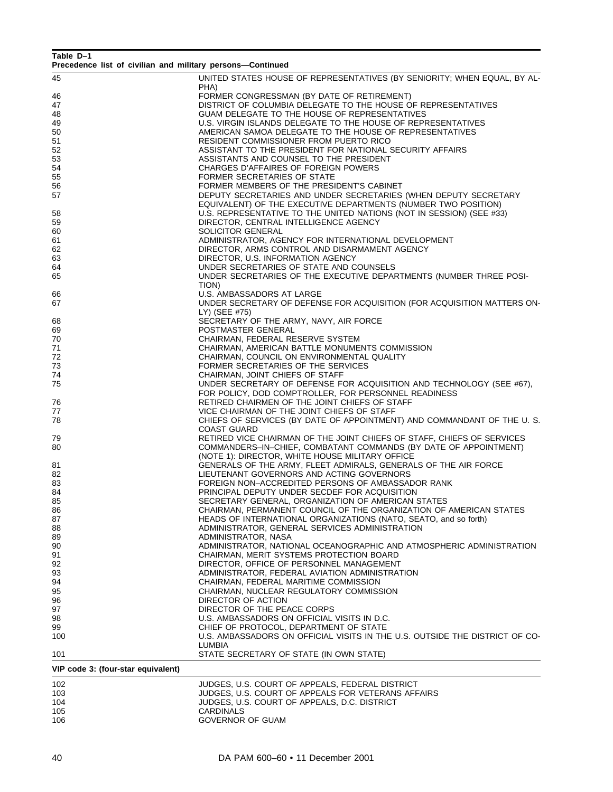| Table D-1<br>Precedence list of civilian and military persons-Continued |                                                                                                                                   |
|-------------------------------------------------------------------------|-----------------------------------------------------------------------------------------------------------------------------------|
| 45                                                                      | UNITED STATES HOUSE OF REPRESENTATIVES (BY SENIORITY; WHEN EQUAL, BY AL-                                                          |
|                                                                         | PHA)                                                                                                                              |
| 46                                                                      | FORMER CONGRESSMAN (BY DATE OF RETIREMENT)                                                                                        |
| 47                                                                      | DISTRICT OF COLUMBIA DELEGATE TO THE HOUSE OF REPRESENTATIVES                                                                     |
| 48                                                                      | GUAM DELEGATE TO THE HOUSE OF REPRESENTATIVES                                                                                     |
| 49                                                                      | U.S. VIRGIN ISLANDS DELEGATE TO THE HOUSE OF REPRESENTATIVES                                                                      |
| 50                                                                      | AMERICAN SAMOA DELEGATE TO THE HOUSE OF REPRESENTATIVES                                                                           |
| 51                                                                      | RESIDENT COMMISSIONER FROM PUERTO RICO                                                                                            |
| 52                                                                      | ASSISTANT TO THE PRESIDENT FOR NATIONAL SECURITY AFFAIRS                                                                          |
| 53                                                                      | ASSISTANTS AND COUNSEL TO THE PRESIDENT                                                                                           |
| 54                                                                      | CHARGES D'AFFAIRES OF FOREIGN POWERS                                                                                              |
| 55                                                                      | FORMER SECRETARIES OF STATE                                                                                                       |
| 56                                                                      | FORMER MEMBERS OF THE PRESIDENT'S CABINET                                                                                         |
| 57                                                                      | DEPUTY SECRETARIES AND UNDER SECRETARIES (WHEN DEPUTY SECRETARY<br>EQUIVALENT) OF THE EXECUTIVE DEPARTMENTS (NUMBER TWO POSITION) |
| 58                                                                      | U.S. REPRESENTATIVE TO THE UNITED NATIONS (NOT IN SESSION) (SEE #33)                                                              |
| 59                                                                      | DIRECTOR, CENTRAL INTELLIGENCE AGENCY                                                                                             |
| 60                                                                      | SOLICITOR GENERAL                                                                                                                 |
| 61                                                                      | ADMINISTRATOR, AGENCY FOR INTERNATIONAL DEVELOPMENT                                                                               |
| 62                                                                      | DIRECTOR, ARMS CONTROL AND DISARMAMENT AGENCY                                                                                     |
| 63                                                                      | DIRECTOR, U.S. INFORMATION AGENCY                                                                                                 |
| 64                                                                      | UNDER SECRETARIES OF STATE AND COUNSELS                                                                                           |
| 65                                                                      | UNDER SECRETARIES OF THE EXECUTIVE DEPARTMENTS (NUMBER THREE POSI-                                                                |
|                                                                         | TION)                                                                                                                             |
|                                                                         |                                                                                                                                   |
| 66                                                                      | U.S. AMBASSADORS AT LARGE                                                                                                         |
| 67                                                                      | UNDER SECRETARY OF DEFENSE FOR ACQUISITION (FOR ACQUISITION MATTERS ON-                                                           |
|                                                                         | LY) (SEE #75)                                                                                                                     |
| 68                                                                      | SECRETARY OF THE ARMY, NAVY, AIR FORCE                                                                                            |
| 69                                                                      | POSTMASTER GENERAL                                                                                                                |
| 70                                                                      | CHAIRMAN, FEDERAL RESERVE SYSTEM                                                                                                  |
| 71                                                                      | CHAIRMAN, AMERICAN BATTLE MONUMENTS COMMISSION                                                                                    |
| 72                                                                      | CHAIRMAN, COUNCIL ON ENVIRONMENTAL QUALITY                                                                                        |
| 73                                                                      | FORMER SECRETARIES OF THE SERVICES                                                                                                |
| 74                                                                      | CHAIRMAN, JOINT CHIEFS OF STAFF                                                                                                   |
| 75                                                                      | UNDER SECRETARY OF DEFENSE FOR ACQUISITION AND TECHNOLOGY (SEE #67),<br>FOR POLICY, DOD COMPTROLLER, FOR PERSONNEL READINESS      |
|                                                                         | RETIRED CHAIRMEN OF THE JOINT CHIEFS OF STAFF                                                                                     |
| 76<br>77                                                                |                                                                                                                                   |
| 78                                                                      | VICE CHAIRMAN OF THE JOINT CHIEFS OF STAFF<br>CHIEFS OF SERVICES (BY DATE OF APPOINTMENT) AND COMMANDANT OF THE U.S.              |
|                                                                         | <b>COAST GUARD</b>                                                                                                                |
|                                                                         | RETIRED VICE CHAIRMAN OF THE JOINT CHIEFS OF STAFF, CHIEFS OF SERVICES                                                            |
| 79                                                                      |                                                                                                                                   |
| 80                                                                      | COMMANDERS-IN-CHIEF, COMBATANT COMMANDS (BY DATE OF APPOINTMENT)                                                                  |
|                                                                         | (NOTE 1): DIRECTOR, WHITE HOUSE MILITARY OFFICE                                                                                   |
| 81                                                                      | GENERALS OF THE ARMY, FLEET ADMIRALS, GENERALS OF THE AIR FORCE                                                                   |
| 82                                                                      | LIEUTENANT GOVERNORS AND ACTING GOVERNORS                                                                                         |
| 83                                                                      | FOREIGN NON-ACCREDITED PERSONS OF AMBASSADOR RANK                                                                                 |
| 84                                                                      | PRINCIPAL DEPUTY UNDER SECDEF FOR ACQUISITION                                                                                     |
| 85                                                                      | SECRETARY GENERAL, ORGANIZATION OF AMERICAN STATES                                                                                |
| 86                                                                      | CHAIRMAN, PERMANENT COUNCIL OF THE ORGANIZATION OF AMERICAN STATES                                                                |
| 87                                                                      | HEADS OF INTERNATIONAL ORGANIZATIONS (NATO, SEATO, and so forth)                                                                  |
| 88                                                                      | ADMINISTRATOR, GENERAL SERVICES ADMINISTRATION                                                                                    |
| 89                                                                      | ADMINISTRATOR, NASA                                                                                                               |
| 90                                                                      | ADMINISTRATOR, NATIONAL OCEANOGRAPHIC AND ATMOSPHERIC ADMINISTRATION                                                              |
| 91                                                                      | CHAIRMAN, MERIT SYSTEMS PROTECTION BOARD                                                                                          |
| 92                                                                      | DIRECTOR, OFFICE OF PERSONNEL MANAGEMENT                                                                                          |
| 93                                                                      | ADMINISTRATOR, FEDERAL AVIATION ADMINISTRATION                                                                                    |
| 94                                                                      | CHAIRMAN, FEDERAL MARITIME COMMISSION                                                                                             |
| 95                                                                      | CHAIRMAN, NUCLEAR REGULATORY COMMISSION                                                                                           |
| 96                                                                      | DIRECTOR OF ACTION                                                                                                                |
| 97                                                                      | DIRECTOR OF THE PEACE CORPS                                                                                                       |
| 98                                                                      | U.S. AMBASSADORS ON OFFICIAL VISITS IN D.C.                                                                                       |
| 99                                                                      | CHIEF OF PROTOCOL, DEPARTMENT OF STATE                                                                                            |
| 100                                                                     | U.S. AMBASSADORS ON OFFICIAL VISITS IN THE U.S. OUTSIDE THE DISTRICT OF CO-                                                       |
|                                                                         | LUMBIA                                                                                                                            |
| 101                                                                     | STATE SECRETARY OF STATE (IN OWN STATE)                                                                                           |
|                                                                         |                                                                                                                                   |
| VIP code 3: (four-star equivalent)                                      |                                                                                                                                   |
| 102                                                                     | JUDGES, U.S. COURT OF APPEALS, FEDERAL DISTRICT                                                                                   |

| 10Z<br>JUDGES. U.S. COURT OF APPEALS. FEDERAL DISTRICT    |  |
|-----------------------------------------------------------|--|
| JUDGES, U.S. COURT OF APPEALS FOR VETERANS AFFAIRS<br>103 |  |
| 104<br>JUDGES, U.S. COURT OF APPEALS, D.C. DISTRICT       |  |
| 105<br>CARDINALS                                          |  |
| 106<br><b>GOVERNOR OF GUAM</b>                            |  |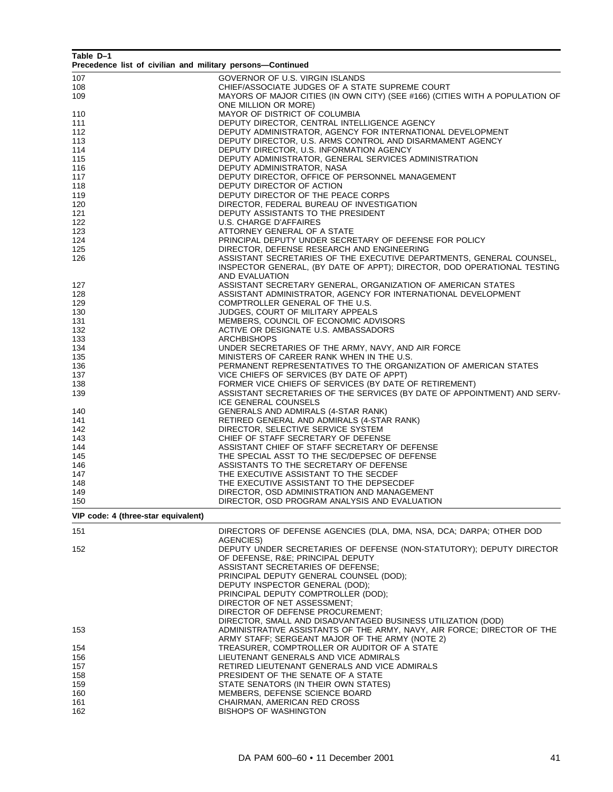| Table D-1<br>Precedence list of civilian and military persons-Continued |                                                                                                                            |
|-------------------------------------------------------------------------|----------------------------------------------------------------------------------------------------------------------------|
| 107                                                                     | GOVERNOR OF U.S. VIRGIN ISLANDS                                                                                            |
| 108                                                                     | CHIEF/ASSOCIATE JUDGES OF A STATE SUPREME COURT                                                                            |
| 109                                                                     | MAYORS OF MAJOR CITIES (IN OWN CITY) (SEE #166) (CITIES WITH A POPULATION OF                                               |
|                                                                         | ONE MILLION OR MORE)                                                                                                       |
| 110                                                                     | MAYOR OF DISTRICT OF COLUMBIA                                                                                              |
| 111                                                                     | DEPUTY DIRECTOR, CENTRAL INTELLIGENCE AGENCY                                                                               |
| 112                                                                     | DEPUTY ADMINISTRATOR, AGENCY FOR INTERNATIONAL DEVELOPMENT                                                                 |
| 113<br>114                                                              | DEPUTY DIRECTOR, U.S. ARMS CONTROL AND DISARMAMENT AGENCY<br>DEPUTY DIRECTOR, U.S. INFORMATION AGENCY                      |
| 115                                                                     | DEPUTY ADMINISTRATOR, GENERAL SERVICES ADMINISTRATION                                                                      |
| 116                                                                     | DEPUTY ADMINISTRATOR, NASA                                                                                                 |
| 117                                                                     | DEPUTY DIRECTOR, OFFICE OF PERSONNEL MANAGEMENT                                                                            |
| 118                                                                     | DEPUTY DIRECTOR OF ACTION                                                                                                  |
| 119                                                                     | DEPUTY DIRECTOR OF THE PEACE CORPS                                                                                         |
| 120                                                                     | DIRECTOR, FEDERAL BUREAU OF INVESTIGATION                                                                                  |
| 121                                                                     | DEPUTY ASSISTANTS TO THE PRESIDENT                                                                                         |
| 122                                                                     | U.S. CHARGE D'AFFAIRES                                                                                                     |
| 123<br>124                                                              | ATTORNEY GENERAL OF A STATE<br>PRINCIPAL DEPUTY UNDER SECRETARY OF DEFENSE FOR POLICY                                      |
| 125                                                                     | DIRECTOR, DEFENSE RESEARCH AND ENGINEERING                                                                                 |
| 126                                                                     | ASSISTANT SECRETARIES OF THE EXECUTIVE DEPARTMENTS, GENERAL COUNSEL,                                                       |
|                                                                         | INSPECTOR GENERAL, (BY DATE OF APPT); DIRECTOR, DOD OPERATIONAL TESTING                                                    |
|                                                                         | AND EVALUATION                                                                                                             |
| 127                                                                     | ASSISTANT SECRETARY GENERAL, ORGANIZATION OF AMERICAN STATES                                                               |
| 128                                                                     | ASSISTANT ADMINISTRATOR, AGENCY FOR INTERNATIONAL DEVELOPMENT                                                              |
| 129                                                                     | COMPTROLLER GENERAL OF THE U.S.                                                                                            |
| 130                                                                     | JUDGES, COURT OF MILITARY APPEALS                                                                                          |
| 131<br>132                                                              | MEMBERS, COUNCIL OF ECONOMIC ADVISORS<br>ACTIVE OR DESIGNATE U.S. AMBASSADORS                                              |
| 133                                                                     | <b>ARCHBISHOPS</b>                                                                                                         |
| 134                                                                     | UNDER SECRETARIES OF THE ARMY, NAVY, AND AIR FORCE                                                                         |
| 135                                                                     | MINISTERS OF CAREER RANK WHEN IN THE U.S.                                                                                  |
| 136                                                                     | PERMANENT REPRESENTATIVES TO THE ORGANIZATION OF AMERICAN STATES                                                           |
| 137                                                                     | VICE CHIEFS OF SERVICES (BY DATE OF APPT)                                                                                  |
| 138                                                                     | FORMER VICE CHIEFS OF SERVICES (BY DATE OF RETIREMENT)                                                                     |
| 139                                                                     | ASSISTANT SECRETARIES OF THE SERVICES (BY DATE OF APPOINTMENT) AND SERV-                                                   |
|                                                                         | ICE GENERAL COUNSELS                                                                                                       |
| 140<br>141                                                              | GENERALS AND ADMIRALS (4-STAR RANK)<br>RETIRED GENERAL AND ADMIRALS (4-STAR RANK)                                          |
| 142                                                                     | DIRECTOR, SELECTIVE SERVICE SYSTEM                                                                                         |
| 143                                                                     | CHIEF OF STAFF SECRETARY OF DEFENSE                                                                                        |
| 144                                                                     | ASSISTANT CHIEF OF STAFF SECRETARY OF DEFENSE                                                                              |
| 145                                                                     | THE SPECIAL ASST TO THE SEC/DEPSEC OF DEFENSE                                                                              |
| 146                                                                     | ASSISTANTS TO THE SECRETARY OF DEFENSE                                                                                     |
| 147                                                                     | THE EXECUTIVE ASSISTANT TO THE SECDEF                                                                                      |
| 148                                                                     | THE EXECUTIVE ASSISTANT TO THE DEPSECDEF                                                                                   |
| 149                                                                     | DIRECTOR, OSD ADMINISTRATION AND MANAGEMENT                                                                                |
| 150                                                                     | DIRECTOR, OSD PROGRAM ANALYSIS AND EVALUATION                                                                              |
| VIP code: 4 (three-star equivalent)                                     |                                                                                                                            |
| 151                                                                     | DIRECTORS OF DEFENSE AGENCIES (DLA, DMA, NSA, DCA; DARPA; OTHER DOD                                                        |
|                                                                         | AGENCIES)                                                                                                                  |
| 152                                                                     | DEPUTY UNDER SECRETARIES OF DEFENSE (NON-STATUTORY); DEPUTY DIRECTOR<br>OF DEFENSE, R&E PRINCIPAL DEPUTY                   |
|                                                                         | ASSISTANT SECRETARIES OF DEFENSE;                                                                                          |
|                                                                         | PRINCIPAL DEPUTY GENERAL COUNSEL (DOD);                                                                                    |
|                                                                         | DEPUTY INSPECTOR GENERAL (DOD);                                                                                            |
|                                                                         | PRINCIPAL DEPUTY COMPTROLLER (DOD);                                                                                        |
|                                                                         | DIRECTOR OF NET ASSESSMENT;                                                                                                |
|                                                                         | DIRECTOR OF DEFENSE PROCUREMENT;                                                                                           |
|                                                                         | DIRECTOR, SMALL AND DISADVANTAGED BUSINESS UTILIZATION (DOD)                                                               |
| 153                                                                     | ADMINISTRATIVE ASSISTANTS OF THE ARMY, NAVY, AIR FORCE; DIRECTOR OF THE<br>ARMY STAFF; SERGEANT MAJOR OF THE ARMY (NOTE 2) |
| 154                                                                     | TREASURER, COMPTROLLER OR AUDITOR OF A STATE                                                                               |
| 156                                                                     | LIEUTENANT GENERALS AND VICE ADMIRALS                                                                                      |
| 157                                                                     | RETIRED LIEUTENANT GENERALS AND VICE ADMIRALS                                                                              |
| 158                                                                     | PRESIDENT OF THE SENATE OF A STATE                                                                                         |
| 159                                                                     | STATE SENATORS (IN THEIR OWN STATES)                                                                                       |
| 160                                                                     | MEMBERS, DEFENSE SCIENCE BOARD                                                                                             |
| 161                                                                     | CHAIRMAN, AMERICAN RED CROSS                                                                                               |
| 162                                                                     | <b>BISHOPS OF WASHINGTON</b>                                                                                               |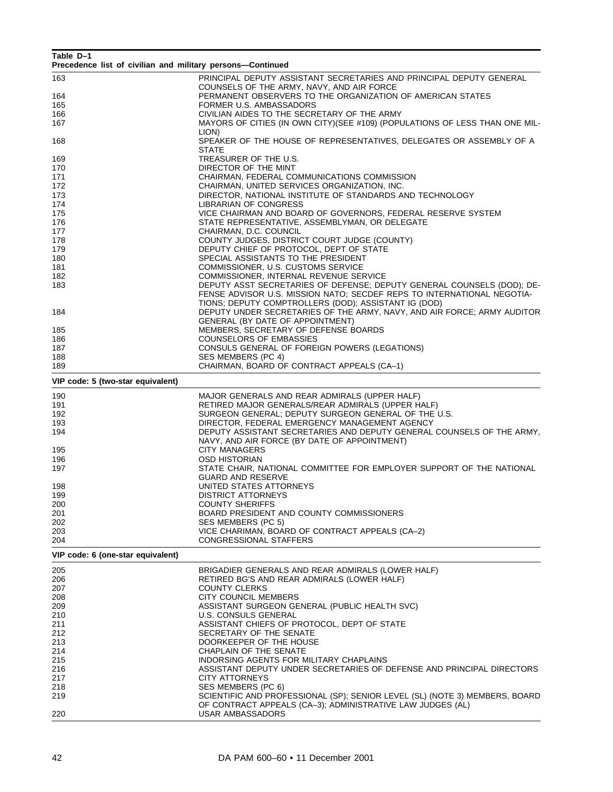| Table D-1                                                  |                                                                                                                             |
|------------------------------------------------------------|-----------------------------------------------------------------------------------------------------------------------------|
| Precedence list of civilian and military persons—Continued |                                                                                                                             |
| 163                                                        | PRINCIPAL DEPUTY ASSISTANT SECRETARIES AND PRINCIPAL DEPUTY GENERAL                                                         |
|                                                            | COUNSELS OF THE ARMY, NAVY, AND AIR FORCE                                                                                   |
| 164                                                        | PERMANENT OBSERVERS TO THE ORGANIZATION OF AMERICAN STATES                                                                  |
| 165                                                        | FORMER U.S. AMBASSADORS                                                                                                     |
| 166<br>167                                                 | CIVILIAN AIDES TO THE SECRETARY OF THE ARMY<br>MAYORS OF CITIES (IN OWN CITY) (SEE #109) (POPULATIONS OF LESS THAN ONE MIL- |
|                                                            | LION)                                                                                                                       |
| 168                                                        | SPEAKER OF THE HOUSE OF REPRESENTATIVES, DELEGATES OR ASSEMBLY OF A                                                         |
|                                                            | <b>STATE</b>                                                                                                                |
| 169                                                        | TREASURER OF THE U.S.                                                                                                       |
| 170                                                        | DIRECTOR OF THE MINT                                                                                                        |
| 171                                                        | CHAIRMAN, FEDERAL COMMUNICATIONS COMMISSION                                                                                 |
| 172                                                        | CHAIRMAN, UNITED SERVICES ORGANIZATION, INC.                                                                                |
| 173<br>174                                                 | DIRECTOR, NATIONAL INSTITUTE OF STANDARDS AND TECHNOLOGY<br>LIBRARIAN OF CONGRESS                                           |
| 175                                                        | VICE CHAIRMAN AND BOARD OF GOVERNORS, FEDERAL RESERVE SYSTEM                                                                |
| 176                                                        | STATE REPRESENTATIVE, ASSEMBLYMAN, OR DELEGATE                                                                              |
| 177                                                        | CHAIRMAN, D.C. COUNCIL                                                                                                      |
| 178                                                        | COUNTY JUDGES, DISTRICT COURT JUDGE (COUNTY)                                                                                |
| 179                                                        | DEPUTY CHIEF OF PROTOCOL, DEPT OF STATE                                                                                     |
| 180                                                        | SPECIAL ASSISTANTS TO THE PRESIDENT                                                                                         |
| 181                                                        | COMMISSIONER, U.S. CUSTOMS SERVICE                                                                                          |
| 182<br>183                                                 | COMMISSIONER, INTERNAL REVENUE SERVICE<br>DEPUTY ASST SECRETARIES OF DEFENSE; DEPUTY GENERAL COUNSELS (DOD); DE-            |
|                                                            | FENSE ADVISOR U.S. MISSION NATO; SECDEF REPS TO INTERNATIONAL NEGOTIA-                                                      |
|                                                            | TIONS; DEPUTY COMPTROLLERS (DOD); ASSISTANT IG (DOD)                                                                        |
| 184                                                        | DEPUTY UNDER SECRETARIES OF THE ARMY, NAVY, AND AIR FORCE; ARMY AUDITOR                                                     |
|                                                            | <b>GENERAL (BY DATE OF APPOINTMENT)</b>                                                                                     |
| 185                                                        | MEMBERS, SECRETARY OF DEFENSE BOARDS                                                                                        |
| 186                                                        | <b>COUNSELORS OF EMBASSIES</b>                                                                                              |
| 187<br>188                                                 | CONSULS GENERAL OF FOREIGN POWERS (LEGATIONS)                                                                               |
| 189                                                        | SES MEMBERS (PC 4)<br>CHAIRMAN, BOARD OF CONTRACT APPEALS (CA-1)                                                            |
|                                                            |                                                                                                                             |
| VIP code: 5 (two-star equivalent)                          |                                                                                                                             |
| 190                                                        | MAJOR GENERALS AND REAR ADMIRALS (UPPER HALF)                                                                               |
| 191                                                        | RETIRED MAJOR GENERALS/REAR ADMIRALS (UPPER HALF)                                                                           |
| 192                                                        | SURGEON GENERAL; DEPUTY SURGEON GENERAL OF THE U.S.                                                                         |
| 193                                                        | DIRECTOR, FEDERAL EMERGENCY MANAGEMENT AGENCY                                                                               |
| 194                                                        | DEPUTY ASSISTANT SECRETARIES AND DEPUTY GENERAL COUNSELS OF THE ARMY,<br>NAVY, AND AIR FORCE (BY DATE OF APPOINTMENT)       |
| 195                                                        | <b>CITY MANAGERS</b>                                                                                                        |
| 196                                                        | <b>OSD HISTORIAN</b>                                                                                                        |
| 197                                                        | STATE CHAIR, NATIONAL COMMITTEE FOR EMPLOYER SUPPORT OF THE NATIONAL                                                        |
|                                                            | <b>GUARD AND RESERVE</b>                                                                                                    |
| 198                                                        | UNITED STATES ATTORNEYS                                                                                                     |
| 199                                                        | <b>DISTRICT ATTORNEYS</b>                                                                                                   |
| 200                                                        | <b>COUNTY SHERIFFS</b>                                                                                                      |
| 201<br>202                                                 | BOARD PRESIDENT AND COUNTY COMMISSIONERS<br>SES MEMBERS (PC 5)                                                              |
| 203                                                        | VICE CHARIMAN, BOARD OF CONTRACT APPEALS (CA-2)                                                                             |
| 204                                                        | CONGRESSIONAL STAFFERS                                                                                                      |
| VIP code: 6 (one-star equivalent)                          |                                                                                                                             |
|                                                            |                                                                                                                             |
| 205                                                        | BRIGADIER GENERALS AND REAR ADMIRALS (LOWER HALF)                                                                           |
| 206                                                        | RETIRED BG'S AND REAR ADMIRALS (LOWER HALF)                                                                                 |
| 207                                                        | <b>COUNTY CLERKS</b>                                                                                                        |
| 208<br>209                                                 | CITY COUNCIL MEMBERS<br>ASSISTANT SURGEON GENERAL (PUBLIC HEALTH SVC)                                                       |
| 210                                                        | <b>U.S. CONSULS GENERAL</b>                                                                                                 |
| 211                                                        | ASSISTANT CHIEFS OF PROTOCOL, DEPT OF STATE                                                                                 |
| 212                                                        | SECRETARY OF THE SENATE                                                                                                     |
| 213                                                        | DOORKEEPER OF THE HOUSE                                                                                                     |
| 214                                                        | CHAPLAIN OF THE SENATE                                                                                                      |
| 215                                                        | INDORSING AGENTS FOR MILITARY CHAPLAINS                                                                                     |
| 216                                                        | ASSISTANT DEPUTY UNDER SECRETARIES OF DEFENSE AND PRINCIPAL DIRECTORS                                                       |
| 217<br>218                                                 | CITY ATTORNEYS<br>SES MEMBERS (PC 6)                                                                                        |
| 219                                                        | SCIENTIFIC AND PROFESSIONAL (SP); SENIOR LEVEL (SL) (NOTE 3) MEMBERS, BOARD                                                 |
|                                                            | OF CONTRACT APPEALS (CA-3); ADMINISTRATIVE LAW JUDGES (AL)                                                                  |
| 220                                                        | USAR AMBASSADORS                                                                                                            |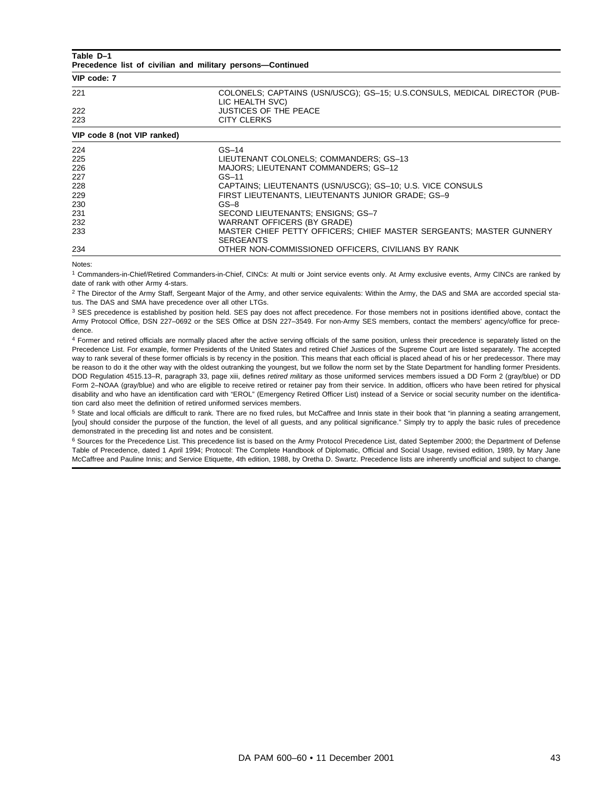#### **Table D–1**

**Precedence list of civilian and military persons—Continued**

| VIP code: 7                 |                                                                                              |  |
|-----------------------------|----------------------------------------------------------------------------------------------|--|
| 221                         | COLONELS; CAPTAINS (USN/USCG); GS-15; U.S.CONSULS, MEDICAL DIRECTOR (PUB-<br>LIC HEALTH SVC) |  |
| 222                         | <b>JUSTICES OF THE PEACE</b>                                                                 |  |
| 223                         | CITY CLERKS                                                                                  |  |
| VIP code 8 (not VIP ranked) |                                                                                              |  |
| 224                         | $GS-14$                                                                                      |  |
| 225                         | LIEUTENANT COLONELS; COMMANDERS; GS-13                                                       |  |
| 226                         | MAJORS; LIEUTENANT COMMANDERS; GS-12                                                         |  |
| 227                         | $GS-11$                                                                                      |  |
| 228                         | CAPTAINS LIFUTENANTS (USN/USCG) GS-10 U.S. VICE CONSULS                                      |  |

| 22 U | UNITATIVO, LILUTLIVAIVTO (UUIVOUUU), UUTTO, U.U. VIUL UUIVOULU      |
|------|---------------------------------------------------------------------|
| 229  | FIRST LIEUTENANTS, LIEUTENANTS JUNIOR GRADE: GS-9                   |
| 230  | $GS - 8$                                                            |
| 231  | SECOND LIEUTENANTS: ENSIGNS: GS-7                                   |
| 232  | WARRANT OFFICERS (BY GRADE)                                         |
| 233  | MASTER CHIEF PETTY OFFICERS: CHIEF MASTER SERGEANTS: MASTER GUNNERY |
|      | <b>SERGEANTS</b>                                                    |
| 234  | OTHER NON-COMMISSIONED OFFICERS, CIVILIANS BY RANK                  |
|      |                                                                     |

Notes:

<sup>1</sup> Commanders-in-Chief/Retired Commanders-in-Chief, CINCs: At multi or Joint service events only. At Army exclusive events, Army CINCs are ranked by date of rank with other Army 4-stars.

<sup>2</sup> The Director of the Army Staff, Sergeant Major of the Army, and other service equivalents: Within the Army, the DAS and SMA are accorded special status. The DAS and SMA have precedence over all other LTGs.

<sup>3</sup> SES precedence is established by position held. SES pay does not affect precedence. For those members not in positions identified above, contact the Army Protocol Office, DSN 227–0692 or the SES Office at DSN 227–3549. For non-Army SES members, contact the members' agency/office for precedence.

4 Former and retired officials are normally placed after the active serving officials of the same position, unless their precedence is separately listed on the Precedence List. For example, former Presidents of the United States and retired Chief Justices of the Supreme Court are listed separately. The accepted way to rank several of these former officials is by recency in the position. This means that each official is placed ahead of his or her predecessor. There may be reason to do it the other way with the oldest outranking the youngest, but we follow the norm set by the State Department for handling former Presidents. DOD Regulation 4515.13–R, paragraph 33, page xiii, defines retired military as those uniformed services members issued a DD Form 2 (gray/blue) or DD Form 2–NOAA (gray/blue) and who are eligible to receive retired or retainer pay from their service. In addition, officers who have been retired for physical disability and who have an identification card with "EROL" (Emergency Retired Officer List) instead of a Service or social security number on the identification card also meet the definition of retired uniformed services members.

<sup>5</sup> State and local officials are difficult to rank. There are no fixed rules, but McCaffree and Innis state in their book that "in planning a seating arrangement, [you] should consider the purpose of the function, the level of all guests, and any political significance." Simply try to apply the basic rules of precedence demonstrated in the preceding list and notes and be consistent.

<sup>6</sup> Sources for the Precedence List. This precedence list is based on the Army Protocol Precedence List, dated September 2000; the Department of Defense Table of Precedence, dated 1 April 1994; Protocol: The Complete Handbook of Diplomatic, Official and Social Usage, revised edition, 1989, by Mary Jane McCaffree and Pauline Innis; and Service Etiquette, 4th edition, 1988, by Oretha D. Swartz. Precedence lists are inherently unofficial and subject to change.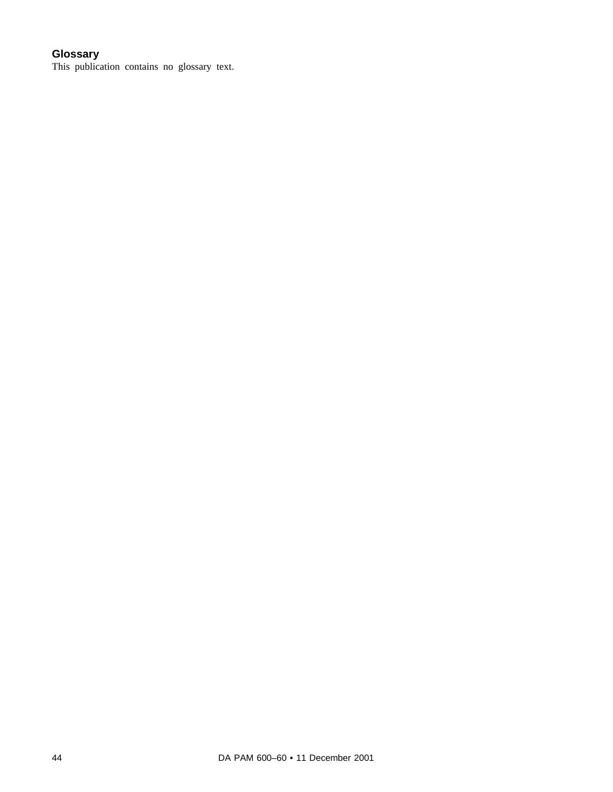# **Glossary**

This publication contains no glossary text.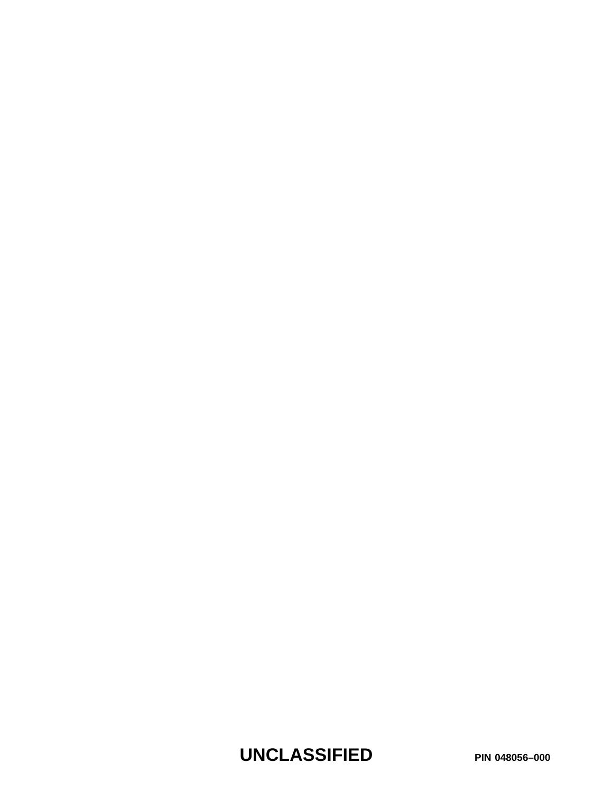**UNCLASSIFIED PIN 048056–000**